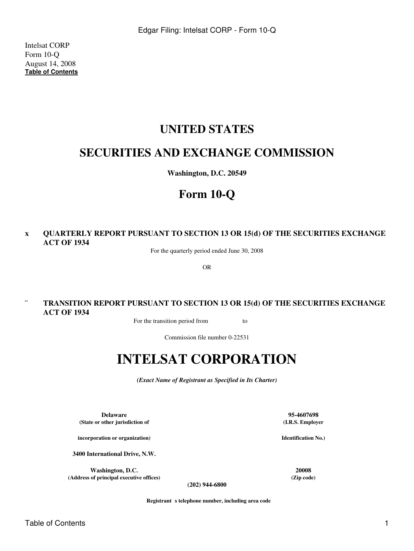Intelsat CORP Form 10-Q August 14, 2008 **[Table of Contents](#page-2-0)**

## **UNITED STATES**

# **SECURITIES AND EXCHANGE COMMISSION**

**Washington, D.C. 20549**

# **Form 10-Q**

## **x QUARTERLY REPORT PURSUANT TO SECTION 13 OR 15(d) OF THE SECURITIES EXCHANGE ACT OF 1934**

For the quarterly period ended June 30, 2008

OR

## **¨ TRANSITION REPORT PURSUANT TO SECTION 13 OR 15(d) OF THE SECURITIES EXCHANGE ACT OF 1934**

For the transition period from to

Commission file number 0-22531

# **INTELSAT CORPORATION**

*(Exact Name of Registrant as Specified in Its Charter)*

**Delaware 95-4607698 (State or other jurisdiction of**

**incorporation or organization)**

**3400 International Drive, N.W.**

**Washington, D.C.** 20008<br> **20008** (*Zip code*) (*Zip code*) (*Zip code*)  $(A$ ddress of principal executive offices)

**(I.R.S. Employer**

**Identification No.)**

**(202) 944-6800**

**Registrant** s telephone number, including area code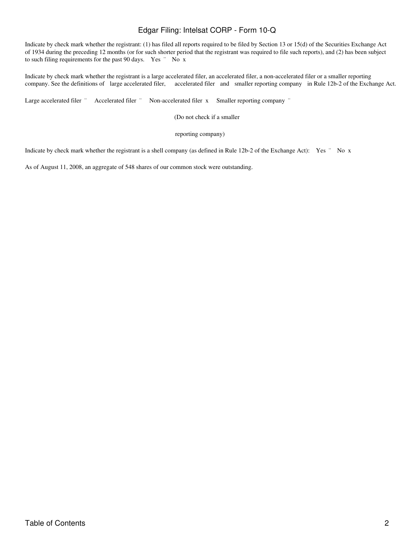Indicate by check mark whether the registrant: (1) has filed all reports required to be filed by Section 13 or 15(d) of the Securities Exchange Act of 1934 during the preceding 12 months (or for such shorter period that the registrant was required to file such reports), and (2) has been subject to such filing requirements for the past 90 days. Yes ¨ No x

Indicate by check mark whether the registrant is a large accelerated filer, an accelerated filer, a non-accelerated filer or a smaller reporting company. See the definitions of large accelerated filer, accelerated filer and smaller reporting company in Rule 12b-2 of the Exchange Act.

Large accelerated filer ¨ Accelerated filer ¨ Non-accelerated filer x Smaller reporting company ¨

(Do not check if a smaller

reporting company)

Indicate by check mark whether the registrant is a shell company (as defined in Rule 12b-2 of the Exchange Act): Yes " No x

As of August 11, 2008, an aggregate of 548 shares of our common stock were outstanding.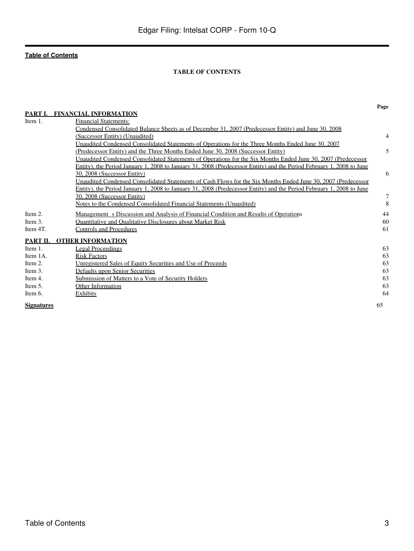#### **TABLE OF CONTENTS**

<span id="page-2-0"></span>

|                    |                                                                                                                      | Page |
|--------------------|----------------------------------------------------------------------------------------------------------------------|------|
| PART I.<br>Item 1. | <b>FINANCIAL INFORMATION</b><br><b>Financial Statements:</b>                                                         |      |
|                    | Condensed Consolidated Balance Sheets as of December 31, 2007 (Predecessor Entity) and June 30, 2008                 |      |
|                    | (Successor Entity) (Unaudited)                                                                                       | 4    |
|                    | Unaudited Condensed Consolidated Statements of Operations for the Three Months Ended June 30, 2007                   |      |
|                    | (Predecessor Entity) and the Three Months Ended June 30, 2008 (Successor Entity)                                     | 5    |
|                    | Unaudited Condensed Consolidated Statements of Operations for the Six Months Ended June 30, 2007 (Predecessor        |      |
|                    | Entity), the Period January 1, 2008 to January 31, 2008 (Predecessor Entity) and the Period February 1, 2008 to June |      |
|                    | 30, 2008 (Successor Entity)                                                                                          | 6    |
|                    | Unaudited Condensed Consolidated Statements of Cash Flows for the Six Months Ended June 30, 2007 (Predecessor        |      |
|                    | Entity), the Period January 1, 2008 to January 31, 2008 (Predecessor Entity) and the Period February 1, 2008 to June |      |
|                    | 30, 2008 (Successor Entity)                                                                                          | 7    |
|                    | Notes to the Condensed Consolidated Financial Statements (Unaudited)                                                 | 8    |
|                    |                                                                                                                      |      |
| Item 2.            | Management s Discussion and Analysis of Financial Condition and Results of Operations                                | 44   |
| Item 3.            | Quantitative and Qualitative Disclosures about Market Risk                                                           | 60   |
| Item 4T.           | Controls and Procedures                                                                                              | 61   |
| PART II.           | <b>OTHER INFORMATION</b>                                                                                             |      |
| Item 1.            | Legal Proceedings                                                                                                    | 63   |
| Item 1A.           | <b>Risk Factors</b>                                                                                                  | 63   |
| Item 2.            | Unregistered Sales of Equity Securities and Use of Proceeds                                                          | 63   |
| Item 3.            | Defaults upon Senior Securities                                                                                      | 63   |
| Item 4.            | Submission of Matters to a Vote of Security Holders                                                                  | 63   |
| Item 5.            | Other Information                                                                                                    | 63   |
| Item 6.            | Exhibits                                                                                                             | 64   |
| <b>Signatures</b>  |                                                                                                                      | 65   |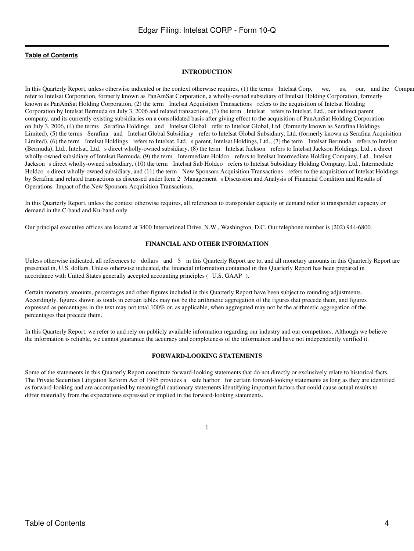#### **INTRODUCTION**

In this Quarterly Report, unless otherwise indicated or the context otherwise requires, (1) the terms Intelsat Corp, we, us, our, and the Company refer to Intelsat Corporation, formerly known as PanAmSat Corporation, a wholly-owned subsidiary of Intelsat Holding Corporation, formerly known as PanAmSat Holding Corporation, (2) the term Intelsat Acquisition Transactions refers to the acquisition of Intelsat Holding Corporation by Intelsat Bermuda on July 3, 2006 and related transactions, (3) the term Intelsat refers to Intelsat, Ltd., our indirect parent company, and its currently existing subsidiaries on a consolidated basis after giving effect to the acquisition of PanAmSat Holding Corporation on July 3, 2006, (4) the terms Serafina Holdings and Intelsat Global refer to Intelsat Global, Ltd. (formerly known as Serafina Holdings Limited), (5) the terms Serafina and Intelsat Global Subsidiary refer to Intelsat Global Subsidiary, Ltd. (formerly known as Serafina Acquisition Limited), (6) the term Intelsat Holdings refers to Intelsat, Ltd. s parent, Intelsat Holdings, Ltd., (7) the term Intelsat Bermuda refers to Intelsat (Bermuda), Ltd., Intelsat, Ltd.s direct wholly-owned subsidiary, (8) the term Intelsat Jackson refers to Intelsat Jackson Holdings, Ltd., a direct wholly-owned subsidiary of Intelsat Bermuda, (9) the term Intermediate Holdco refers to Intelsat Intermediate Holding Company, Ltd., Intelsat Jackson s direct wholly-owned subsidiary, (10) the term Intelsat Sub Holdco refers to Intelsat Subsidiary Holding Company, Ltd., Intermediate Holdco s direct wholly-owned subsidiary, and (11) the term New Sponsors Acquisition Transactions refers to the acquisition of Intelsat Holdings by Serafina and related transactions as discussed under Item 2 Management s Discussion and Analysis of Financial Condition and Results of Operations Impact of the New Sponsors Acquisition Transactions.

In this Quarterly Report, unless the context otherwise requires, all references to transponder capacity or demand refer to transponder capacity or demand in the C-band and Ku-band only.

Our principal executive offices are located at 3400 International Drive, N.W., Washington, D.C. Our telephone number is (202) 944-6800.

#### **FINANCIAL AND OTHER INFORMATION**

Unless otherwise indicated, all references to dollars and \$ in this Quarterly Report are to, and all monetary amounts in this Quarterly Report are presented in, U.S. dollars. Unless otherwise indicated, the financial information contained in this Quarterly Report has been prepared in accordance with United States generally accepted accounting principles (U.S. GAAP).

Certain monetary amounts, percentages and other figures included in this Quarterly Report have been subject to rounding adjustments. Accordingly, figures shown as totals in certain tables may not be the arithmetic aggregation of the figures that precede them, and figures expressed as percentages in the text may not total 100% or, as applicable, when aggregated may not be the arithmetic aggregation of the percentages that precede them.

In this Quarterly Report, we refer to and rely on publicly available information regarding our industry and our competitors. Although we believe the information is reliable, we cannot guarantee the accuracy and completeness of the information and have not independently verified it.

#### **FORWARD-LOOKING STATEMENTS**

Some of the statements in this Quarterly Report constitute forward-looking statements that do not directly or exclusively relate to historical facts. The Private Securities Litigation Reform Act of 1995 provides a safe harbor for certain forward-looking statements as long as they are identified as forward-looking and are accompanied by meaningful cautionary statements identifying important factors that could cause actual results to differ materially from the expectations expressed or implied in the forward-looking statements.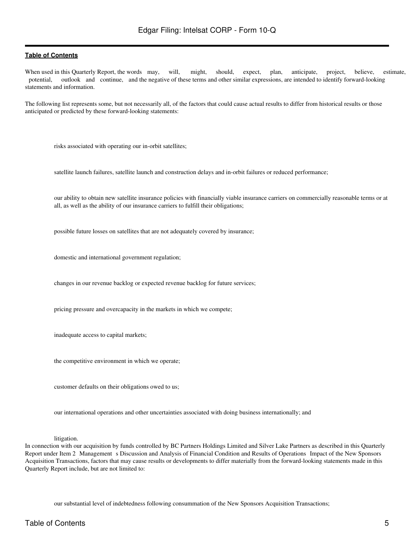When used in this Quarterly Report, the words may, will, might, should, expect, plan, anticipate, project, believe, estimate, potential, outlook and continue, and the negative of these terms and other similar expressions, are intended to identify forward-looking statements and information.

The following list represents some, but not necessarily all, of the factors that could cause actual results to differ from historical results or those anticipated or predicted by these forward-looking statements:

risks associated with operating our in-orbit satellites;

satellite launch failures, satellite launch and construction delays and in-orbit failures or reduced performance;

our ability to obtain new satellite insurance policies with financially viable insurance carriers on commercially reasonable terms or at all, as well as the ability of our insurance carriers to fulfill their obligations;

possible future losses on satellites that are not adequately covered by insurance;

domestic and international government regulation;

changes in our revenue backlog or expected revenue backlog for future services;

pricing pressure and overcapacity in the markets in which we compete;

inadequate access to capital markets;

the competitive environment in which we operate;

customer defaults on their obligations owed to us;

our international operations and other uncertainties associated with doing business internationally; and

litigation.

In connection with our acquisition by funds controlled by BC Partners Holdings Limited and Silver Lake Partners as described in this Quarterly Report under Item 2 Management s Discussion and Analysis of Financial Condition and Results of Operations Impact of the New Sponsors Acquisition Transactions, factors that may cause results or developments to differ materially from the forward-looking statements made in this Quarterly Report include, but are not limited to:

our substantial level of indebtedness following consummation of the New Sponsors Acquisition Transactions;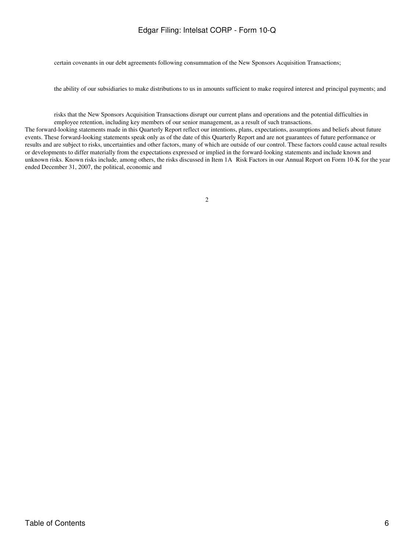certain covenants in our debt agreements following consummation of the New Sponsors Acquisition Transactions;

the ability of our subsidiaries to make distributions to us in amounts sufficient to make required interest and principal payments; and

risks that the New Sponsors Acquisition Transactions disrupt our current plans and operations and the potential difficulties in employee retention, including key members of our senior management, as a result of such transactions.

The forward-looking statements made in this Quarterly Report reflect our intentions, plans, expectations, assumptions and beliefs about future events. These forward-looking statements speak only as of the date of this Quarterly Report and are not guarantees of future performance or results and are subject to risks, uncertainties and other factors, many of which are outside of our control. These factors could cause actual results or developments to differ materially from the expectations expressed or implied in the forward-looking statements and include known and unknown risks. Known risks include, among others, the risks discussed in Item 1A Risk Factors in our Annual Report on Form 10-K for the year ended December 31, 2007, the political, economic and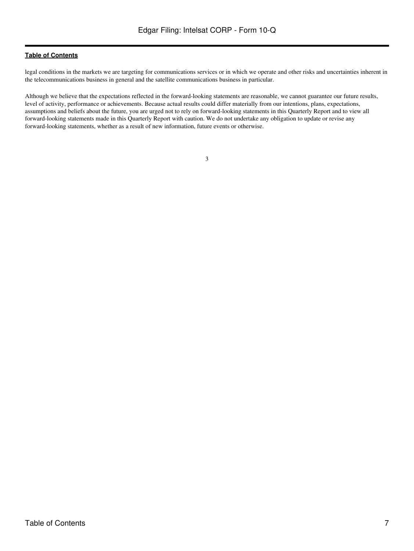legal conditions in the markets we are targeting for communications services or in which we operate and other risks and uncertainties inherent in the telecommunications business in general and the satellite communications business in particular.

Although we believe that the expectations reflected in the forward-looking statements are reasonable, we cannot guarantee our future results, level of activity, performance or achievements. Because actual results could differ materially from our intentions, plans, expectations, assumptions and beliefs about the future, you are urged not to rely on forward-looking statements in this Quarterly Report and to view all forward-looking statements made in this Quarterly Report with caution. We do not undertake any obligation to update or revise any forward-looking statements, whether as a result of new information, future events or otherwise.

| ٠<br>v  |    |
|---------|----|
|         |    |
|         |    |
|         | I  |
| ۰,<br>٩ | ۰. |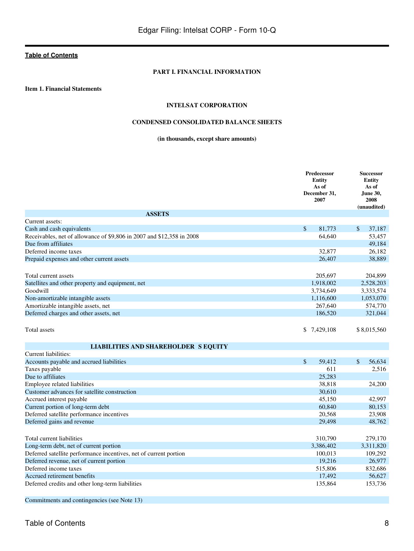#### **PART I. FINANCIAL INFORMATION**

#### <span id="page-7-2"></span><span id="page-7-1"></span><span id="page-7-0"></span>**Item 1. Financial Statements**

#### **INTELSAT CORPORATION**

#### **CONDENSED CONSOLIDATED BALANCE SHEETS**

#### **(in thousands, except share amounts)**

|                                                                       | Predecessor<br><b>Entity</b><br>As of<br>December 31,<br>2007 | <b>Successor</b><br><b>Entity</b><br>As of<br><b>June 30,</b><br>2008<br>(unaudited) |
|-----------------------------------------------------------------------|---------------------------------------------------------------|--------------------------------------------------------------------------------------|
| <b>ASSETS</b>                                                         |                                                               |                                                                                      |
| Current assets:                                                       |                                                               |                                                                                      |
| Cash and cash equivalents                                             | \$<br>81,773                                                  | \$<br>37,187                                                                         |
| Receivables, net of allowance of \$9,806 in 2007 and \$12,358 in 2008 | 64.640                                                        | 53,457                                                                               |
| Due from affiliates                                                   |                                                               | 49,184                                                                               |
| Deferred income taxes                                                 | 32,877                                                        | 26,182                                                                               |
| Prepaid expenses and other current assets                             | 26,407                                                        | 38,889                                                                               |
| Total current assets                                                  | 205,697                                                       | 204,899                                                                              |
| Satellites and other property and equipment, net                      | 1,918,002                                                     | 2,528,203                                                                            |
| Goodwill                                                              | 3,734,649                                                     | 3,333,574                                                                            |
| Non-amortizable intangible assets                                     | 1,116,600                                                     | 1,053,070                                                                            |
| Amortizable intangible assets, net                                    | 267,640                                                       | 574,770                                                                              |
| Deferred charges and other assets, net                                | 186,520                                                       | 321,044                                                                              |
| Total assets                                                          | 7,429,108<br>\$                                               | \$8,015,560                                                                          |
| <b>LIABILITIES AND SHAREHOLDER S EQUITY</b>                           |                                                               |                                                                                      |
| <b>Current liabilities:</b>                                           |                                                               |                                                                                      |
| Accounts payable and accrued liabilities                              | \$<br>59,412                                                  | $\sqrt{\frac{2}{5}}$<br>56,634                                                       |
| Taxes payable                                                         | 611                                                           | 2,516                                                                                |
| Due to affiliates                                                     | 25,283                                                        |                                                                                      |
| Employee related liabilities                                          | 38,818                                                        | 24,200                                                                               |
| Customer advances for satellite construction                          | 30.610                                                        |                                                                                      |
| Accrued interest payable                                              | 45,150                                                        | 42,997                                                                               |
| Current portion of long-term debt                                     | 60,840                                                        | 80,153                                                                               |
| Deferred satellite performance incentives                             | 20.568                                                        | 23,908                                                                               |
| Deferred gains and revenue                                            | 29,498                                                        | 48,762                                                                               |
| Total current liabilities                                             | 310,790                                                       | 279,170                                                                              |
| Long-term debt, net of current portion                                | 3,386,402                                                     | 3,311,820                                                                            |
| Deferred satellite performance incentives, net of current portion     | 100.013                                                       | 109,292                                                                              |
| Deferred revenue, net of current portion                              | 19,216                                                        | 26,977                                                                               |
| Deferred income taxes                                                 | 515,806                                                       | 832,686                                                                              |
| Accrued retirement benefits                                           | 17,492                                                        | 56.627                                                                               |
| Deferred credits and other long-term liabilities                      | 135,864                                                       | 153,736                                                                              |

Commitments and contingencies (see Note 13)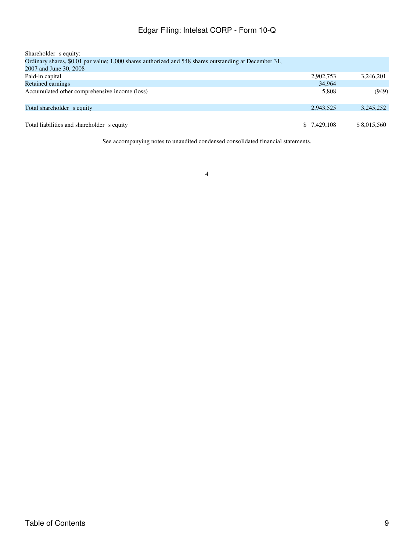| Shareholder s equity:                                                                                 |             |             |
|-------------------------------------------------------------------------------------------------------|-------------|-------------|
| Ordinary shares, \$0.01 par value; 1,000 shares authorized and 548 shares outstanding at December 31, |             |             |
| 2007 and June 30, 2008                                                                                |             |             |
| Paid-in capital                                                                                       | 2,902,753   | 3,246,201   |
| Retained earnings                                                                                     | 34.964      |             |
| Accumulated other comprehensive income (loss)                                                         | 5.808       | (949)       |
|                                                                                                       |             |             |
| Total shareholder s equity                                                                            | 2.943.525   | 3.245.252   |
|                                                                                                       |             |             |
| Total liabilities and shareholder s equity                                                            | \$7,429,108 | \$8,015,560 |

See accompanying notes to unaudited condensed consolidated financial statements.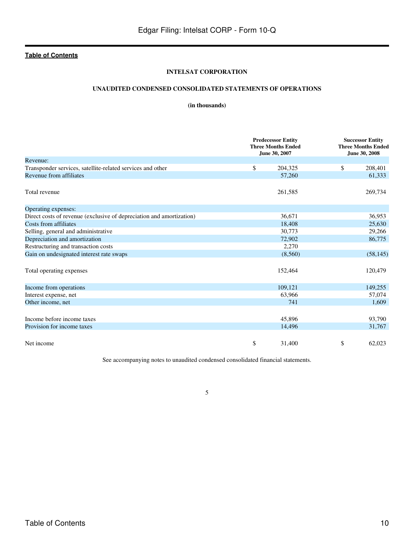#### **INTELSAT CORPORATION**

#### **UNAUDITED CONDENSED CONSOLIDATED STATEMENTS OF OPERATIONS**

#### **(in thousands)**

<span id="page-9-0"></span>

|                                                                      | <b>Predecessor Entity</b><br><b>Three Months Ended</b><br>June 30, 2007 |    | <b>Successor Entity</b><br><b>Three Months Ended</b><br>June 30, 2008 |  |
|----------------------------------------------------------------------|-------------------------------------------------------------------------|----|-----------------------------------------------------------------------|--|
| Revenue:                                                             |                                                                         |    |                                                                       |  |
| Transponder services, satellite-related services and other           | \$<br>204,325                                                           | \$ | 208,401                                                               |  |
| Revenue from affiliates                                              | 57,260                                                                  |    | 61,333                                                                |  |
| Total revenue                                                        | 261,585                                                                 |    | 269,734                                                               |  |
| Operating expenses:                                                  |                                                                         |    |                                                                       |  |
| Direct costs of revenue (exclusive of depreciation and amortization) | 36.671                                                                  |    | 36,953                                                                |  |
| Costs from affiliates                                                | 18,408                                                                  |    | 25,630                                                                |  |
| Selling, general and administrative                                  | 30,773                                                                  |    | 29,266                                                                |  |
| Depreciation and amortization                                        | 72,902                                                                  |    | 86,775                                                                |  |
| Restructuring and transaction costs                                  | 2,270                                                                   |    |                                                                       |  |
| Gain on undesignated interest rate swaps                             | (8,560)                                                                 |    | (58, 145)                                                             |  |
| Total operating expenses                                             | 152,464                                                                 |    | 120,479                                                               |  |
| Income from operations                                               | 109.121                                                                 |    | 149,255                                                               |  |
| Interest expense, net                                                | 63,966                                                                  |    | 57,074                                                                |  |
| Other income, net                                                    | 741                                                                     |    | 1,609                                                                 |  |
| Income before income taxes                                           | 45,896                                                                  |    | 93,790                                                                |  |
| Provision for income taxes                                           | 14,496                                                                  |    | 31,767                                                                |  |
| Net income                                                           | \$<br>31,400                                                            | \$ | 62,023                                                                |  |

See accompanying notes to unaudited condensed consolidated financial statements.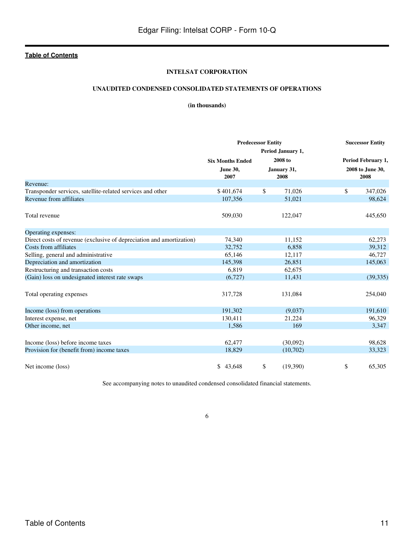#### **INTELSAT CORPORATION**

#### **UNAUDITED CONDENSED CONSOLIDATED STATEMENTS OF OPERATIONS**

#### **(in thousands)**

<span id="page-10-0"></span>

|                                                                      | <b>Predecessor Entity</b>          | <b>Successor Entity</b> |                    |                          |
|----------------------------------------------------------------------|------------------------------------|-------------------------|--------------------|--------------------------|
|                                                                      |                                    |                         |                    |                          |
|                                                                      | 2008 to<br><b>Six Months Ended</b> |                         | Period February 1, |                          |
|                                                                      | <b>June 30,</b><br>2007            | January 31,<br>2008     |                    | 2008 to June 30,<br>2008 |
| Revenue:                                                             |                                    |                         |                    |                          |
| Transponder services, satellite-related services and other           | \$401,674                          | \$<br>71,026            | \$                 | 347,026                  |
| Revenue from affiliates                                              | 107,356                            | 51,021                  |                    | 98,624                   |
| Total revenue                                                        | 509,030                            | 122,047                 |                    | 445,650                  |
| Operating expenses:                                                  |                                    |                         |                    |                          |
| Direct costs of revenue (exclusive of depreciation and amortization) | 74,340                             | 11,152                  |                    | 62,273                   |
| Costs from affiliates                                                | 32,752                             | 6,858                   |                    | 39,312                   |
| Selling, general and administrative                                  | 65,146                             | 12,117                  |                    | 46,727                   |
| Depreciation and amortization                                        | 145,398                            | 26,851                  |                    | 145,063                  |
| Restructuring and transaction costs                                  | 6,819                              | 62,675                  |                    |                          |
| (Gain) loss on undesignated interest rate swaps                      | (6,727)                            | 11,431                  |                    | (39, 335)                |
| Total operating expenses                                             | 317,728                            | 131,084                 |                    | 254,040                  |
| Income (loss) from operations                                        | 191,302                            | (9,037)                 |                    | 191,610                  |
| Interest expense, net                                                | 130,411                            | 21,224                  |                    | 96,329                   |
| Other income, net                                                    | 1,586                              | 169                     |                    | 3,347                    |
| Income (loss) before income taxes                                    | 62,477                             | (30,092)                |                    | 98,628                   |
| Provision for (benefit from) income taxes                            | 18,829                             | (10,702)                |                    | 33,323                   |
| Net income (loss)                                                    | \$43,648                           | \$<br>(19,390)          | \$                 | 65,305                   |

See accompanying notes to unaudited condensed consolidated financial statements.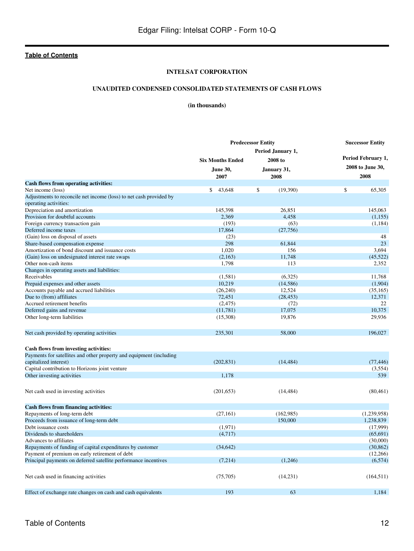#### **INTELSAT CORPORATION**

#### **UNAUDITED CONDENSED CONSOLIDATED STATEMENTS OF CASH FLOWS**

#### **(in thousands)**

<span id="page-11-0"></span>

|                                                                     |                         | <b>Predecessor Entity</b> | <b>Successor Entity</b> |  |  |
|---------------------------------------------------------------------|-------------------------|---------------------------|-------------------------|--|--|
|                                                                     |                         | Period January 1,         |                         |  |  |
|                                                                     | <b>Six Months Ended</b> | 2008 to                   | Period February 1,      |  |  |
|                                                                     | June 30,                | January 31,               | 2008 to June 30,        |  |  |
|                                                                     | 2007                    | 2008                      | 2008                    |  |  |
| <b>Cash flows from operating activities:</b>                        |                         |                           |                         |  |  |
| Net income (loss)                                                   | \$<br>43,648            | \$<br>(19,390)            | \$<br>65.305            |  |  |
| Adjustments to reconcile net income (loss) to net cash provided by  |                         |                           |                         |  |  |
| operating activities:                                               |                         |                           |                         |  |  |
| Depreciation and amortization                                       | 145,398                 | 26.851                    | 145,063                 |  |  |
| Provision for doubtful accounts                                     | 2,369                   | 4,458                     | (1,155)                 |  |  |
| Foreign currency transaction gain                                   | (193)                   | (63)                      | (1, 184)                |  |  |
| Deferred income taxes                                               | 17,864                  | (27,756)                  |                         |  |  |
| (Gain) loss on disposal of assets                                   | (23)                    |                           | 48                      |  |  |
| Share-based compensation expense                                    | 298                     | 61,844                    | 23                      |  |  |
| Amortization of bond discount and issuance costs                    | 1,020                   | 156                       | 3,694                   |  |  |
| (Gain) loss on undesignated interest rate swaps                     | (2,163)                 | 11,748                    | (45, 522)               |  |  |
| Other non-cash items                                                | 1,798                   | 113                       | 2,352                   |  |  |
| Changes in operating assets and liabilities:                        |                         |                           |                         |  |  |
| Receivables                                                         | (1,581)                 | (6,325)                   | 11.768                  |  |  |
| Prepaid expenses and other assets                                   | 10,219                  | (14, 586)                 | (1,904)                 |  |  |
| Accounts payable and accrued liabilities                            | (26, 240)               | 12,524                    | (35, 165)               |  |  |
| Due to (from) affiliates                                            | 72,451                  | (28, 453)                 | 12,371                  |  |  |
| Accrued retirement benefits                                         | (2,475)                 | (72)                      | 22                      |  |  |
| Deferred gains and revenue                                          | (11, 781)               | 17,075                    | 10,375                  |  |  |
| Other long-term liabilities                                         | (15,308)                | 19,876                    | 29,936                  |  |  |
| Net cash provided by operating activities                           | 235,301                 | 58,000                    | 196,027                 |  |  |
|                                                                     |                         |                           |                         |  |  |
| Cash flows from investing activities:                               |                         |                           |                         |  |  |
| Payments for satellites and other property and equipment (including |                         |                           |                         |  |  |
| capitalized interest)                                               | (202, 831)              | (14, 484)                 | (77, 446)               |  |  |
| Capital contribution to Horizons joint venture                      |                         |                           | (3,554)                 |  |  |
| Other investing activities                                          | 1,178                   |                           | 539                     |  |  |
| Net cash used in investing activities                               | (201, 653)              | (14, 484)                 | (80, 461)               |  |  |
| <b>Cash flows from financing activities:</b>                        |                         |                           |                         |  |  |
| Repayments of long-term debt                                        | (27, 161)               | (162,985)                 | (1,239,958)             |  |  |
| Proceeds from issuance of long-term debt                            |                         | 150,000                   | 1,238,839               |  |  |
| Debt issuance costs                                                 | (1,971)                 |                           | (17,999)                |  |  |
| Dividends to shareholders                                           | (4,717)                 |                           | (65, 691)               |  |  |
| Advances to affiliates                                              |                         |                           | (30,000)                |  |  |
| Repayments of funding of capital expenditures by customer           | (34, 642)               |                           | (30, 862)               |  |  |
| Payment of premium on early retirement of debt                      |                         |                           | (12,266)                |  |  |
| Principal payments on deferred satellite performance incentives     | (7,214)                 | (1,246)                   | (6, 574)                |  |  |
| Net cash used in financing activities                               | (75,705)                | (14,231)                  | (164, 511)              |  |  |
|                                                                     |                         |                           |                         |  |  |
| Effect of exchange rate changes on cash and cash equivalents        | 193                     | 63                        | 1.184                   |  |  |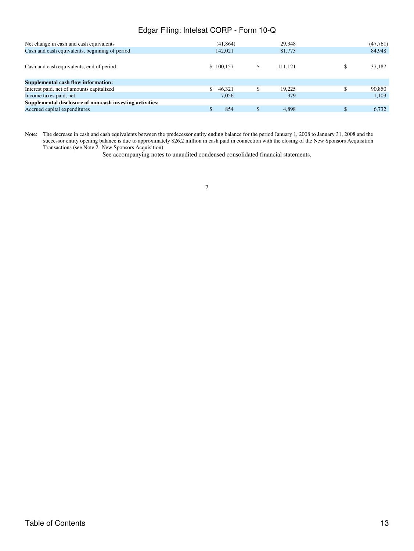| Net change in cash and cash equivalents                   | (41, 864) |    | 29,348  | (47,761) |
|-----------------------------------------------------------|-----------|----|---------|----------|
| Cash and cash equivalents, beginning of period            | 142,021   |    | 81,773  | 84,948   |
| Cash and cash equivalents, end of period                  | \$100,157 | S. | 111.121 | 37.187   |
| <b>Supplemental cash flow information:</b>                |           |    |         |          |
| Interest paid, net of amounts capitalized                 | 46.321    |    | 19.225  | 90,850   |
| Income taxes paid, net                                    | 7.056     |    | 379     | 1,103    |
| Supplemental disclosure of non-cash investing activities: |           |    |         |          |
| Accrued capital expenditures                              | 854       |    | 4.898   | 6.732    |

Note: The decrease in cash and cash equivalents between the predecessor entity ending balance for the period January 1, 2008 to January 31, 2008 and the successor entity opening balance is due to approximately \$26.2 million in cash paid in connection with the closing of the New Sponsors Acquisition Transactions (see Note 2 New Sponsors Acquisition).

See accompanying notes to unaudited condensed consolidated financial statements.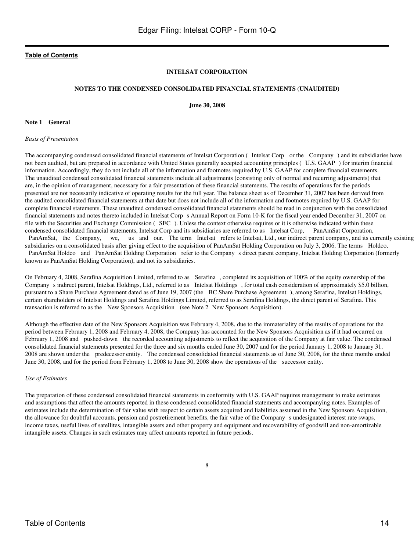#### **INTELSAT CORPORATION**

#### **NOTES TO THE CONDENSED CONSOLIDATED FINANCIAL STATEMENTS (UNAUDITED)**

**June 30, 2008**

#### <span id="page-13-0"></span>**Note 1 General**

#### *Basis of Presentation*

The accompanying condensed consolidated financial statements of Intelsat Corporation (Intelsat Corp or the Company) and its subsidiaries have not been audited, but are prepared in accordance with United States generally accepted accounting principles (U.S. GAAP) for interim financial information. Accordingly, they do not include all of the information and footnotes required by U.S. GAAP for complete financial statements. The unaudited condensed consolidated financial statements include all adjustments (consisting only of normal and recurring adjustments) that are, in the opinion of management, necessary for a fair presentation of these financial statements. The results of operations for the periods presented are not necessarily indicative of operating results for the full year. The balance sheet as of December 31, 2007 has been derived from the audited consolidated financial statements at that date but does not include all of the information and footnotes required by U.S. GAAP for complete financial statements. These unaudited condensed consolidated financial statements should be read in conjunction with the consolidated financial statements and notes thereto included in Intelsat Corp s Annual Report on Form 10-K for the fiscal year ended December 31, 2007 on file with the Securities and Exchange Commission (SEC). Unless the context otherwise requires or it is otherwise indicated within these condensed consolidated financial statements, Intelsat Corp and its subsidiaries are referred to as Intelsat Corp, PanAmSat Corporation, PanAmSat, the Company, we, us and our. The term Intelsat refers to Intelsat, Ltd., our indirect parent company, and its currently existing subsidiaries on a consolidated basis after giving effect to the acquisition of PanAmSat Holding Corporation on July 3, 2006. The terms Holdco, PanAmSat Holdco and PanAmSat Holding Corporation refer to the Company s direct parent company, Intelsat Holding Corporation (formerly known as PanAmSat Holding Corporation), and not its subsidiaries.

On February 4, 2008, Serafina Acquisition Limited, referred to as Serafina, completed its acquisition of 100% of the equity ownership of the Companys indirect parent, Intelsat Holdings, Ltd., referred to as Intelsat Holdings, for total cash consideration of approximately \$5.0 billion, pursuant to a Share Purchase Agreement dated as of June 19, 2007 (the BC Share Purchase Agreement), among Serafina, Intelsat Holdings, certain shareholders of Intelsat Holdings and Serafina Holdings Limited, referred to as Serafina Holdings, the direct parent of Serafina. This transaction is referred to as the New Sponsors Acquisition (see Note 2 New Sponsors Acquisition).

Although the effective date of the New Sponsors Acquisition was February 4, 2008, due to the immateriality of the results of operations for the period between February 1, 2008 and February 4, 2008, the Company has accounted for the New Sponsors Acquisition as if it had occurred on February 1, 2008 and pushed-down the recorded accounting adjustments to reflect the acquisition of the Company at fair value. The condensed consolidated financial statements presented for the three and six months ended June 30, 2007 and for the period January 1, 2008 to January 31, 2008 are shown under the predecessor entity. The condensed consolidated financial statements as of June 30, 2008, for the three months ended June 30, 2008, and for the period from February 1, 2008 to June 30, 2008 show the operations of the successor entity.

#### *Use of Estimates*

The preparation of these condensed consolidated financial statements in conformity with U.S. GAAP requires management to make estimates and assumptions that affect the amounts reported in these condensed consolidated financial statements and accompanying notes. Examples of estimates include the determination of fair value with respect to certain assets acquired and liabilities assumed in the New Sponsors Acquisition, the allowance for doubtful accounts, pension and postretirement benefits, the fair value of the Company s undesignated interest rate swaps, income taxes, useful lives of satellites, intangible assets and other property and equipment and recoverability of goodwill and non-amortizable intangible assets. Changes in such estimates may affect amounts reported in future periods.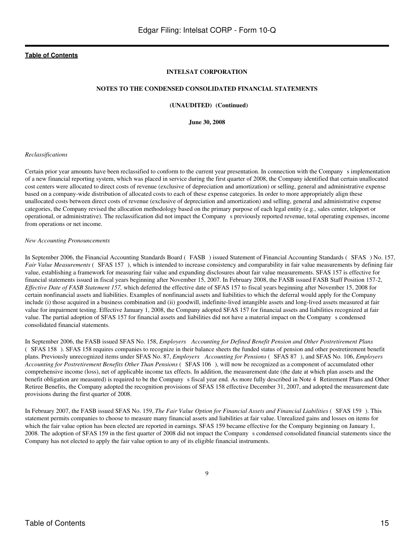#### **INTELSAT CORPORATION**

#### **NOTES TO THE CONDENSED CONSOLIDATED FINANCIAL STATEMENTS**

#### **(UNAUDITED)(Continued)**

**June 30, 2008**

#### *Reclassifications*

Certain prior year amounts have been reclassified to conform to the current year presentation. In connection with the Companys implementation of a new financial reporting system, which was placed in service during the first quarter of 2008, the Company identified that certain unallocated cost centers were allocated to direct costs of revenue (exclusive of depreciation and amortization) or selling, general and administrative expense based on a company-wide distribution of allocated costs to each of these expense categories. In order to more appropriately align these unallocated costs between direct costs of revenue (exclusive of depreciation and amortization) and selling, general and administrative expense categories, the Company revised the allocation methodology based on the primary purpose of each legal entity (e.g., sales center, teleport or operational, or administrative). The reclassification did not impact the Companys previously reported revenue, total operating expenses, income from operations or net income.

#### *New Accounting Pronouncements*

In September 2006, the Financial Accounting Standards Board (FASB) issued Statement of Financial Accounting Standards (SFAS) No. 157, *Fair Value Measurements* (SFAS 157), which is intended to increase consistency and comparability in fair value measurements by defining fair value, establishing a framework for measuring fair value and expanding disclosures about fair value measurements. SFAS 157 is effective for financial statements issued in fiscal years beginning after November 15, 2007. In February 2008, the FASB issued FASB Staff Position 157-2, *Effective Date of FASB Statement 157,* which deferred the effective date of SFAS 157 to fiscal years beginning after November 15, 2008 for certain nonfinancial assets and liabilities. Examples of nonfinancial assets and liabilities to which the deferral would apply for the Company include (i) those acquired in a business combination and (ii) goodwill, indefinite-lived intangible assets and long-lived assets measured at fair value for impairment testing. Effective January 1, 2008, the Company adopted SFAS 157 for financial assets and liabilities recognized at fair value. The partial adoption of SFAS 157 for financial assets and liabilities did not have a material impact on the Companys condensed consolidated financial statements.

In September 2006, the FASB issued SFAS No. 158, *Employers Accounting for Defined Benefit Pension and Other Postretirement Plans* (SFAS 158). SFAS 158 requires companies to recognize in their balance sheets the funded status of pension and other postretirement benefit plans. Previously unrecognized items under SFAS No. 87, *Employers Accounting for Pensions* (SFAS 87), and SFAS No. 106, *Employers Accounting for Postretirement Benefits Other Than Pensions* (SFAS 106), will now be recognized as a component of accumulated other comprehensive income (loss), net of applicable income tax effects. In addition, the measurement date (the date at which plan assets and the benefit obligation are measured) is required to be the Company s fiscal year end. As more fully described in Note 4 Retirement Plans and Other Retiree Benefits, the Company adopted the recognition provisions of SFAS 158 effective December 31, 2007, and adopted the measurement date provisions during the first quarter of 2008.

In February 2007, the FASB issued SFAS No. 159, *The Fair Value Option for Financial Assets and Financial Liabilities* (SFAS 159). This statement permits companies to choose to measure many financial assets and liabilities at fair value. Unrealized gains and losses on items for which the fair value option has been elected are reported in earnings. SFAS 159 became effective for the Company beginning on January 1, 2008. The adoption of SFAS 159 in the first quarter of 2008 did not impact the Companys condensed consolidated financial statements since the Company has not elected to apply the fair value option to any of its eligible financial instruments.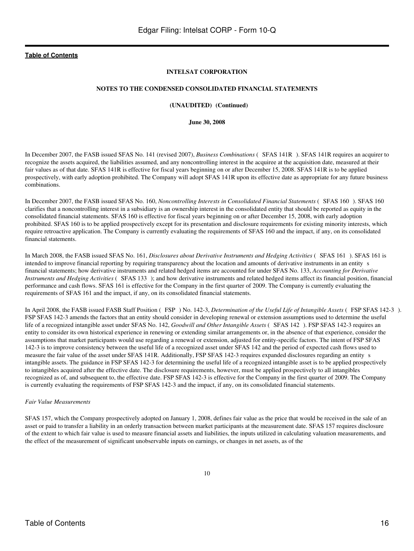#### **INTELSAT CORPORATION**

#### **NOTES TO THE CONDENSED CONSOLIDATED FINANCIAL STATEMENTS**

#### **(UNAUDITED)(Continued)**

#### **June 30, 2008**

In December 2007, the FASB issued SFAS No. 141 (revised 2007), *Business Combinations* (SFAS 141R). SFAS 141R requires an acquirer to recognize the assets acquired, the liabilities assumed, and any noncontrolling interest in the acquiree at the acquisition date, measured at their fair values as of that date. SFAS 141R is effective for fiscal years beginning on or after December 15, 2008. SFAS 141R is to be applied prospectively, with early adoption prohibited. The Company will adopt SFAS 141R upon its effective date as appropriate for any future business combinations.

In December 2007, the FASB issued SFAS No. 160, *Noncontrolling Interests in Consolidated Financial Statements* (SFAS 160). SFAS 160 clarifies that a noncontrolling interest in a subsidiary is an ownership interest in the consolidated entity that should be reported as equity in the consolidated financial statements. SFAS 160 is effective for fiscal years beginning on or after December 15, 2008, with early adoption prohibited. SFAS 160 is to be applied prospectively except for its presentation and disclosure requirements for existing minority interests, which require retroactive application. The Company is currently evaluating the requirements of SFAS 160 and the impact, if any, on its consolidated financial statements.

In March 2008, the FASB issued SFAS No. 161, *Disclosures about Derivative Instruments and Hedging Activities* (SFAS 161). SFAS 161 is intended to improve financial reporting by requiring transparency about the location and amounts of derivative instruments in an entity s financial statements; how derivative instruments and related hedged items are accounted for under SFAS No. 133, *Accounting for Derivative Instruments and Hedging Activities* (SFAS 133); and how derivative instruments and related hedged items affect its financial position, financial performance and cash flows. SFAS 161 is effective for the Company in the first quarter of 2009. The Company is currently evaluating the requirements of SFAS 161 and the impact, if any, on its consolidated financial statements.

In April 2008, the FASB issued FASB Staff Position (FSP) No. 142-3, *Determination of the Useful Life of Intangible Assets* (FSP SFAS 142-3). FSP SFAS 142-3 amends the factors that an entity should consider in developing renewal or extension assumptions used to determine the useful life of a recognized intangible asset under SFAS No. 142, *Goodwill and Other Intangible Assets* (SFAS 142). FSP SFAS 142-3 requires an entity to consider its own historical experience in renewing or extending similar arrangements or, in the absence of that experience, consider the assumptions that market participants would use regarding a renewal or extension, adjusted for entity-specific factors. The intent of FSP SFAS 142-3 is to improve consistency between the useful life of a recognized asset under SFAS 142 and the period of expected cash flows used to measure the fair value of the asset under SFAS 141R. Additionally, FSP SFAS 142-3 requires expanded disclosures regarding an entity s intangible assets. The guidance in FSP SFAS 142-3 for determining the useful life of a recognized intangible asset is to be applied prospectively to intangibles acquired after the effective date. The disclosure requirements, however, must be applied prospectively to all intangibles recognized as of, and subsequent to, the effective date. FSP SFAS 142-3 is effective for the Company in the first quarter of 2009. The Company is currently evaluating the requirements of FSP SFAS 142-3 and the impact, if any, on its consolidated financial statements.

#### *Fair Value Measurements*

SFAS 157, which the Company prospectively adopted on January 1, 2008, defines fair value as the price that would be received in the sale of an asset or paid to transfer a liability in an orderly transaction between market participants at the measurement date. SFAS 157 requires disclosure of the extent to which fair value is used to measure financial assets and liabilities, the inputs utilized in calculating valuation measurements, and the effect of the measurement of significant unobservable inputs on earnings, or changes in net assets, as of the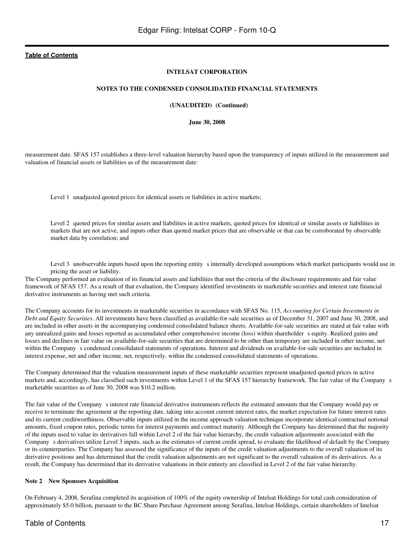#### **INTELSAT CORPORATION**

#### **NOTES TO THE CONDENSED CONSOLIDATED FINANCIAL STATEMENTS**

#### **(UNAUDITED)(Continued)**

#### **June 30, 2008**

measurement date. SFAS 157 establishes a three-level valuation hierarchy based upon the transparency of inputs utilized in the measurement and valuation of financial assets or liabilities as of the measurement date:

Level 1 unadjusted quoted prices for identical assets or liabilities in active markets;

Level 2 quoted prices for similar assets and liabilities in active markets, quoted prices for identical or similar assets or liabilities in markets that are not active, and inputs other than quoted market prices that are observable or that can be corroborated by observable market data by correlation; and

Level 3 unobservable inputs based upon the reporting entity s internally developed assumptions which market participants would use in pricing the asset or liability.

The Company performed an evaluation of its financial assets and liabilities that met the criteria of the disclosure requirements and fair value framework of SFAS 157. As a result of that evaluation, the Company identified investments in marketable securities and interest rate financial derivative instruments as having met such criteria.

The Company accounts for its investments in marketable securities in accordance with SFAS No. 115, *Accounting for Certain Investments in Debt and Equity Securities*. All investments have been classified as available-for-sale securities as of December 31, 2007 and June 30, 2008, and are included in other assets in the accompanying condensed consolidated balance sheets. Available-for-sale securities are stated at fair value with any unrealized gains and losses reported as accumulated other comprehensive income (loss) within shareholder s equity. Realized gains and losses and declines in fair value on available-for-sale securities that are determined to be other than temporary are included in other income, net within the Company s condensed consolidated statements of operations. Interest and dividends on available-for-sale securities are included in interest expense, net and other income, net, respectively, within the condensed consolidated statements of operations.

The Company determined that the valuation measurement inputs of these marketable securities represent unadjusted quoted prices in active markets and, accordingly, has classified such investments within Level 1 of the SFAS 157 hierarchy framework. The fair value of the Companys marketable securities as of June 30, 2008 was \$10.2 million.

The fair value of the Company s interest rate financial derivative instruments reflects the estimated amounts that the Company would pay or receive to terminate the agreement at the reporting date, taking into account current interest rates, the market expectation for future interest rates and its current creditworthiness. Observable inputs utilized in the income approach valuation technique incorporate identical contractual notional amounts, fixed coupon rates, periodic terms for interest payments and contract maturity. Although the Company has determined that the majority of the inputs used to value its derivatives fall within Level 2 of the fair value hierarchy, the credit valuation adjustments associated with the Companys derivatives utilize Level 3 inputs, such as the estimates of current credit spread, to evaluate the likelihood of default by the Company or its counterparties. The Company has assessed the significance of the inputs of the credit valuation adjustments to the overall valuation of its derivative positions and has determined that the credit valuation adjustments are not significant to the overall valuation of its derivatives. As a result, the Company has determined that its derivative valuations in their entirety are classified in Level 2 of the fair value hierarchy.

#### **Note 2 New Sponsors Acquisition**

On February 4, 2008, Serafina completed its acquisition of 100% of the equity ownership of Intelsat Holdings for total cash consideration of approximately \$5.0 billion, pursuant to the BC Share Purchase Agreement among Serafina, Intelsat Holdings, certain shareholders of Intelsat

## Table of Contents 17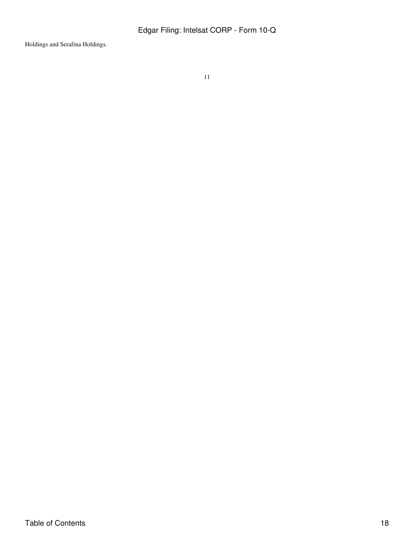Holdings and Serafina Holdings.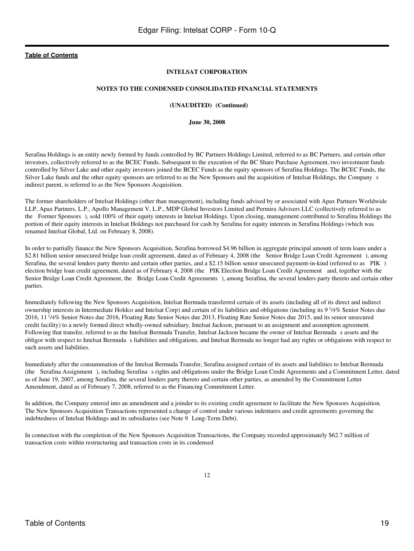#### **INTELSAT CORPORATION**

#### **NOTES TO THE CONDENSED CONSOLIDATED FINANCIAL STATEMENTS**

#### **(UNAUDITED)(Continued)**

**June 30, 2008**

Serafina Holdings is an entity newly formed by funds controlled by BC Partners Holdings Limited, referred to as BC Partners, and certain other investors, collectively referred to as the BCEC Funds. Subsequent to the execution of the BC Share Purchase Agreement, two investment funds controlled by Silver Lake and other equity investors joined the BCEC Funds as the equity sponsors of Serafina Holdings. The BCEC Funds, the Silver Lake funds and the other equity sponsors are referred to as the New Sponsors and the acquisition of Intelsat Holdings, the Companys indirect parent, is referred to as the New Sponsors Acquisition.

The former shareholders of Intelsat Holdings (other than management), including funds advised by or associated with Apax Partners Worldwide LLP, Apax Partners, L.P., Apollo Management V, L.P., MDP Global Investors Limited and Permira Advisers LLC (collectively referred to as the Former Sponsors), sold 100% of their equity interests in Intelsat Holdings. Upon closing, management contributed to Serafina Holdings the portion of their equity interests in Intelsat Holdings not purchased for cash by Serafina for equity interests in Serafina Holdings (which was renamed Intelsat Global, Ltd. on February 8, 2008).

In order to partially finance the New Sponsors Acquisition, Serafina borrowed \$4.96 billion in aggregate principal amount of term loans under a \$2.81 billion senior unsecured bridge loan credit agreement, dated as of February 4, 2008 (the Senior Bridge Loan Credit Agreement), among Serafina, the several lenders party thereto and certain other parties, and a \$2.15 billion senior unsecured payment-in-kind (referred to as PIK) election bridge loan credit agreement, dated as of February 4, 2008 (the PIK Election Bridge Loan Credit Agreement and, together with the Senior Bridge Loan Credit Agreement, the Bridge Loan Credit Agreements), among Serafina, the several lenders party thereto and certain other parties.

Immediately following the New Sponsors Acquisition, Intelsat Bermuda transferred certain of its assets (including all of its direct and indirect ownership interests in Intermediate Holdco and Intelsat Corp) and certain of its liabilities and obligations (including its 9<sup>1</sup>/4% Senior Notes due 2016, 11<sup>1</sup>/4% Senior Notes due 2016, Floating Rate Senior Notes due 2013, Floating Rate Senior Notes due 2015, and its senior unsecured credit facility) to a newly formed direct wholly-owned subsidiary, Intelsat Jackson, pursuant to an assignment and assumption agreement. Following that transfer, referred to as the Intelsat Bermuda Transfer, Intelsat Jackson became the owner of Intelsat Bermuda s assets and the obligor with respect to Intelsat Bermuda s liabilities and obligations, and Intelsat Bermuda no longer had any rights or obligations with respect to such assets and liabilities.

Immediately after the consummation of the Intelsat Bermuda Transfer, Serafina assigned certain of its assets and liabilities to Intelsat Bermuda (the Serafina Assignment), including Serafinas rights and obligations under the Bridge Loan Credit Agreements and a Commitment Letter, dated as of June 19, 2007, among Serafina, the several lenders party thereto and certain other parties, as amended by the Commitment Letter Amendment, dated as of February 7, 2008, referred to as the Financing Commitment Letter.

In addition, the Company entered into an amendment and a joinder to its existing credit agreement to facilitate the New Sponsors Acquisition. The New Sponsors Acquisition Transactions represented a change of control under various indentures and credit agreements governing the indebtedness of Intelsat Holdings and its subsidiaries (see Note 9 Long-Term Debt).

In connection with the completion of the New Sponsors Acquisition Transactions, the Company recorded approximately \$62.7 million of transaction costs within restructuring and transaction costs in its condensed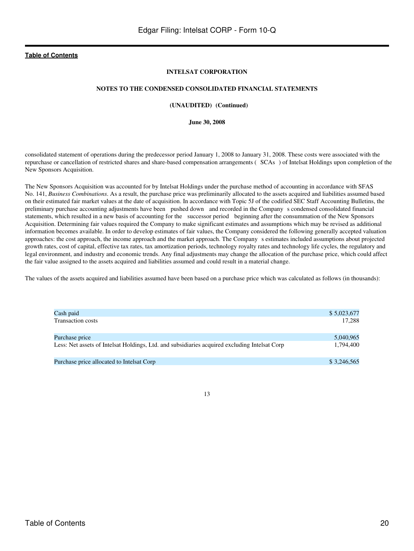#### **INTELSAT CORPORATION**

#### **NOTES TO THE CONDENSED CONSOLIDATED FINANCIAL STATEMENTS**

#### **(UNAUDITED)(Continued)**

**June 30, 2008**

consolidated statement of operations during the predecessor period January 1, 2008 to January 31, 2008. These costs were associated with the repurchase or cancellation of restricted shares and share-based compensation arrangements (SCAs) of Intelsat Holdings upon completion of the New Sponsors Acquisition.

The New Sponsors Acquisition was accounted for by Intelsat Holdings under the purchase method of accounting in accordance with SFAS No. 141, *Business Combinations*. As a result, the purchase price was preliminarily allocated to the assets acquired and liabilities assumed based on their estimated fair market values at the date of acquisition. In accordance with Topic 5J of the codified SEC Staff Accounting Bulletins, the preliminary purchase accounting adjustments have been pushed down and recorded in the Companys condensed consolidated financial statements, which resulted in a new basis of accounting for the successor period beginning after the consummation of the New Sponsors Acquisition. Determining fair values required the Company to make significant estimates and assumptions which may be revised as additional information becomes available. In order to develop estimates of fair values, the Company considered the following generally accepted valuation approaches: the cost approach, the income approach and the market approach. The Company s estimates included assumptions about projected growth rates, cost of capital, effective tax rates, tax amortization periods, technology royalty rates and technology life cycles, the regulatory and legal environment, and industry and economic trends. Any final adjustments may change the allocation of the purchase price, which could affect the fair value assigned to the assets acquired and liabilities assumed and could result in a material change.

The values of the assets acquired and liabilities assumed have been based on a purchase price which was calculated as follows (in thousands):

| Cash paid                                                                                     | \$5,023,677 |
|-----------------------------------------------------------------------------------------------|-------------|
| <b>Transaction costs</b>                                                                      | 17.288      |
| Purchase price                                                                                | 5,040,965   |
| Less: Net assets of Intelsat Holdings, Ltd. and subsidiaries acquired excluding Intelsat Corp | 1.794.400   |
| Purchase price allocated to Intelsat Corp                                                     | \$3,246,565 |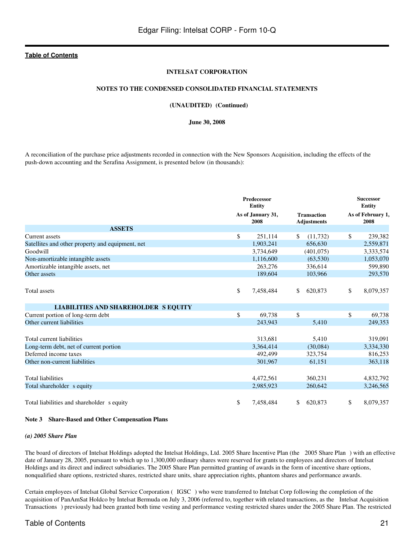#### **INTELSAT CORPORATION**

#### **NOTES TO THE CONDENSED CONSOLIDATED FINANCIAL STATEMENTS**

#### **(UNAUDITED)(Continued)**

#### **June 30, 2008**

A reconciliation of the purchase price adjustments recorded in connection with the New Sponsors Acquisition, including the effects of the push-down accounting and the Serafina Assignment, is presented below (in thousands):

|                                                  | Predecessor<br><b>Entity</b><br>As of January 31,<br>2008 | <b>Transaction</b><br><b>Adjustments</b> | <b>Successor</b><br><b>Entity</b><br>As of February 1,<br>2008 |
|--------------------------------------------------|-----------------------------------------------------------|------------------------------------------|----------------------------------------------------------------|
| <b>ASSETS</b>                                    |                                                           |                                          |                                                                |
| Current assets                                   | \$<br>251,114                                             | \$<br>(11, 732)                          | \$<br>239,382                                                  |
| Satellites and other property and equipment, net | 1,903,241                                                 | 656,630                                  | 2,559,871                                                      |
| Goodwill                                         | 3,734,649                                                 | (401, 075)                               | 3,333,574                                                      |
| Non-amortizable intangible assets                | 1.116.600                                                 | (63, 530)                                | 1,053,070                                                      |
| Amortizable intangible assets, net               | 263,276                                                   | 336,614                                  | 599,890                                                        |
| Other assets                                     | 189,604                                                   | 103,966                                  | 293,570                                                        |
| <b>Total assets</b>                              | \$<br>7,458,484                                           | \$<br>620,873                            | \$<br>8,079,357                                                |
| <b>LIABILITIES AND SHAREHOLDER S EQUITY</b>      |                                                           |                                          |                                                                |
| Current portion of long-term debt                | \$<br>69.738                                              | \$                                       | \$<br>69,738                                                   |
| Other current liabilities                        | 243.943                                                   | 5.410                                    | 249.353                                                        |
|                                                  |                                                           |                                          |                                                                |
| Total current liabilities                        | 313,681                                                   | 5,410                                    | 319,091                                                        |
| Long-term debt, net of current portion           | 3,364,414                                                 | (30,084)                                 | 3,334,330                                                      |
| Deferred income taxes                            | 492,499                                                   | 323.754                                  | 816,253                                                        |
| Other non-current liabilities                    | 301,967                                                   | 61,151                                   | 363,118                                                        |
|                                                  |                                                           |                                          |                                                                |
| <b>Total liabilities</b>                         | 4,472,561                                                 | 360,231                                  | 4,832,792                                                      |
| Total shareholder s equity                       | 2,985,923                                                 | 260,642                                  | 3,246,565                                                      |
|                                                  |                                                           |                                          |                                                                |
| Total liabilities and shareholder s equity       | \$<br>7,458,484                                           | \$<br>620,873                            | \$<br>8,079,357                                                |

#### **Note 3 Share-Based and Other Compensation Plans**

#### *(a) 2005 Share Plan*

The board of directors of Intelsat Holdings adopted the Intelsat Holdings, Ltd. 2005 Share Incentive Plan (the 2005 Share Plan) with an effective date of January 28, 2005, pursuant to which up to 1,300,000 ordinary shares were reserved for grants to employees and directors of Intelsat Holdings and its direct and indirect subsidiaries. The 2005 Share Plan permitted granting of awards in the form of incentive share options, nonqualified share options, restricted shares, restricted share units, share appreciation rights, phantom shares and performance awards.

Certain employees of Intelsat Global Service Corporation (IGSC) who were transferred to Intelsat Corp following the completion of the acquisition of PanAmSat Holdco by Intelsat Bermuda on July 3, 2006 (referred to, together with related transactions, as the Intelsat Acquisition Transactions) previously had been granted both time vesting and performance vesting restricted shares under the 2005 Share Plan. The restricted

#### Table of Contents 21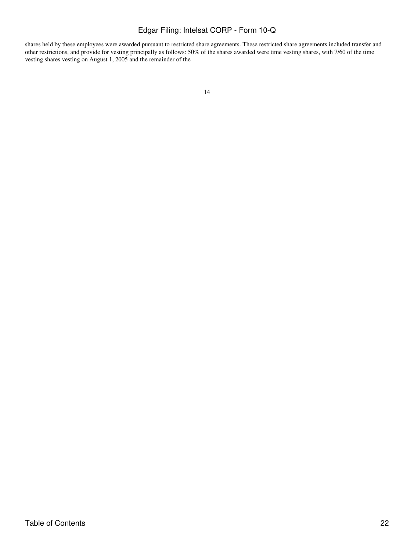shares held by these employees were awarded pursuant to restricted share agreements. These restricted share agreements included transfer and other restrictions, and provide for vesting principally as follows: 50% of the shares awarded were time vesting shares, with 7/60 of the time vesting shares vesting on August 1, 2005 and the remainder of the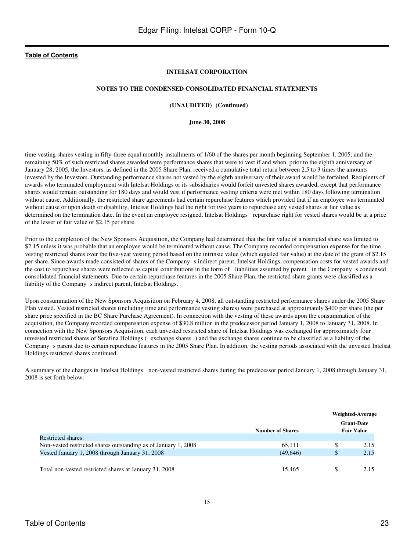#### **INTELSAT CORPORATION**

#### **NOTES TO THE CONDENSED CONSOLIDATED FINANCIAL STATEMENTS**

#### **(UNAUDITED)(Continued)**

**June 30, 2008**

time vesting shares vesting in fifty-three equal monthly installments of 1/60 of the shares per month beginning September 1, 2005; and the remaining 50% of such restricted shares awarded were performance shares that were to vest if and when, prior to the eighth anniversary of January 28, 2005, the Investors, as defined in the 2005 Share Plan, received a cumulative total return between 2.5 to 3 times the amounts invested by the Investors. Outstanding performance shares not vested by the eighth anniversary of their award would be forfeited. Recipients of awards who terminated employment with Intelsat Holdings or its subsidiaries would forfeit unvested shares awarded, except that performance shares would remain outstanding for 180 days and would vest if performance vesting criteria were met within 180 days following termination without cause. Additionally, the restricted share agreements had certain repurchase features which provided that if an employee was terminated without cause or upon death or disability, Intelsat Holdings had the right for two years to repurchase any vested shares at fair value as determined on the termination date. In the event an employee resigned, Intelsat Holdings repurchase right for vested shares would be at a price of the lesser of fair value or \$2.15 per share.

Prior to the completion of the New Sponsors Acquisition, the Company had determined that the fair value of a restricted share was limited to \$2.15 unless it was probable that an employee would be terminated without cause. The Company recorded compensation expense for the time vesting restricted shares over the five-year vesting period based on the intrinsic value (which equaled fair value) at the date of the grant of \$2.15 per share. Since awards made consisted of shares of the Company s indirect parent, Intelsat Holdings, compensation costs for vested awards and the cost to repurchase shares were reflected as capital contributions in the form of liabilities assumed by parent in the Companys condensed consolidated financial statements. Due to certain repurchase features in the 2005 Share Plan, the restricted share grants were classified as a liability of the Company s indirect parent, Intelsat Holdings.

Upon consummation of the New Sponsors Acquisition on February 4, 2008, all outstanding restricted performance shares under the 2005 Share Plan vested. Vested restricted shares (including time and performance vesting shares) were purchased at approximately \$400 per share (the per share price specified in the BC Share Purchase Agreement). In connection with the vesting of these awards upon the consummation of the acquisition, the Company recorded compensation expense of \$30.8 million in the predecessor period January 1, 2008 to January 31, 2008. In connection with the New Sponsors Acquisition, each unvested restricted share of Intelsat Holdings was exchanged for approximately four unvested restricted shares of Serafina Holdings (exchange shares) and the exchange shares continue to be classified as a liability of the Companys parent due to certain repurchase features in the 2005 Share Plan. In addition, the vesting periods associated with the unvested Intelsat Holdings restricted shares continued.

A summary of the changes in Intelsat Holdings non-vested restricted shares during the predecessor period January 1, 2008 through January 31, 2008 is set forth below:

|                                                                |                         | Weighted-Average                       |
|----------------------------------------------------------------|-------------------------|----------------------------------------|
|                                                                | <b>Number of Shares</b> | <b>Grant-Date</b><br><b>Fair Value</b> |
| <b>Restricted shares:</b>                                      |                         |                                        |
| Non-vested restricted shares outstanding as of January 1, 2008 | 65.111                  | \$<br>2.15                             |
| Vested January 1, 2008 through January 31, 2008                | (49,646)                | \$<br>2.15                             |
|                                                                |                         |                                        |
| Total non-vested restricted shares at January 31, 2008         | 15.465                  | \$<br>2.15                             |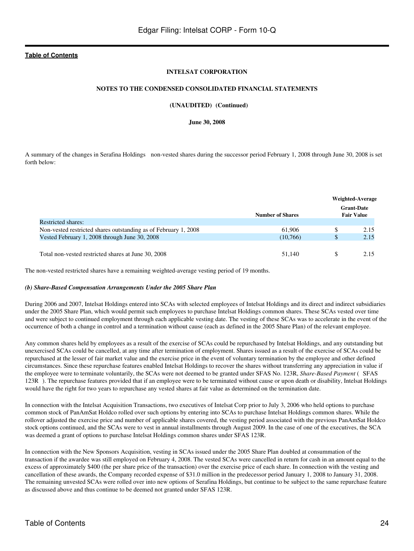#### **INTELSAT CORPORATION**

#### **NOTES TO THE CONDENSED CONSOLIDATED FINANCIAL STATEMENTS**

#### **(UNAUDITED)(Continued)**

#### **June 30, 2008**

A summary of the changes in Serafina Holdings non-vested shares during the successor period February 1, 2008 through June 30, 2008 is set forth below:

|                                                                 |                         | Weighted-Average |                                        |
|-----------------------------------------------------------------|-------------------------|------------------|----------------------------------------|
|                                                                 | <b>Number of Shares</b> |                  | <b>Grant-Date</b><br><b>Fair Value</b> |
| <b>Restricted shares:</b>                                       |                         |                  |                                        |
| Non-vested restricted shares outstanding as of February 1, 2008 | 61.906                  | \$               | 2.15                                   |
| Vested February 1, 2008 through June 30, 2008                   | (10,766)                | \$               | 2.15                                   |
| Total non-vested restricted shares at June 30, 2008             | 51.140                  | \$               | 2.15                                   |

The non-vested restricted shares have a remaining weighted-average vesting period of 19 months.

#### *(b) Share-Based Compensation Arrangements Under the 2005 Share Plan*

During 2006 and 2007, Intelsat Holdings entered into SCAs with selected employees of Intelsat Holdings and its direct and indirect subsidiaries under the 2005 Share Plan, which would permit such employees to purchase Intelsat Holdings common shares. These SCAs vested over time and were subject to continued employment through each applicable vesting date. The vesting of these SCAs was to accelerate in the event of the occurrence of both a change in control and a termination without cause (each as defined in the 2005 Share Plan) of the relevant employee.

Any common shares held by employees as a result of the exercise of SCAs could be repurchased by Intelsat Holdings, and any outstanding but unexercised SCAs could be cancelled, at any time after termination of employment. Shares issued as a result of the exercise of SCAs could be repurchased at the lesser of fair market value and the exercise price in the event of voluntary termination by the employee and other defined circumstances. Since these repurchase features enabled Intelsat Holdings to recover the shares without transferring any appreciation in value if the employee were to terminate voluntarily, the SCAs were not deemed to be granted under SFAS No. 123R, *Share-Based Payment* (SFAS 123R). The repurchase features provided that if an employee were to be terminated without cause or upon death or disability, Intelsat Holdings would have the right for two years to repurchase any vested shares at fair value as determined on the termination date.

In connection with the Intelsat Acquisition Transactions, two executives of Intelsat Corp prior to July 3, 2006 who held options to purchase common stock of PanAmSat Holdco rolled over such options by entering into SCAs to purchase Intelsat Holdings common shares. While the rollover adjusted the exercise price and number of applicable shares covered, the vesting period associated with the previous PanAmSat Holdco stock options continued, and the SCAs were to vest in annual installments through August 2009. In the case of one of the executives, the SCA was deemed a grant of options to purchase Intelsat Holdings common shares under SFAS 123R.

In connection with the New Sponsors Acquisition, vesting in SCAs issued under the 2005 Share Plan doubled at consummation of the transaction if the awardee was still employed on February 4, 2008. The vested SCAs were cancelled in return for cash in an amount equal to the excess of approximately \$400 (the per share price of the transaction) over the exercise price of each share. In connection with the vesting and cancellation of these awards, the Company recorded expense of \$31.0 million in the predecessor period January 1, 2008 to January 31, 2008. The remaining unvested SCAs were rolled over into new options of Serafina Holdings, but continue to be subject to the same repurchase feature as discussed above and thus continue to be deemed not granted under SFAS 123R.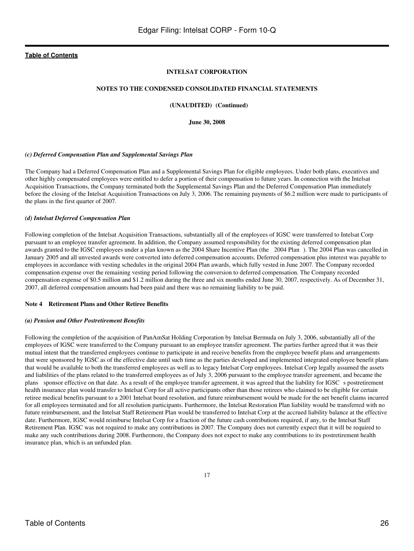#### **INTELSAT CORPORATION**

#### **NOTES TO THE CONDENSED CONSOLIDATED FINANCIAL STATEMENTS**

**(UNAUDITED)(Continued)**

**June 30, 2008**

#### *(c) Deferred Compensation Plan and Supplemental Savings Plan*

The Company had a Deferred Compensation Plan and a Supplemental Savings Plan for eligible employees. Under both plans, executives and other highly compensated employees were entitled to defer a portion of their compensation to future years. In connection with the Intelsat Acquisition Transactions, the Company terminated both the Supplemental Savings Plan and the Deferred Compensation Plan immediately before the closing of the Intelsat Acquisition Transactions on July 3, 2006. The remaining payments of \$6.2 million were made to participants of the plans in the first quarter of 2007.

#### *(d) Intelsat Deferred Compensation Plan*

Following completion of the Intelsat Acquisition Transactions, substantially all of the employees of IGSC were transferred to Intelsat Corp pursuant to an employee transfer agreement. In addition, the Company assumed responsibility for the existing deferred compensation plan awards granted to the IGSC employees under a plan known as the 2004 Share Incentive Plan (the 2004 Plan). The 2004 Plan was cancelled in January 2005 and all unvested awards were converted into deferred compensation accounts. Deferred compensation plus interest was payable to employees in accordance with vesting schedules in the original 2004 Plan awards, which fully vested in June 2007. The Company recorded compensation expense over the remaining vesting period following the conversion to deferred compensation. The Company recorded compensation expense of \$0.5 million and \$1.2 million during the three and six months ended June 30, 2007, respectively. As of December 31, 2007, all deferred compensation amounts had been paid and there was no remaining liability to be paid.

#### **Note 4 Retirement Plans and Other Retiree Benefits**

#### *(a) Pension and Other Postretirement Benefits*

Following the completion of the acquisition of PanAmSat Holding Corporation by Intelsat Bermuda on July 3, 2006, substantially all of the employees of IGSC were transferred to the Company pursuant to an employee transfer agreement. The parties further agreed that it was their mutual intent that the transferred employees continue to participate in and receive benefits from the employee benefit plans and arrangements that were sponsored by IGSC as of the effective date until such time as the parties developed and implemented integrated employee benefit plans that would be available to both the transferred employees as well as to legacy Intelsat Corp employees. Intelsat Corp legally assumed the assets and liabilities of the plans related to the transferred employees as of July 3, 2006 pursuant to the employee transfer agreement, and became the plans sponsor effective on that date. As a result of the employee transfer agreement, it was agreed that the liability for IGSC s postretirement health insurance plan would transfer to Intelsat Corp for all active participants other than those retirees who claimed to be eligible for certain retiree medical benefits pursuant to a 2001 Intelsat board resolution, and future reimbursement would be made for the net benefit claims incurred for all employees terminated and for all resolution participants. Furthermore, the Intelsat Restoration Plan liability would be transferred with no future reimbursement, and the Intelsat Staff Retirement Plan would be transferred to Intelsat Corp at the accrued liability balance at the effective date. Furthermore, IGSC would reimburse Intelsat Corp for a fraction of the future cash contributions required, if any, to the Intelsat Staff Retirement Plan. IGSC was not required to make any contributions in 2007. The Company does not currently expect that it will be required to make any such contributions during 2008. Furthermore, the Company does not expect to make any contributions to its postretirement health insurance plan, which is an unfunded plan.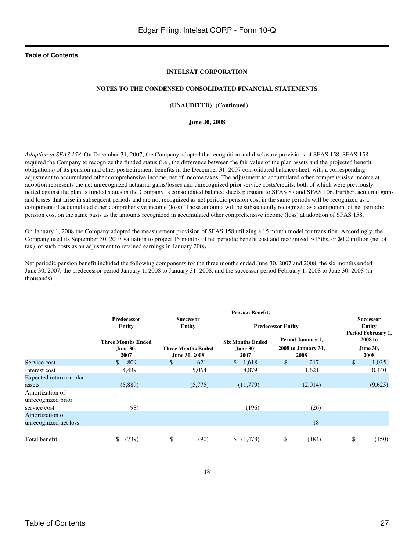#### **INTELSAT CORPORATION**

#### **NOTES TO THE CONDENSED CONSOLIDATED FINANCIAL STATEMENTS**

#### **(UNAUDITED)(Continued)**

**June 30, 2008**

*Adoption of SFAS 158.* On December 31, 2007, the Company adopted the recognition and disclosure provisions of SFAS 158. SFAS 158 required the Company to recognize the funded status (i.e., the difference between the fair value of the plan assets and the projected benefit obligations) of its pension and other postretirement benefits in the December 31, 2007 consolidated balance sheet, with a corresponding adjustment to accumulated other comprehensive income, net of income taxes. The adjustment to accumulated other comprehensive income at adoption represents the net unrecognized actuarial gains/losses and unrecognized prior service costs/credits, both of which were previously netted against the plan s funded status in the Company s consolidated balance sheets pursuant to SFAS 87 and SFAS 106. Further, actuarial gains and losses that arise in subsequent periods and are not recognized as net periodic pension cost in the same periods will be recognized as a component of accumulated other comprehensive income (loss). Those amounts will be subsequently recognized as a component of net periodic pension cost on the same basis as the amounts recognized in accumulated other comprehensive income (loss) at adoption of SFAS 158.

On January 1, 2008 the Company adopted the measurement provision of SFAS 158 utilizing a 15 month model for transition. Accordingly, the Company used its September 30, 2007 valuation to project 15 months of net periodic benefit cost and recognized 3/15ths, or \$0.2 million (net of tax), of such costs as an adjustment to retained earnings in January 2008.

Net periodic pension benefit included the following components for the three months ended June 30, 2007 and 2008, the six months ended June 30, 2007, the predecessor period January 1, 2008 to January 31, 2008, and the successor period February 1, 2008 to June 30, 2008 (in thousands):

|                                          | <b>Pension Benefits</b>                                   |                                     |                                   |                           |                                                                                        |         |                                                  |         |
|------------------------------------------|-----------------------------------------------------------|-------------------------------------|-----------------------------------|---------------------------|----------------------------------------------------------------------------------------|---------|--------------------------------------------------|---------|
|                                          | Predecessor<br><b>Entity</b><br><b>Three Months Ended</b> |                                     | <b>Successor</b><br><b>Entity</b> | <b>Predecessor Entity</b> | <b>Successor</b><br>Entity<br>Period February 1.<br>2008 to<br><b>June 30,</b><br>2008 |         |                                                  |         |
|                                          |                                                           | Three Months Ended<br>June 30, 2008 |                                   | <b>Six Months Ended</b>   |                                                                                        |         | Period January 1,<br>2008 to January 31,<br>2008 |         |
|                                          | <b>June 30,</b><br>2007                                   |                                     |                                   | <b>June 30,</b><br>2007   |                                                                                        |         |                                                  |         |
| Service cost                             | 809<br>\$                                                 | \$                                  | 621                               | 1,618<br>$\mathbb{S}$     | \$                                                                                     | 217     | \$                                               | 1,035   |
| Interest cost                            | 4,439                                                     |                                     | 5,064                             | 8,879                     |                                                                                        | 1,621   |                                                  | 8,440   |
| Expected return on plan                  |                                                           |                                     |                                   |                           |                                                                                        |         |                                                  |         |
| assets                                   | (5,889)                                                   |                                     | (5,775)                           | (11,779)                  |                                                                                        | (2,014) |                                                  | (9,625) |
| Amortization of<br>unrecognized prior    |                                                           |                                     |                                   |                           |                                                                                        |         |                                                  |         |
| service cost                             | (98)                                                      |                                     |                                   | (196)                     |                                                                                        | (26)    |                                                  |         |
| Amortization of<br>unrecognized net loss |                                                           |                                     |                                   |                           |                                                                                        | 18      |                                                  |         |
| Total benefit                            | (739)<br>S.                                               | \$                                  | (90)                              | (1,478)                   | \$                                                                                     | (184)   | \$                                               | (150)   |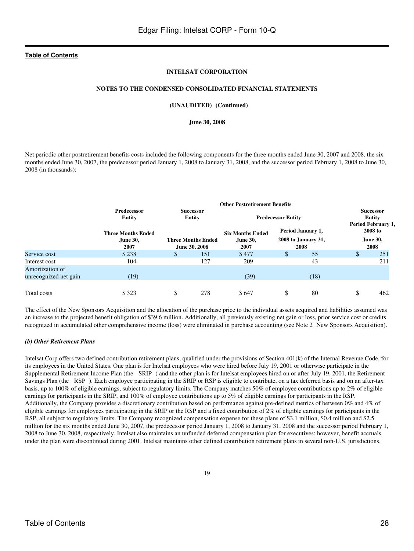#### **INTELSAT CORPORATION**

#### **NOTES TO THE CONDENSED CONSOLIDATED FINANCIAL STATEMENTS**

#### **(UNAUDITED)(Continued)**

#### **June 30, 2008**

Net periodic other postretirement benefits costs included the following components for the three months ended June 30, 2007 and 2008, the six months ended June 30, 2007, the predecessor period January 1, 2008 to January 31, 2008, and the successor period February 1, 2008 to June 30, 2008 (in thousands):

|                                          | <b>Other Postretirement Benefits</b> |                            |                                            |                           |                                                  |      |                         |     |  |
|------------------------------------------|--------------------------------------|----------------------------|--------------------------------------------|---------------------------|--------------------------------------------------|------|-------------------------|-----|--|
|                                          | Predecessor<br>Entity                | <b>Successor</b><br>Entity |                                            | <b>Predecessor Entity</b> | <b>Successor</b><br>Entity<br>Period February 1, |      |                         |     |  |
|                                          | <b>Three Months Ended</b>            |                            |                                            | <b>Six Months Ended</b>   | Period January 1,                                |      | 2008 to                 |     |  |
|                                          | <b>June 30,</b><br>2007              |                            | <b>Three Months Ended</b><br>June 30, 2008 | <b>June 30,</b><br>2007   | 2008 to January 31,<br>2008                      |      | <b>June 30,</b><br>2008 |     |  |
| Service cost                             | \$238                                | \$                         | 151                                        | \$477                     | \$                                               | 55   | $\mathbb{S}$            | 251 |  |
| Interest cost                            | 104                                  |                            | 127                                        | 209                       |                                                  | 43   |                         | 211 |  |
| Amortization of<br>unrecognized net gain | (19)                                 |                            |                                            | (39)                      |                                                  | (18) |                         |     |  |
| Total costs                              | \$323                                | \$                         | 278                                        | \$647                     | S                                                | 80   | S                       | 462 |  |

The effect of the New Sponsors Acquisition and the allocation of the purchase price to the individual assets acquired and liabilities assumed was an increase to the projected benefit obligation of \$39.6 million. Additionally, all previously existing net gain or loss, prior service cost or credits recognized in accumulated other comprehensive income (loss) were eliminated in purchase accounting (see Note 2 New Sponsors Acquisition).

#### *(b) Other Retirement Plans*

Intelsat Corp offers two defined contribution retirement plans, qualified under the provisions of Section 401(k) of the Internal Revenue Code, for its employees in the United States. One plan is for Intelsat employees who were hired before July 19, 2001 or otherwise participate in the Supplemental Retirement Income Plan (the SRIP) and the other plan is for Intelsat employees hired on or after July 19, 2001, the Retirement Savings Plan (the RSP). Each employee participating in the SRIP or RSP is eligible to contribute, on a tax deferred basis and on an after-tax basis, up to 100% of eligible earnings, subject to regulatory limits. The Company matches 50% of employee contributions up to 2% of eligible earnings for participants in the SRIP, and 100% of employee contributions up to 5% of eligible earnings for participants in the RSP. Additionally, the Company provides a discretionary contribution based on performance against pre-defined metrics of between 0% and 4% of eligible earnings for employees participating in the SRIP or the RSP and a fixed contribution of 2% of eligible earnings for participants in the RSP, all subject to regulatory limits. The Company recognized compensation expense for these plans of \$3.1 million, \$0.4 million and \$2.5 million for the six months ended June 30, 2007, the predecessor period January 1, 2008 to January 31, 2008 and the successor period February 1, 2008 to June 30, 2008, respectively. Intelsat also maintains an unfunded deferred compensation plan for executives; however, benefit accruals under the plan were discontinued during 2001. Intelsat maintains other defined contribution retirement plans in several non-U.S. jurisdictions.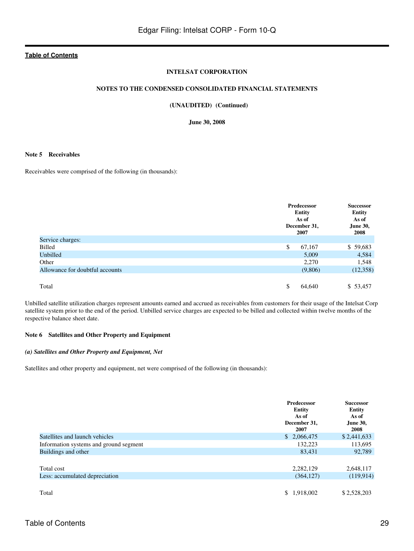#### **INTELSAT CORPORATION**

#### **NOTES TO THE CONDENSED CONSOLIDATED FINANCIAL STATEMENTS**

#### **(UNAUDITED)(Continued)**

#### **June 30, 2008**

#### **Note 5 Receivables**

Receivables were comprised of the following (in thousands):

|                                 | Predecessor<br>Entity<br>As of<br>December 31,<br>2007 |           |  |
|---------------------------------|--------------------------------------------------------|-----------|--|
| Service charges:                |                                                        |           |  |
| Billed                          | \$<br>67,167                                           | \$59,683  |  |
| Unbilled                        | 5,009                                                  | 4,584     |  |
| Other                           | 2,270                                                  | 1,548     |  |
| Allowance for doubtful accounts | (9,806)                                                | (12, 358) |  |
| Total                           | \$<br>64,640                                           | \$ 53,457 |  |

Unbilled satellite utilization charges represent amounts earned and accrued as receivables from customers for their usage of the Intelsat Corp satellite system prior to the end of the period. Unbilled service charges are expected to be billed and collected within twelve months of the respective balance sheet date.

#### **Note 6 Satellites and Other Property and Equipment**

#### *(a) Satellites and Other Property and Equipment, Net*

Satellites and other property and equipment, net were comprised of the following (in thousands):

|                                        | <b>Predecessor</b><br>Entity<br>As of<br>December 31,<br>2007 | <b>Successor</b><br>Entity<br>As of<br>June 30,<br>2008 |
|----------------------------------------|---------------------------------------------------------------|---------------------------------------------------------|
| Satellites and launch vehicles         | \$2,066,475                                                   | \$2,441,633                                             |
| Information systems and ground segment | 132,223                                                       | 113,695                                                 |
| Buildings and other                    | 83,431                                                        | 92,789                                                  |
|                                        |                                                               |                                                         |
| Total cost                             | 2,282,129                                                     | 2,648,117                                               |
| Less: accumulated depreciation         | (364, 127)                                                    | (119, 914)                                              |
| Total                                  | \$1,918,002                                                   | \$2,528,203                                             |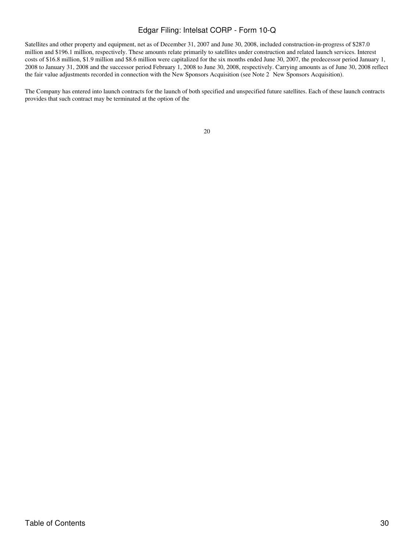Satellites and other property and equipment, net as of December 31, 2007 and June 30, 2008, included construction-in-progress of \$287.0 million and \$196.1 million, respectively. These amounts relate primarily to satellites under construction and related launch services. Interest costs of \$16.8 million, \$1.9 million and \$8.6 million were capitalized for the six months ended June 30, 2007, the predecessor period January 1, 2008 to January 31, 2008 and the successor period February 1, 2008 to June 30, 2008, respectively. Carrying amounts as of June 30, 2008 reflect the fair value adjustments recorded in connection with the New Sponsors Acquisition (see Note 2 New Sponsors Acquisition).

The Company has entered into launch contracts for the launch of both specified and unspecified future satellites. Each of these launch contracts provides that such contract may be terminated at the option of the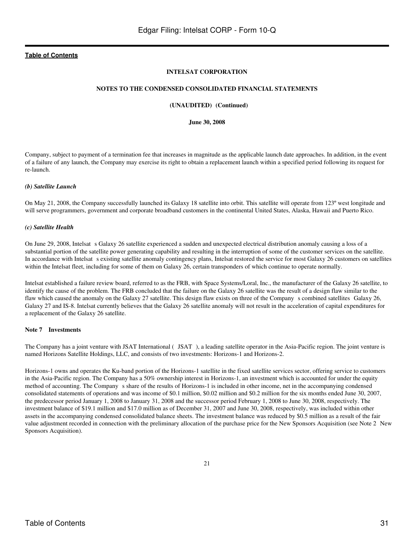#### **INTELSAT CORPORATION**

#### **NOTES TO THE CONDENSED CONSOLIDATED FINANCIAL STATEMENTS**

#### **(UNAUDITED)(Continued)**

#### **June 30, 2008**

Company, subject to payment of a termination fee that increases in magnitude as the applicable launch date approaches. In addition, in the event of a failure of any launch, the Company may exercise its right to obtain a replacement launch within a specified period following its request for re-launch.

#### *(b) Satellite Launch*

On May 21, 2008, the Company successfully launched its Galaxy 18 satellite into orbit. This satellite will operate from 123º west longitude and will serve programmers, government and corporate broadband customers in the continental United States, Alaska, Hawaii and Puerto Rico.

#### *(c) Satellite Health*

On June 29, 2008, Intelsat s Galaxy 26 satellite experienced a sudden and unexpected electrical distribution anomaly causing a loss of a substantial portion of the satellite power generating capability and resulting in the interruption of some of the customer services on the satellite. In accordance with Intelsat s existing satellite anomaly contingency plans, Intelsat restored the service for most Galaxy 26 customers on satellites within the Intelsat fleet, including for some of them on Galaxy 26, certain transponders of which continue to operate normally.

Intelsat established a failure review board, referred to as the FRB, with Space Systems/Loral, Inc., the manufacturer of the Galaxy 26 satellite, to identify the cause of the problem. The FRB concluded that the failure on the Galaxy 26 satellite was the result of a design flaw similar to the flaw which caused the anomaly on the Galaxy 27 satellite. This design flaw exists on three of the Company s combined satellites Galaxy 26, Galaxy 27 and IS-8. Intelsat currently believes that the Galaxy 26 satellite anomaly will not result in the acceleration of capital expenditures for a replacement of the Galaxy 26 satellite.

#### **Note 7 Investments**

The Company has a joint venture with JSAT International (JSAT), a leading satellite operator in the Asia-Pacific region. The joint venture is named Horizons Satellite Holdings, LLC, and consists of two investments: Horizons-1 and Horizons-2.

Horizons-1 owns and operates the Ku-band portion of the Horizons-1 satellite in the fixed satellite services sector, offering service to customers in the Asia-Pacific region. The Company has a 50% ownership interest in Horizons-1, an investment which is accounted for under the equity method of accounting. The Company s share of the results of Horizons-1 is included in other income, net in the accompanying condensed consolidated statements of operations and was income of \$0.1 million, \$0.02 million and \$0.2 million for the six months ended June 30, 2007, the predecessor period January 1, 2008 to January 31, 2008 and the successor period February 1, 2008 to June 30, 2008, respectively. The investment balance of \$19.1 million and \$17.0 million as of December 31, 2007 and June 30, 2008, respectively, was included within other assets in the accompanying condensed consolidated balance sheets. The investment balance was reduced by \$0.5 million as a result of the fair value adjustment recorded in connection with the preliminary allocation of the purchase price for the New Sponsors Acquisition (see Note 2 New Sponsors Acquisition).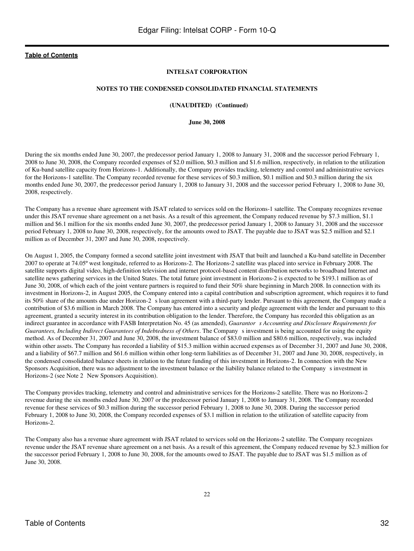#### **INTELSAT CORPORATION**

#### **NOTES TO THE CONDENSED CONSOLIDATED FINANCIAL STATEMENTS**

#### **(UNAUDITED)(Continued)**

#### **June 30, 2008**

During the six months ended June 30, 2007, the predecessor period January 1, 2008 to January 31, 2008 and the successor period February 1, 2008 to June 30, 2008, the Company recorded expenses of \$2.0 million, \$0.3 million and \$1.6 million, respectively, in relation to the utilization of Ku-band satellite capacity from Horizons-1. Additionally, the Company provides tracking, telemetry and control and administrative services for the Horizons-1 satellite. The Company recorded revenue for these services of \$0.3 million, \$0.1 million and \$0.3 million during the six months ended June 30, 2007, the predecessor period January 1, 2008 to January 31, 2008 and the successor period February 1, 2008 to June 30, 2008, respectively.

The Company has a revenue share agreement with JSAT related to services sold on the Horizons-1 satellite. The Company recognizes revenue under this JSAT revenue share agreement on a net basis. As a result of this agreement, the Company reduced revenue by \$7.3 million, \$1.1 million and \$6.1 million for the six months ended June 30, 2007, the predecessor period January 1, 2008 to January 31, 2008 and the successor period February 1, 2008 to June 30, 2008, respectively, for the amounts owed to JSAT. The payable due to JSAT was \$2.5 million and \$2.1 million as of December 31, 2007 and June 30, 2008, respectively.

On August 1, 2005, the Company formed a second satellite joint investment with JSAT that built and launched a Ku-band satellite in December 2007 to operate at 74.05º west longitude, referred to as Horizons-2. The Horizons-2 satellite was placed into service in February 2008. The satellite supports digital video, high-definition television and internet protocol-based content distribution networks to broadband Internet and satellite news gathering services in the United States. The total future joint investment in Horizons-2 is expected to be \$193.1 million as of June 30, 2008, of which each of the joint venture partners is required to fund their 50% share beginning in March 2008. In connection with its investment in Horizons-2, in August 2005, the Company entered into a capital contribution and subscription agreement, which requires it to fund its 50% share of the amounts due under Horizon-2s loan agreement with a third-party lender. Pursuant to this agreement, the Company made a contribution of \$3.6 million in March 2008. The Company has entered into a security and pledge agreement with the lender and pursuant to this agreement, granted a security interest in its contribution obligation to the lender. Therefore, the Company has recorded this obligation as an indirect guarantee in accordance with FASB Interpretation No. 45 (as amended), *Guarantors Accounting and Disclosure Requirements for Guarantees, Including Indirect Guarantees of Indebtedness of Others*. The Company s investment is being accounted for using the equity method. As of December 31, 2007 and June 30, 2008, the investment balance of \$83.0 million and \$80.6 million, respectively, was included within other assets. The Company has recorded a liability of \$15.3 million within accrued expenses as of December 31, 2007 and June 30, 2008, and a liability of \$67.7 million and \$61.6 million within other long-term liabilities as of December 31, 2007 and June 30, 2008, respectively, in the condensed consolidated balance sheets in relation to the future funding of this investment in Horizons-2. In connection with the New Sponsors Acquisition, there was no adjustment to the investment balance or the liability balance related to the Company s investment in Horizons-2 (see Note 2 New Sponsors Acquisition).

The Company provides tracking, telemetry and control and administrative services for the Horizons-2 satellite. There was no Horizons-2 revenue during the six months ended June 30, 2007 or the predecessor period January 1, 2008 to January 31, 2008. The Company recorded revenue for these services of \$0.3 million during the successor period February 1, 2008 to June 30, 2008. During the successor period February 1, 2008 to June 30, 2008, the Company recorded expenses of \$3.1 million in relation to the utilization of satellite capacity from Horizons-2.

The Company also has a revenue share agreement with JSAT related to services sold on the Horizons-2 satellite. The Company recognizes revenue under the JSAT revenue share agreement on a net basis. As a result of this agreement, the Company reduced revenue by \$2.3 million for the successor period February 1, 2008 to June 30, 2008, for the amounts owed to JSAT. The payable due to JSAT was \$1.5 million as of June 30, 2008.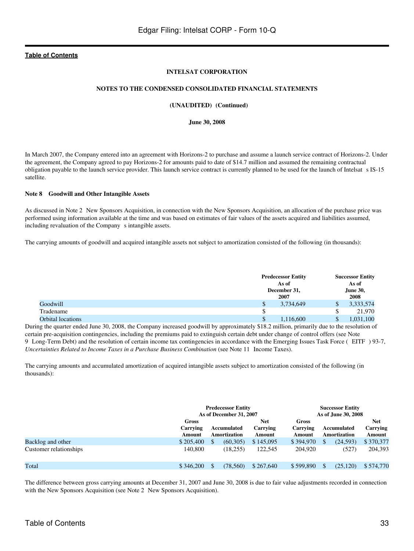#### **INTELSAT CORPORATION**

#### **NOTES TO THE CONDENSED CONSOLIDATED FINANCIAL STATEMENTS**

#### **(UNAUDITED)(Continued)**

**June 30, 2008**

In March 2007, the Company entered into an agreement with Horizons-2 to purchase and assume a launch service contract of Horizons-2. Under the agreement, the Company agreed to pay Horizons-2 for amounts paid to date of \$14.7 million and assumed the remaining contractual obligation payable to the launch service provider. This launch service contract is currently planned to be used for the launch of Intelsat s IS-15 satellite.

#### **Note 8 Goodwill and Other Intangible Assets**

As discussed in Note 2 New Sponsors Acquisition, in connection with the New Sponsors Acquisition, an allocation of the purchase price was performed using information available at the time and was based on estimates of fair values of the assets acquired and liabilities assumed, including revaluation of the Company s intangible assets.

The carrying amounts of goodwill and acquired intangible assets not subject to amortization consisted of the following (in thousands):

|                          | <b>Predecessor Entity</b><br>As of | <b>Successor Entity</b><br>As of |                         |  |
|--------------------------|------------------------------------|----------------------------------|-------------------------|--|
|                          | December 31,<br>2007               |                                  | <b>June 30,</b><br>2008 |  |
| Goodwill                 | 3,734,649<br>S                     | \$                               | 3,333,574               |  |
| Tradename                |                                    |                                  | 21,970                  |  |
| <b>Orbital</b> locations | 1,116,600                          | \$                               | 1,031,100               |  |

During the quarter ended June 30, 2008, the Company increased goodwill by approximately \$18.2 million, primarily due to the resolution of certain pre-acquisition contingencies, including the premiums paid to extinguish certain debt under change of control offers (see Note 9Long-Term Debt) and the resolution of certain income tax contingencies in accordance with the Emerging Issues Task Force (EITF) 93-7, *Uncertainties Related to Income Taxes in a Purchase Business Combination* (see Note 11 Income Taxes).

The carrying amounts and accumulated amortization of acquired intangible assets subject to amortization consisted of the following (in thousands):

|                                             |                             | <b>Predecessor Entity</b><br>As of December 31, 2007 |                             | <b>Successor Entity</b><br>As of June 30, 2008 |                             |    |                             |                           |
|---------------------------------------------|-----------------------------|------------------------------------------------------|-----------------------------|------------------------------------------------|-----------------------------|----|-----------------------------|---------------------------|
|                                             | Gross<br>Carrying<br>Amount |                                                      | Accumulated<br>Amortization | <b>Net</b><br>Carrying<br>Amount               | Gross<br>Carrying<br>Amount |    | Accumulated<br>Amortization | Net<br>Carrying<br>Amount |
| Backlog and other<br>Customer relationships | \$205,400<br>140,800        |                                                      | (60, 305)<br>(18, 255)      | \$145,095<br>122.545                           | \$394,970<br>204.920        | \$ | (24, 593)<br>(527)          | \$370,377<br>204,393      |
| Total                                       | \$346,200                   |                                                      | (78, 560)                   | \$267,640                                      | \$599,890                   |    | (25.120)                    | \$574,770                 |

The difference between gross carrying amounts at December 31, 2007 and June 30, 2008 is due to fair value adjustments recorded in connection with the New Sponsors Acquisition (see Note 2 New Sponsors Acquisition).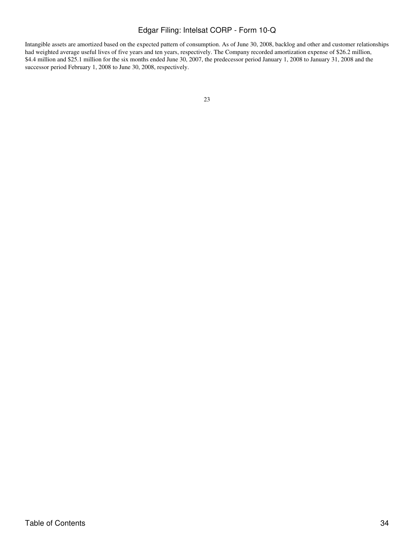Intangible assets are amortized based on the expected pattern of consumption. As of June 30, 2008, backlog and other and customer relationships had weighted average useful lives of five years and ten years, respectively. The Company recorded amortization expense of \$26.2 million, \$4.4 million and \$25.1 million for the six months ended June 30, 2007, the predecessor period January 1, 2008 to January 31, 2008 and the successor period February 1, 2008 to June 30, 2008, respectively.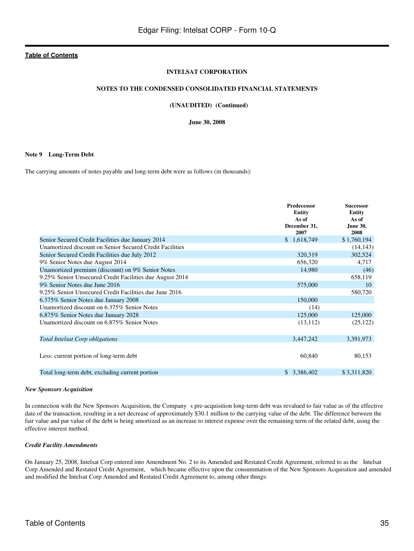#### **INTELSAT CORPORATION**

#### **NOTES TO THE CONDENSED CONSOLIDATED FINANCIAL STATEMENTS**

#### **(UNAUDITED)(Continued)**

#### **June 30, 2008**

#### **Note 9 Long-Term Debt**

The carrying amounts of notes payable and long-term debt were as follows (in thousands):

|                                                          | <b>Predecessor</b><br><b>Entity</b><br>As of<br>December 31,<br>2007 | <b>Successor</b><br>Entity<br>As of<br><b>June 30,</b><br>2008 |
|----------------------------------------------------------|----------------------------------------------------------------------|----------------------------------------------------------------|
| Senior Secured Credit Facilities due January 2014        | \$1,618,749                                                          | \$1,760,194                                                    |
| Unamortized discount on Senior Secured Credit Facilities |                                                                      | (14, 143)                                                      |
| Senior Secured Credit Facilities due July 2012           | 320,319                                                              | 302,524                                                        |
| 9% Senior Notes due August 2014                          | 656,320                                                              | 4,717                                                          |
| Unamortized premium (discount) on 9% Senior Notes        | 14,980                                                               | (46)                                                           |
| 9.25% Senior Unsecured Credit Facilities due August 2014 |                                                                      | 658,119                                                        |
| 9% Senior Notes due June 2016                            | 575,000                                                              | 10                                                             |
| 9.25% Senior Unsecured Credit Facilities due June 2016   |                                                                      | 580,720                                                        |
| 6.375% Senior Notes due January 2008                     | 150,000                                                              |                                                                |
| Unamortized discount on 6.375% Senior Notes              | (14)                                                                 |                                                                |
| 6.875% Senior Notes due January 2028                     | 125,000                                                              | 125,000                                                        |
| Unamortized discount on 6.875% Senior Notes              | (13, 112)                                                            | (25, 122)                                                      |
| <b>Total Intelsat Corp obligations</b>                   | 3,447,242                                                            | 3,391,973                                                      |
| Less: current portion of long-term debt                  | 60,840                                                               | 80,153                                                         |
| Total long-term debt, excluding current portion          | \$3,386,402                                                          | \$3,311,820                                                    |

#### *New Sponsors Acquisition*

In connection with the New Sponsors Acquisition, the Companys pre-acquisition long-term debt was revalued to fair value as of the effective date of the transaction, resulting in a net decrease of approximately \$30.1 million to the carrying value of the debt. The difference between the fair value and par value of the debt is being amortized as an increase to interest expense over the remaining term of the related debt, using the effective interest method.

#### *Credit Facility Amendments*

On January 25, 2008, Intelsat Corp entered into Amendment No. 2 to its Amended and Restated Credit Agreement, referred to as the Intelsat Corp Amended and Restated Credit Agreement, which became effective upon the consummation of the New Sponsors Acquisition and amended and modified the Intelsat Corp Amended and Restated Credit Agreement to, among other things: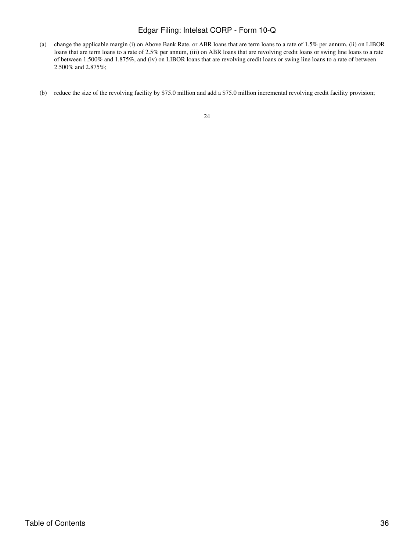- (a) change the applicable margin (i) on Above Bank Rate, or ABR loans that are term loans to a rate of 1.5% per annum, (ii) on LIBOR loans that are term loans to a rate of 2.5% per annum, (iii) on ABR loans that are revolving credit loans or swing line loans to a rate of between 1.500% and 1.875%, and (iv) on LIBOR loans that are revolving credit loans or swing line loans to a rate of between 2.500% and 2.875%;
- (b) reduce the size of the revolving facility by \$75.0 million and add a \$75.0 million incremental revolving credit facility provision;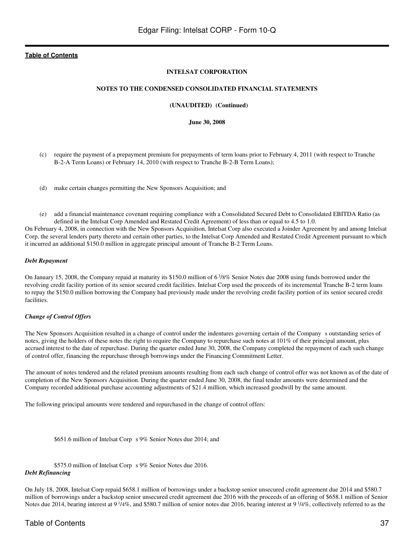#### **INTELSAT CORPORATION**

#### **NOTES TO THE CONDENSED CONSOLIDATED FINANCIAL STATEMENTS**

#### **(UNAUDITED)(Continued)**

#### **June 30, 2008**

- (c) require the payment of a prepayment premium for prepayments of term loans prior to February 4, 2011 (with respect to Tranche B-2-A Term Loans) or February 14, 2010 (with respect to Tranche B-2-B Term Loans);
- (d) make certain changes permitting the New Sponsors Acquisition; and
- (e) add a financial maintenance covenant requiring compliance with a Consolidated Secured Debt to Consolidated EBITDA Ratio (as defined in the Intelsat Corp Amended and Restated Credit Agreement) of less than or equal to 4.5 to 1.0.

On February 4, 2008, in connection with the New Sponsors Acquisition, Intelsat Corp also executed a Joinder Agreement by and among Intelsat Corp, the several lenders party thereto and certain other parties, to the Intelsat Corp Amended and Restated Credit Agreement pursuant to which it incurred an additional \$150.0 million in aggregate principal amount of Tranche B-2 Term Loans.

#### *Debt Repayment*

On January 15, 2008, the Company repaid at maturity its \$150.0 million of 6<sup>3</sup>/8% Senior Notes due 2008 using funds borrowed under the revolving credit facility portion of its senior secured credit facilities. Intelsat Corp used the proceeds of its incremental Tranche B-2 term loans to repay the \$150.0 million borrowing the Company had previously made under the revolving credit facility portion of its senior secured credit facilities.

#### *Change of Control Offers*

The New Sponsors Acquisition resulted in a change of control under the indentures governing certain of the Company s outstanding series of notes, giving the holders of these notes the right to require the Company to repurchase such notes at 101% of their principal amount, plus accrued interest to the date of repurchase. During the quarter ended June 30, 2008, the Company completed the repayment of each such change of control offer, financing the repurchase through borrowings under the Financing Commitment Letter.

The amount of notes tendered and the related premium amounts resulting from each such change of control offer was not known as of the date of completion of the New Sponsors Acquisition. During the quarter ended June 30, 2008, the final tender amounts were determined and the Company recorded additional purchase accounting adjustments of \$21.4 million, which increased goodwill by the same amount.

The following principal amounts were tendered and repurchased in the change of control offers:

\$651.6 million of Intelsat Corp s 9% Senior Notes due 2014; and

\$575.0 million of Intelsat Corp s 9% Senior Notes due 2016. *Debt Refinancing*

On July 18, 2008, Intelsat Corp repaid \$658.1 million of borrowings under a backstop senior unsecured credit agreement due 2014 and \$580.7 million of borrowings under a backstop senior unsecured credit agreement due 2016 with the proceeds of an offering of \$658.1 million of Senior Notes due 2014, bearing interest at 9<sup>1</sup>/4%, and \$580.7 million of senior notes due 2016, bearing interest at 9<sup>1</sup>/4%, collectively referred to as the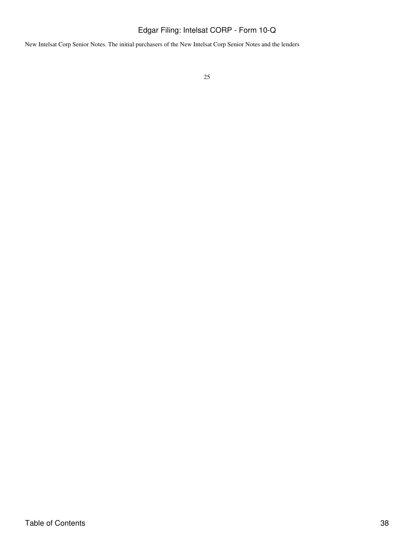# Edgar Filing: Intelsat CORP - Form 10-Q

New Intelsat Corp Senior Notes. The initial purchasers of the New Intelsat Corp Senior Notes and the lenders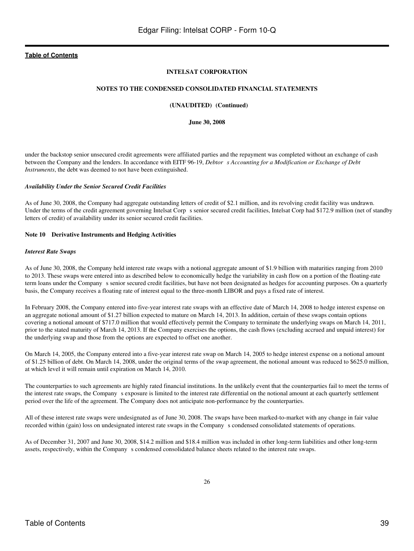#### **INTELSAT CORPORATION**

## **NOTES TO THE CONDENSED CONSOLIDATED FINANCIAL STATEMENTS**

#### **(UNAUDITED)(Continued)**

**June 30, 2008**

under the backstop senior unsecured credit agreements were affiliated parties and the repayment was completed without an exchange of cash between the Company and the lenders. In accordance with EITF 96-19, *Debtor s Accounting for a Modification or Exchange of Debt Instruments*, the debt was deemed to not have been extinguished.

#### *Availability Under the Senior Secured Credit Facilities*

As of June 30, 2008, the Company had aggregate outstanding letters of credit of \$2.1 million, and its revolving credit facility was undrawn. Under the terms of the credit agreement governing Intelsat Corp s senior secured credit facilities, Intelsat Corp had \$172.9 million (net of standby letters of credit) of availability under its senior secured credit facilities.

#### **Note 10 Derivative Instruments and Hedging Activities**

#### *Interest Rate Swaps*

As of June 30, 2008, the Company held interest rate swaps with a notional aggregate amount of \$1.9 billion with maturities ranging from 2010 to 2013. These swaps were entered into as described below to economically hedge the variability in cash flow on a portion of the floating-rate term loans under the Company s senior secured credit facilities, but have not been designated as hedges for accounting purposes. On a quarterly basis, the Company receives a floating rate of interest equal to the three-month LIBOR and pays a fixed rate of interest.

In February 2008, the Company entered into five-year interest rate swaps with an effective date of March 14, 2008 to hedge interest expense on an aggregate notional amount of \$1.27 billion expected to mature on March 14, 2013. In addition, certain of these swaps contain options covering a notional amount of \$717.0 million that would effectively permit the Company to terminate the underlying swaps on March 14, 2011, prior to the stated maturity of March 14, 2013. If the Company exercises the options, the cash flows (excluding accrued and unpaid interest) for the underlying swap and those from the options are expected to offset one another.

On March 14, 2005, the Company entered into a five-year interest rate swap on March 14, 2005 to hedge interest expense on a notional amount of \$1.25 billion of debt. On March 14, 2008, under the original terms of the swap agreement, the notional amount was reduced to \$625.0 million, at which level it will remain until expiration on March 14, 2010.

The counterparties to such agreements are highly rated financial institutions. In the unlikely event that the counterparties fail to meet the terms of the interest rate swaps, the Companys exposure is limited to the interest rate differential on the notional amount at each quarterly settlement period over the life of the agreement. The Company does not anticipate non-performance by the counterparties.

All of these interest rate swaps were undesignated as of June 30, 2008. The swaps have been marked-to-market with any change in fair value recorded within (gain) loss on undesignated interest rate swaps in the Company s condensed consolidated statements of operations.

As of December 31, 2007 and June 30, 2008, \$14.2 million and \$18.4 million was included in other long-term liabilities and other long-term assets, respectively, within the Company s condensed consolidated balance sheets related to the interest rate swaps.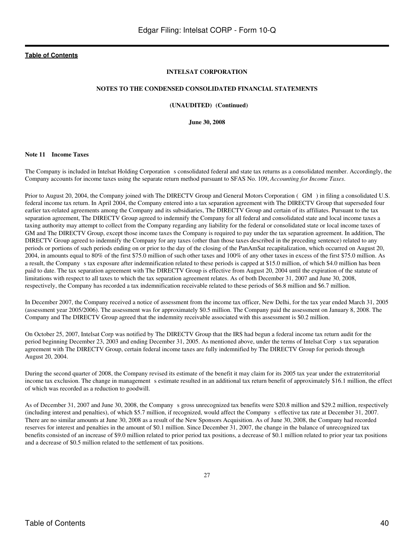#### **INTELSAT CORPORATION**

### **NOTES TO THE CONDENSED CONSOLIDATED FINANCIAL STATEMENTS**

#### **(UNAUDITED)(Continued)**

**June 30, 2008**

#### **Note 11 Income Taxes**

The Company is included in Intelsat Holding Corporation s consolidated federal and state tax returns as a consolidated member. Accordingly, the Company accounts for income taxes using the separate return method pursuant to SFAS No. 109, *Accounting for Income Taxes*.

Prior to August 20, 2004, the Company joined with The DIRECTV Group and General Motors Corporation (GM) in filing a consolidated U.S. federal income tax return. In April 2004, the Company entered into a tax separation agreement with The DIRECTV Group that superseded four earlier tax-related agreements among the Company and its subsidiaries, The DIRECTV Group and certain of its affiliates. Pursuant to the tax separation agreement, The DIRECTV Group agreed to indemnify the Company for all federal and consolidated state and local income taxes a taxing authority may attempt to collect from the Company regarding any liability for the federal or consolidated state or local income taxes of GM and The DIRECTV Group, except those income taxes the Company is required to pay under the tax separation agreement. In addition, The DIRECTV Group agreed to indemnify the Company for any taxes (other than those taxes described in the preceding sentence) related to any periods or portions of such periods ending on or prior to the day of the closing of the PanAmSat recapitalization, which occurred on August 20, 2004, in amounts equal to 80% of the first \$75.0 million of such other taxes and 100% of any other taxes in excess of the first \$75.0 million. As a result, the Company s tax exposure after indemnification related to these periods is capped at \$15.0 million, of which \$4.0 million has been paid to date. The tax separation agreement with The DIRECTV Group is effective from August 20, 2004 until the expiration of the statute of limitations with respect to all taxes to which the tax separation agreement relates. As of both December 31, 2007 and June 30, 2008, respectively, the Company has recorded a tax indemnification receivable related to these periods of \$6.8 million and \$6.7 million.

In December 2007, the Company received a notice of assessment from the income tax officer, New Delhi, for the tax year ended March 31, 2005 (assessment year 2005/2006). The assessment was for approximately \$0.5 million. The Company paid the assessment on January 8, 2008. The Company and The DIRECTV Group agreed that the indemnity receivable associated with this assessment is \$0.2 million.

On October 25, 2007, Intelsat Corp was notified by The DIRECTV Group that the IRS had begun a federal income tax return audit for the period beginning December 23, 2003 and ending December 31, 2005. As mentioned above, under the terms of Intelsat Corps tax separation agreement with The DIRECTV Group, certain federal income taxes are fully indemnified by The DIRECTV Group for periods through August 20, 2004.

During the second quarter of 2008, the Company revised its estimate of the benefit it may claim for its 2005 tax year under the extraterritorial income tax exclusion. The change in management s estimate resulted in an additional tax return benefit of approximately \$16.1 million, the effect of which was recorded as a reduction to goodwill.

As of December 31, 2007 and June 30, 2008, the Company s gross unrecognized tax benefits were \$20.8 million and \$29.2 million, respectively (including interest and penalties), of which \$5.7 million, if recognized, would affect the Companys effective tax rate at December 31, 2007. There are no similar amounts at June 30, 2008 as a result of the New Sponsors Acquisition. As of June 30, 2008, the Company had recorded reserves for interest and penalties in the amount of \$0.1 million. Since December 31, 2007, the change in the balance of unrecognized tax benefits consisted of an increase of \$9.0 million related to prior period tax positions, a decrease of \$0.1 million related to prior year tax positions and a decrease of \$0.5 million related to the settlement of tax positions.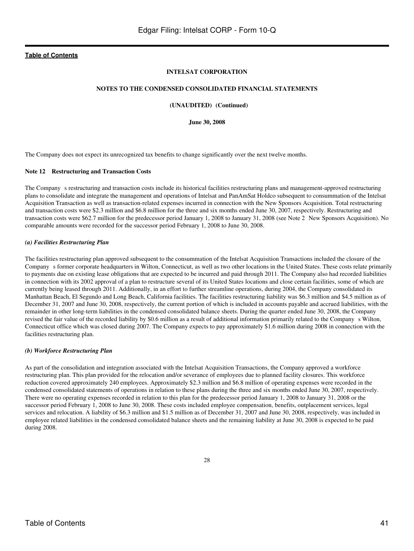#### **INTELSAT CORPORATION**

#### **NOTES TO THE CONDENSED CONSOLIDATED FINANCIAL STATEMENTS**

#### **(UNAUDITED)(Continued)**

**June 30, 2008**

The Company does not expect its unrecognized tax benefits to change significantly over the next twelve months.

#### **Note 12 Restructuring and Transaction Costs**

The Company s restructuring and transaction costs include its historical facilities restructuring plans and management-approved restructuring plans to consolidate and integrate the management and operations of Intelsat and PanAmSat Holdco subsequent to consummation of the Intelsat Acquisition Transaction as well as transaction-related expenses incurred in connection with the New Sponsors Acquisition. Total restructuring and transaction costs were \$2.3 million and \$6.8 million for the three and six months ended June 30, 2007, respectively. Restructuring and transaction costs were \$62.7 million for the predecessor period January 1, 2008 to January 31, 2008 (see Note 2 New Sponsors Acquisition). No comparable amounts were recorded for the successor period February 1, 2008 to June 30, 2008.

#### *(a) Facilities Restructuring Plan*

The facilities restructuring plan approved subsequent to the consummation of the Intelsat Acquisition Transactions included the closure of the Companys former corporate headquarters in Wilton, Connecticut, as well as two other locations in the United States. These costs relate primarily to payments due on existing lease obligations that are expected to be incurred and paid through 2011. The Company also had recorded liabilities in connection with its 2002 approval of a plan to restructure several of its United States locations and close certain facilities, some of which are currently being leased through 2011. Additionally, in an effort to further streamline operations, during 2004, the Company consolidated its Manhattan Beach, El Segundo and Long Beach, California facilities. The facilities restructuring liability was \$6.3 million and \$4.5 million as of December 31, 2007 and June 30, 2008, respectively, the current portion of which is included in accounts payable and accrued liabilities, with the remainder in other long-term liabilities in the condensed consolidated balance sheets. During the quarter ended June 30, 2008, the Company revised the fair value of the recorded liability by \$0.6 million as a result of additional information primarily related to the Companys Wilton, Connecticut office which was closed during 2007. The Company expects to pay approximately \$1.6 million during 2008 in connection with the facilities restructuring plan.

#### *(b) Workforce Restructuring Plan*

As part of the consolidation and integration associated with the Intelsat Acquisition Transactions, the Company approved a workforce restructuring plan. This plan provided for the relocation and/or severance of employees due to planned facility closures. This workforce reduction covered approximately 240 employees. Approximately \$2.3 million and \$6.8 million of operating expenses were recorded in the condensed consolidated statements of operations in relation to these plans during the three and six months ended June 30, 2007, respectively. There were no operating expenses recorded in relation to this plan for the predecessor period January 1, 2008 to January 31, 2008 or the successor period February 1, 2008 to June 30, 2008. These costs included employee compensation, benefits, outplacement services, legal services and relocation. A liability of \$6.3 million and \$1.5 million as of December 31, 2007 and June 30, 2008, respectively, was included in employee related liabilities in the condensed consolidated balance sheets and the remaining liability at June 30, 2008 is expected to be paid during 2008.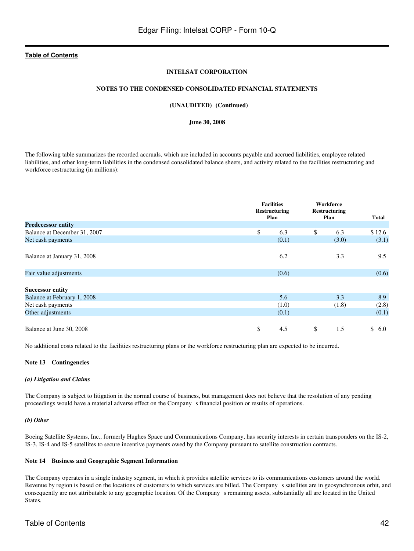#### **INTELSAT CORPORATION**

### **NOTES TO THE CONDENSED CONSOLIDATED FINANCIAL STATEMENTS**

#### **(UNAUDITED)(Continued)**

#### **June 30, 2008**

The following table summarizes the recorded accruals, which are included in accounts payable and accrued liabilities, employee related liabilities, and other long-term liabilities in the condensed consolidated balance sheets, and activity related to the facilities restructuring and workforce restructuring (in millions):

|                              | <b>Facilities</b><br><b>Restructuring</b><br>Plan | Workforce<br><b>Restructuring</b><br>Plan | <b>Total</b> |
|------------------------------|---------------------------------------------------|-------------------------------------------|--------------|
| <b>Predecessor entity</b>    |                                                   |                                           |              |
| Balance at December 31, 2007 | \$<br>6.3                                         | \$<br>6.3                                 | \$12.6       |
| Net cash payments            | (0.1)                                             | (3.0)                                     | (3.1)        |
| Balance at January 31, 2008  | 6.2                                               | 3.3                                       | 9.5          |
| Fair value adjustments       | (0.6)                                             |                                           | (0.6)        |
| <b>Successor entity</b>      |                                                   |                                           |              |
| Balance at February 1, 2008  | 5.6                                               | 3.3                                       | 8.9          |
| Net cash payments            | (1.0)                                             | (1.8)                                     | (2.8)        |
| Other adjustments            | (0.1)                                             |                                           | (0.1)        |
| Balance at June 30, 2008     | \$<br>4.5                                         | \$<br>1.5                                 | \$<br>6.0    |

No additional costs related to the facilities restructuring plans or the workforce restructuring plan are expected to be incurred.

#### **Note 13 Contingencies**

#### *(a) Litigation and Claims*

The Company is subject to litigation in the normal course of business, but management does not believe that the resolution of any pending proceedings would have a material adverse effect on the Companys financial position or results of operations.

#### *(b) Other*

Boeing Satellite Systems, Inc., formerly Hughes Space and Communications Company, has security interests in certain transponders on the IS-2, IS-3, IS-4 and IS-5 satellites to secure incentive payments owed by the Company pursuant to satellite construction contracts.

#### **Note 14 Business and Geographic Segment Information**

The Company operates in a single industry segment, in which it provides satellite services to its communications customers around the world. Revenue by region is based on the locations of customers to which services are billed. The Company s satellites are in geosynchronous orbit, and consequently are not attributable to any geographic location. Of the Company s remaining assets, substantially all are located in the United States.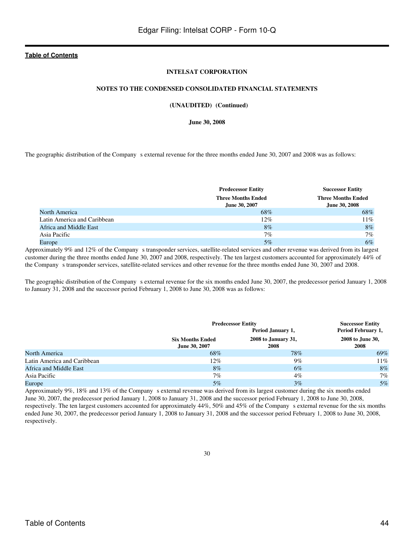#### **INTELSAT CORPORATION**

### **NOTES TO THE CONDENSED CONSOLIDATED FINANCIAL STATEMENTS**

#### **(UNAUDITED)(Continued)**

#### **June 30, 2008**

The geographic distribution of the Company s external revenue for the three months ended June 30, 2007 and 2008 was as follows:

|                             | <b>Predecessor Entity</b>                  | <b>Successor Entity</b>                           |
|-----------------------------|--------------------------------------------|---------------------------------------------------|
|                             | <b>Three Months Ended</b><br>June 30, 2007 | <b>Three Months Ended</b><br><b>June 30, 2008</b> |
| North America               | 68%                                        | 68%                                               |
| Latin America and Caribbean | 12%                                        | $11\%$                                            |
| Africa and Middle East      | 8%                                         | 8%                                                |
| Asia Pacific                | 7%                                         | $7\%$                                             |
| Europe                      | $5\%$                                      | $6\%$                                             |

Approximately 9% and 12% of the Company s transponder services, satellite-related services and other revenue was derived from its largest customer during the three months ended June 30, 2007 and 2008, respectively. The ten largest customers accounted for approximately 44% of the Company s transponder services, satellite-related services and other revenue for the three months ended June 30, 2007 and 2008.

The geographic distribution of the Company s external revenue for the six months ended June 30, 2007, the predecessor period January 1, 2008 to January 31, 2008 and the successor period February 1, 2008 to June 30, 2008 was as follows:

|                             |                                          | <b>Predecessor Entity</b>   |                          |  |  |  |  |  |
|-----------------------------|------------------------------------------|-----------------------------|--------------------------|--|--|--|--|--|
|                             |                                          | Period January 1,           | Period February 1,       |  |  |  |  |  |
|                             | <b>Six Months Ended</b><br>June 30, 2007 | 2008 to January 31,<br>2008 | 2008 to June 30,<br>2008 |  |  |  |  |  |
| North America               | 68%                                      | 78%                         | 69%                      |  |  |  |  |  |
| Latin America and Caribbean | 12%                                      | $9\%$                       | 11%                      |  |  |  |  |  |
| Africa and Middle East      | $8\%$                                    | $6\%$                       | 8%                       |  |  |  |  |  |
| Asia Pacific                | 7%                                       | 4%                          | 7%                       |  |  |  |  |  |
| Europe                      | $5\%$                                    | $3\%$                       | 5%                       |  |  |  |  |  |

Approximately 9%, 18% and 13% of the Company s external revenue was derived from its largest customer during the six months ended June 30, 2007, the predecessor period January 1, 2008 to January 31, 2008 and the successor period February 1, 2008 to June 30, 2008, respectively. The ten largest customers accounted for approximately 44%, 50% and 45% of the Companys external revenue for the six months ended June 30, 2007, the predecessor period January 1, 2008 to January 31, 2008 and the successor period February 1, 2008 to June 30, 2008, respectively.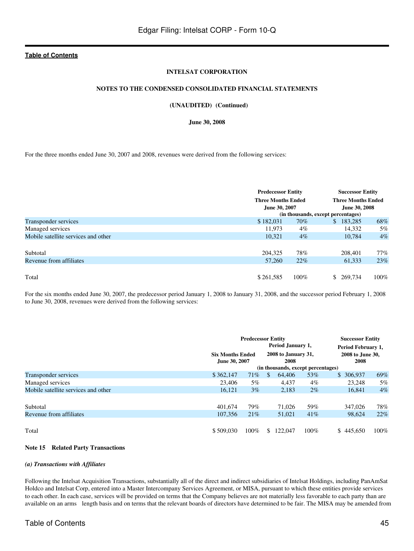#### **INTELSAT CORPORATION**

## **NOTES TO THE CONDENSED CONSOLIDATED FINANCIAL STATEMENTS**

#### **(UNAUDITED)(Continued)**

#### **June 30, 2008**

For the three months ended June 30, 2007 and 2008, revenues were derived from the following services:

|                                     | <b>Predecessor Entity</b>                  | <b>Successor Entity</b> |                                            |       |  |  |  |  |  |  |
|-------------------------------------|--------------------------------------------|-------------------------|--------------------------------------------|-------|--|--|--|--|--|--|
|                                     | <b>Three Months Ended</b><br>June 30, 2007 |                         | <b>Three Months Ended</b><br>June 30, 2008 |       |  |  |  |  |  |  |
|                                     | (in thousands, except percentages)         |                         |                                            |       |  |  |  |  |  |  |
| Transponder services                | \$182,031                                  | 70%                     | \$183,285                                  | 68%   |  |  |  |  |  |  |
| Managed services                    | 11,973                                     | $4\%$                   | 14,332                                     | 5%    |  |  |  |  |  |  |
| Mobile satellite services and other | 10,321                                     | $4\%$                   | 10,784                                     | $4\%$ |  |  |  |  |  |  |
|                                     |                                            |                         |                                            |       |  |  |  |  |  |  |
| Subtotal                            | 204.325                                    | 78%                     | 208,401                                    | 77%   |  |  |  |  |  |  |
| Revenue from affiliates             | 57,260                                     | 22%                     | 61,333                                     | 23%   |  |  |  |  |  |  |
|                                     |                                            |                         |                                            |       |  |  |  |  |  |  |
| Total                               | \$261,585                                  | 100%                    | \$ 269,734                                 | 100%  |  |  |  |  |  |  |

For the six months ended June 30, 2007, the predecessor period January 1, 2008 to January 31, 2008, and the successor period February 1, 2008 to June 30, 2008, revenues were derived from the following services:

|                                     |                         | <b>Predecessor Entity</b> | <b>Successor Entity</b>            |       |                  |         |
|-------------------------------------|-------------------------|---------------------------|------------------------------------|-------|------------------|---------|
|                                     |                         |                           | Period February 1,                 |       |                  |         |
|                                     | <b>Six Months Ended</b> |                           | <b>2008 to January 31,</b>         |       | 2008 to June 30, |         |
|                                     | June 30, 2007           |                           | 2008                               |       | 2008             |         |
|                                     |                         |                           | (in thousands, except percentages) |       |                  |         |
| Transponder services                | \$362,147               | 71%                       | \$.<br>64,406                      | 53%   | \$ 306,937       | 69%     |
| Managed services                    | 23,406                  | 5%                        | 4,437                              | $4\%$ | 23.248           | 5%      |
| Mobile satellite services and other | 16.121                  | $3\%$                     | 2,183                              | $2\%$ | 16.841           | $4\%$   |
|                                     |                         |                           |                                    |       |                  |         |
| Subtotal                            | 401.674                 | 79%                       | 71,026                             | 59%   | 347,026          | 78%     |
| Revenue from affiliates             | 107.356                 | 21%                       | 51,021                             | 41%   | 98.624           | 22%     |
|                                     |                         |                           |                                    |       |                  |         |
| Total                               | \$509,030               | 100%                      | 122,047<br>SS.                     | 100%  | \$445,650        | $100\%$ |

#### **Note 15 Related Party Transactions**

## *(a) Transactions with Affiliates*

Following the Intelsat Acquisition Transactions, substantially all of the direct and indirect subsidiaries of Intelsat Holdings, including PanAmSat Holdco and Intelsat Corp, entered into a Master Intercompany Services Agreement, or MISA, pursuant to which these entities provide services to each other. In each case, services will be provided on terms that the Company believes are not materially less favorable to each party than are available on an arms length basis and on terms that the relevant boards of directors have determined to be fair. The MISA may be amended from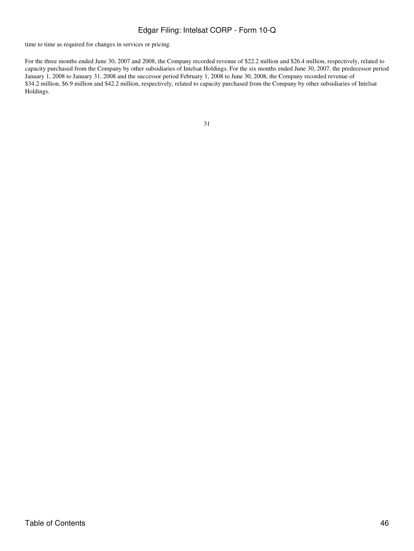# Edgar Filing: Intelsat CORP - Form 10-Q

time to time as required for changes in services or pricing.

For the three months ended June 30, 2007 and 2008, the Company recorded revenue of \$22.2 million and \$26.4 million, respectively, related to capacity purchased from the Company by other subsidiaries of Intelsat Holdings. For the six months ended June 30, 2007, the predecessor period January 1, 2008 to January 31, 2008 and the successor period February 1, 2008 to June 30, 2008, the Company recorded revenue of \$34.2 million, \$6.9 million and \$42.2 million, respectively, related to capacity purchased from the Company by other subsidiaries of Intelsat Holdings.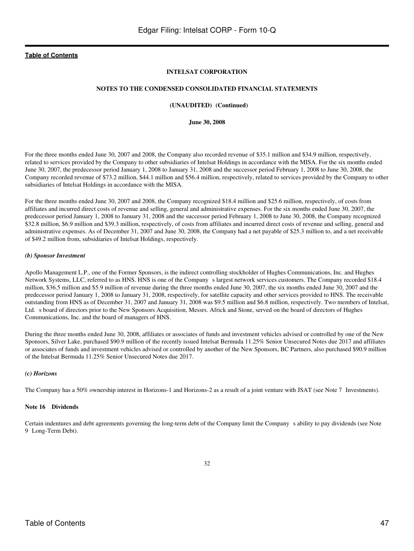#### **INTELSAT CORPORATION**

## **NOTES TO THE CONDENSED CONSOLIDATED FINANCIAL STATEMENTS**

#### **(UNAUDITED)(Continued)**

**June 30, 2008**

For the three months ended June 30, 2007 and 2008, the Company also recorded revenue of \$35.1 million and \$34.9 million, respectively, related to services provided by the Company to other subsidiaries of Intelsat Holdings in accordance with the MISA. For the six months ended June 30, 2007, the predecessor period January 1, 2008 to January 31, 2008 and the successor period February 1, 2008 to June 30, 2008, the Company recorded revenue of \$73.2 million, \$44.1 million and \$56.4 million, respectively, related to services provided by the Company to other subsidiaries of Intelsat Holdings in accordance with the MISA.

For the three months ended June 30, 2007 and 2008, the Company recognized \$18.4 million and \$25.6 million, respectively, of costs from affiliates and incurred direct costs of revenue and selling, general and administrative expenses. For the six months ended June 30, 2007, the predecessor period January 1, 2008 to January 31, 2008 and the successor period February 1, 2008 to June 30, 2008, the Company recognized \$32.8 million, \$6.9 million and \$39.3 million, respectively, of costs from affiliates and incurred direct costs of revenue and selling, general and administrative expenses. As of December 31, 2007 and June 30, 2008, the Company had a net payable of \$25.3 million to, and a net receivable of \$49.2 million from, subsidiaries of Intelsat Holdings, respectively.

#### *(b) Sponsor Investment*

Apollo Management L.P., one of the Former Sponsors, is the indirect controlling stockholder of Hughes Communications, Inc. and Hughes Network Systems, LLC, referred to as HNS. HNS is one of the Company s largest network services customers. The Company recorded \$18.4 million, \$36.5 million and \$5.9 million of revenue during the three months ended June 30, 2007, the six months ended June 30, 2007 and the predecessor period January 1, 2008 to January 31, 2008, respectively, for satellite capacity and other services provided to HNS. The receivable outstanding from HNS as of December 31, 2007 and January 31, 2008 was \$9.5 million and \$6.8 million, respectively. Two members of Intelsat, Ltd. s board of directors prior to the New Sponsors Acquisition, Messrs. Africk and Stone, served on the board of directors of Hughes Communications, Inc. and the board of managers of HNS.

During the three months ended June 30, 2008, affiliates or associates of funds and investment vehicles advised or controlled by one of the New Sponsors, Silver Lake, purchased \$90.9 million of the recently issued Intelsat Bermuda 11.25% Senior Unsecured Notes due 2017 and affiliates or associates of funds and investment vehicles advised or controlled by another of the New Sponsors, BC Partners, also purchased \$90.9 million of the Intelsat Bermuda 11.25% Senior Unsecured Notes due 2017.

#### *(c) Horizons*

The Company has a 50% ownership interest in Horizons-1 and Horizons-2 as a result of a joint venture with JSAT (see Note 7 Investments).

#### **Note 16 Dividends**

Certain indentures and debt agreements governing the long-term debt of the Company limit the Company s ability to pay dividends (see Note 9Long-Term Debt).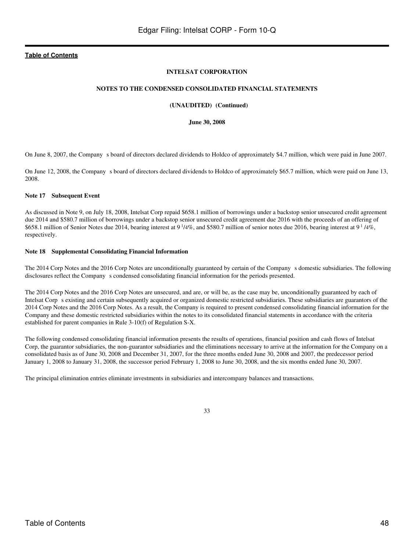#### **INTELSAT CORPORATION**

#### **NOTES TO THE CONDENSED CONSOLIDATED FINANCIAL STATEMENTS**

#### **(UNAUDITED)(Continued)**

#### **June 30, 2008**

On June 8, 2007, the Company s board of directors declared dividends to Holdco of approximately \$4.7 million, which were paid in June 2007.

On June 12, 2008, the Company s board of directors declared dividends to Holdco of approximately \$65.7 million, which were paid on June 13, 2008.

#### **Note 17 Subsequent Event**

As discussed in Note 9, on July 18, 2008, Intelsat Corp repaid \$658.1 million of borrowings under a backstop senior unsecured credit agreement due 2014 and \$580.7 million of borrowings under a backstop senior unsecured credit agreement due 2016 with the proceeds of an offering of \$658.1 million of Senior Notes due 2014, bearing interest at  $9\frac{1}{4}\%$ , and \$580.7 million of senior notes due 2016, bearing interest at  $9\frac{1}{4}\%$ , respectively.

#### **Note 18 Supplemental Consolidating Financial Information**

The 2014 Corp Notes and the 2016 Corp Notes are unconditionally guaranteed by certain of the Company s domestic subsidiaries. The following disclosures reflect the Company s condensed consolidating financial information for the periods presented.

The 2014 Corp Notes and the 2016 Corp Notes are unsecured, and are, or will be, as the case may be, unconditionally guaranteed by each of Intelsat Corps existing and certain subsequently acquired or organized domestic restricted subsidiaries. These subsidiaries are guarantors of the 2014 Corp Notes and the 2016 Corp Notes. As a result, the Company is required to present condensed consolidating financial information for the Company and these domestic restricted subsidiaries within the notes to its consolidated financial statements in accordance with the criteria established for parent companies in Rule 3-10(f) of Regulation S-X.

The following condensed consolidating financial information presents the results of operations, financial position and cash flows of Intelsat Corp, the guarantor subsidiaries, the non-guarantor subsidiaries and the eliminations necessary to arrive at the information for the Company on a consolidated basis as of June 30, 2008 and December 31, 2007, for the three months ended June 30, 2008 and 2007, the predecessor period January 1, 2008 to January 31, 2008, the successor period February 1, 2008 to June 30, 2008, and the six months ended June 30, 2007.

The principal elimination entries eliminate investments in subsidiaries and intercompany balances and transactions.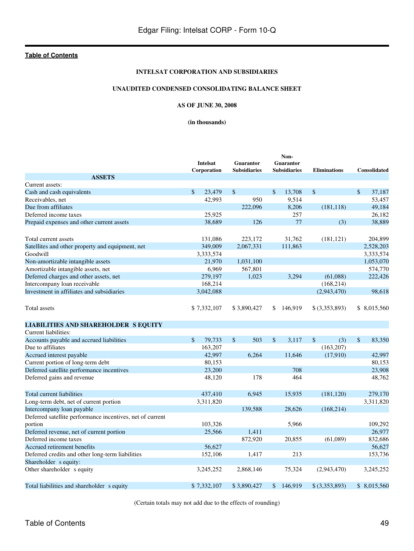## **INTELSAT CORPORATION AND SUBSIDIARIES**

## **UNAUDITED CONDENSED CONSOLIDATING BALANCE SHEET**

## **AS OF JUNE 30, 2008**

## **(in thousands)**

|                                                           | Non-<br>Intelsat<br><b>Guarantor</b><br>Guarantor<br>Corporation<br><b>Subsidiaries</b><br><b>Subsidiaries</b> |             |                         | <b>Eliminations</b> | Consolidated |
|-----------------------------------------------------------|----------------------------------------------------------------------------------------------------------------|-------------|-------------------------|---------------------|--------------|
| <b>ASSETS</b>                                             |                                                                                                                |             |                         |                     |              |
| Current assets:                                           |                                                                                                                |             |                         |                     |              |
| Cash and cash equivalents                                 | \$<br>23,479                                                                                                   | \$          | \$<br>13,708            | $\$$                | \$<br>37,187 |
| Receivables, net                                          | 42,993                                                                                                         | 950         | 9,514                   |                     | 53,457       |
| Due from affiliates                                       |                                                                                                                | 222,096     | 8,206                   | (181, 118)          | 49,184       |
| Deferred income taxes                                     | 25,925                                                                                                         |             | 257                     |                     | 26,182       |
| Prepaid expenses and other current assets                 | 38,689                                                                                                         | 126         | 77                      | (3)                 | 38,889       |
| Total current assets                                      | 131,086                                                                                                        | 223,172     | 31,762                  | (181, 121)          | 204,899      |
| Satellites and other property and equipment, net          | 349,009                                                                                                        | 2,067,331   | 111,863                 |                     | 2,528,203    |
| Goodwill                                                  | 3,333,574                                                                                                      |             |                         |                     | 3,333,574    |
| Non-amortizable intangible assets                         | 21,970                                                                                                         | 1,031,100   |                         |                     | 1,053,070    |
| Amortizable intangible assets, net                        | 6,969                                                                                                          | 567,801     |                         |                     | 574,770      |
| Deferred charges and other assets, net                    | 279,197                                                                                                        | 1,023       | 3,294                   | (61,088)            | 222,426      |
| Intercompany loan receivable                              | 168,214                                                                                                        |             |                         | (168, 214)          |              |
| Investment in affiliates and subsidiaries                 | 3,042,088                                                                                                      |             |                         | (2,943,470)         | 98,618       |
|                                                           |                                                                                                                |             |                         |                     |              |
| Total assets                                              | \$7,332,107                                                                                                    | \$3,890,427 | 146,919<br>\$           | $$$ $(3,353,893)$   | \$8,015,560  |
| <b>LIABILITIES AND SHAREHOLDER S EQUITY</b>               |                                                                                                                |             |                         |                     |              |
| Current liabilities:                                      |                                                                                                                |             |                         |                     |              |
| Accounts payable and accrued liabilities                  | \$<br>79,733                                                                                                   | \$<br>503   | \$<br>3,117             | \$<br>(3)           | \$<br>83,350 |
| Due to affiliates                                         | 163,207                                                                                                        |             |                         | (163, 207)          |              |
| Accrued interest payable                                  | 42,997                                                                                                         | 6,264       | 11,646                  | (17,910)            | 42,997       |
| Current portion of long-term debt                         | 80,153                                                                                                         |             |                         |                     | 80,153       |
| Deferred satellite performance incentives                 | 23,200                                                                                                         |             | 708                     |                     | 23,908       |
| Deferred gains and revenue                                | 48,120                                                                                                         | 178         | 464                     |                     | 48,762       |
| Total current liabilities                                 | 437,410                                                                                                        | 6,945       | 15,935                  | (181, 120)          | 279,170      |
| Long-term debt, net of current portion                    | 3,311,820                                                                                                      |             |                         |                     | 3,311,820    |
| Intercompany loan payable                                 |                                                                                                                | 139,588     | 28,626                  | (168, 214)          |              |
| Deferred satellite performance incentives, net of current |                                                                                                                |             |                         |                     |              |
| portion                                                   | 103,326                                                                                                        |             | 5,966                   |                     | 109,292      |
| Deferred revenue, net of current portion                  | 25,566                                                                                                         | 1,411       |                         |                     | 26,977       |
| Deferred income taxes                                     |                                                                                                                | 872,920     | 20,855                  | (61,089)            | 832,686      |
| Accrued retirement benefits                               | 56,627                                                                                                         |             |                         |                     | 56,627       |
| Deferred credits and other long-term liabilities          | 152,106                                                                                                        | 1,417       | 213                     |                     | 153,736      |
| Shareholder s equity:                                     |                                                                                                                |             |                         |                     |              |
| Other shareholder s equity                                | 3,245,252                                                                                                      | 2,868,146   | 75,324                  | (2,943,470)         | 3,245,252    |
| Total liabilities and shareholder s equity                | \$7.332,107                                                                                                    | \$3,890,427 | $\mathbb{S}$<br>146.919 | $$$ (3,353,893)     | \$ 8,015,560 |

(Certain totals may not add due to the effects of rounding)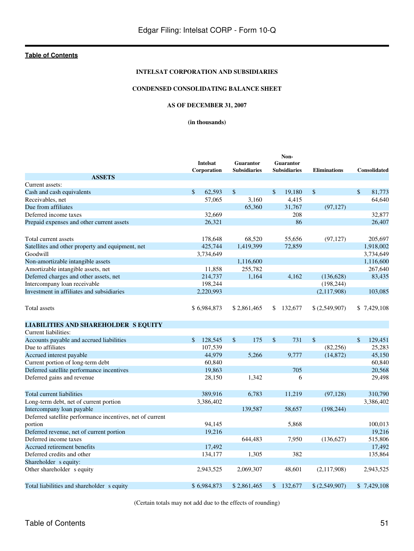## **INTELSAT CORPORATION AND SUBSIDIARIES**

### **CONDENSED CONSOLIDATING BALANCE SHEET**

## **AS OF DECEMBER 31, 2007**

## **(in thousands)**

|                                                           | Non-                    |                     |                        |                     |                         |  |  |  |
|-----------------------------------------------------------|-------------------------|---------------------|------------------------|---------------------|-------------------------|--|--|--|
|                                                           | <b>Intelsat</b>         | <b>Guarantor</b>    | Guarantor              |                     |                         |  |  |  |
|                                                           | Corporation             | <b>Subsidiaries</b> | <b>Subsidiaries</b>    | <b>Eliminations</b> | <b>Consolidated</b>     |  |  |  |
| <b>ASSETS</b>                                             |                         |                     |                        |                     |                         |  |  |  |
| Current assets:                                           |                         |                     |                        |                     |                         |  |  |  |
| Cash and cash equivalents                                 | $\mathbb{S}$<br>62,593  | $\mathbb{S}$        | $\mathbb{S}$<br>19,180 | $\mathsf{\$}$       | \$<br>81,773            |  |  |  |
| Receivables, net                                          | 57,065                  | 3,160               | 4,415                  |                     | 64,640                  |  |  |  |
| Due from affiliates                                       |                         | 65,360              | 31,767                 | (97, 127)           |                         |  |  |  |
| Deferred income taxes                                     | 32,669                  |                     | 208                    |                     | 32,877                  |  |  |  |
| Prepaid expenses and other current assets                 | 26,321                  |                     | 86                     |                     | 26,407                  |  |  |  |
|                                                           |                         |                     |                        |                     |                         |  |  |  |
| Total current assets                                      | 178,648                 | 68,520              | 55,656                 | (97, 127)           | 205,697                 |  |  |  |
| Satellites and other property and equipment, net          | 425,744                 | 1,419,399           | 72,859                 |                     | 1,918,002               |  |  |  |
| Goodwill                                                  | 3,734,649               |                     |                        |                     | 3,734,649               |  |  |  |
| Non-amortizable intangible assets                         |                         | 1,116,600           |                        |                     | 1,116,600               |  |  |  |
| Amortizable intangible assets, net                        | 11,858                  | 255,782             |                        |                     | 267,640                 |  |  |  |
| Deferred charges and other assets, net                    | 214,737                 | 1,164               | 4,162                  | (136, 628)          | 83,435                  |  |  |  |
| Intercompany loan receivable                              | 198,244                 |                     |                        | (198, 244)          |                         |  |  |  |
| Investment in affiliates and subsidiaries                 | 2,220,993               |                     |                        | (2,117,908)         | 103,085                 |  |  |  |
|                                                           |                         |                     |                        |                     |                         |  |  |  |
| Total assets                                              | \$6,984,873             | \$2,861,465         | 132,677<br>\$          | \$ (2,549,907)      | \$7,429,108             |  |  |  |
| <b>LIABILITIES AND SHAREHOLDER S EQUITY</b>               |                         |                     |                        |                     |                         |  |  |  |
| Current liabilities:                                      |                         |                     |                        |                     |                         |  |  |  |
| Accounts payable and accrued liabilities                  | $\mathbb{S}$<br>128,545 | $\sqrt{\ }$<br>175  | \$<br>731              | \$                  | $\mathbb{S}$<br>129,451 |  |  |  |
| Due to affiliates                                         | 107,539                 |                     |                        | (82, 256)           | 25,283                  |  |  |  |
| Accrued interest payable                                  | 44,979                  | 5,266               | 9,777                  | (14, 872)           | 45,150                  |  |  |  |
| Current portion of long-term debt                         | 60,840                  |                     |                        |                     | 60,840                  |  |  |  |
| Deferred satellite performance incentives                 | 19,863                  |                     | 705                    |                     | 20,568                  |  |  |  |
| Deferred gains and revenue                                | 28,150                  | 1,342               | 6                      |                     | 29,498                  |  |  |  |
|                                                           |                         |                     |                        |                     |                         |  |  |  |
| Total current liabilities                                 | 389,916                 | 6,783               | 11,219                 | (97, 128)           | 310,790                 |  |  |  |
| Long-term debt, net of current portion                    | 3,386,402               |                     |                        |                     | 3,386,402               |  |  |  |
| Intercompany loan payable                                 |                         | 139,587             | 58,657                 | (198, 244)          |                         |  |  |  |
| Deferred satellite performance incentives, net of current |                         |                     |                        |                     |                         |  |  |  |
| portion                                                   | 94,145                  |                     | 5,868                  |                     | 100,013                 |  |  |  |
| Deferred revenue, net of current portion                  | 19,216                  |                     |                        |                     | 19,216                  |  |  |  |
| Deferred income taxes                                     |                         | 644,483             | 7,950                  | (136,627)           | 515,806                 |  |  |  |
| Accrued retirement benefits                               | 17,492                  |                     |                        |                     | 17,492                  |  |  |  |
| Deferred credits and other                                | 134,177                 | 1,305               | 382                    |                     | 135,864                 |  |  |  |
| Shareholder s equity:                                     |                         |                     |                        |                     |                         |  |  |  |
| Other shareholder s equity                                | 2,943,525               | 2,069,307           | 48,601                 | (2,117,908)         | 2,943,525               |  |  |  |
| Total liabilities and shareholder s equity                | \$6.984,873             | \$2,861,465         | \$<br>132,677          | \$ (2,549,907)      | \$7,429,108             |  |  |  |

(Certain totals may not add due to the effects of rounding)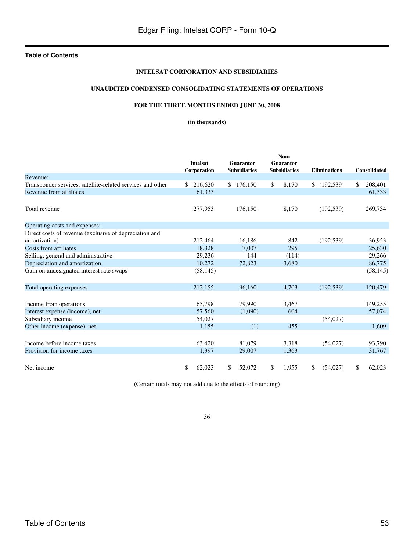#### **INTELSAT CORPORATION AND SUBSIDIARIES**

# **UNAUDITED CONDENSED CONSOLIDATING STATEMENTS OF OPERATIONS**

# **FOR THE THREE MONTHS ENDED JUNE 30, 2008**

## **(in thousands)**

|                                                            |     | <b>Intelsat</b><br><b>Guarantor</b> |    |                     | Non-<br>Guarantor |                     |    |                     |    |                     |
|------------------------------------------------------------|-----|-------------------------------------|----|---------------------|-------------------|---------------------|----|---------------------|----|---------------------|
|                                                            |     | Corporation                         |    | <b>Subsidiaries</b> |                   | <b>Subsidiaries</b> |    | <b>Eliminations</b> |    | <b>Consolidated</b> |
| Revenue:                                                   |     |                                     |    |                     |                   |                     |    |                     |    |                     |
| Transponder services, satellite-related services and other | \$. | 216,620                             |    | \$176,150           | \$                | 8.170               |    | (192, 539)          | \$ | 208,401             |
| Revenue from affiliates                                    |     | 61,333                              |    |                     |                   |                     |    |                     |    | 61,333              |
|                                                            |     |                                     |    |                     |                   |                     |    |                     |    |                     |
| Total revenue                                              |     | 277,953                             |    | 176,150             |                   | 8.170               |    | (192, 539)          |    | 269,734             |
|                                                            |     |                                     |    |                     |                   |                     |    |                     |    |                     |
| Operating costs and expenses:                              |     |                                     |    |                     |                   |                     |    |                     |    |                     |
| Direct costs of revenue (exclusive of depreciation and     |     |                                     |    |                     |                   |                     |    |                     |    |                     |
| amortization)                                              |     | 212,464                             |    | 16,186              |                   | 842                 |    | (192, 539)          |    | 36,953              |
| Costs from affiliates                                      |     | 18.328                              |    | 7.007               |                   | 295                 |    |                     |    | 25,630              |
| Selling, general and administrative                        |     | 29,236                              |    | 144                 |                   | (114)               |    |                     |    | 29,266              |
| Depreciation and amortization                              |     | 10,272                              |    | 72,823              |                   | 3,680               |    |                     |    | 86,775              |
| Gain on undesignated interest rate swaps                   |     | (58, 145)                           |    |                     |                   |                     |    |                     |    | (58, 145)           |
|                                                            |     |                                     |    |                     |                   |                     |    |                     |    |                     |
| Total operating expenses                                   |     | 212,155                             |    | 96,160              |                   | 4,703               |    | (192, 539)          |    | 120,479             |
|                                                            |     |                                     |    |                     |                   |                     |    |                     |    |                     |
| Income from operations                                     |     | 65,798                              |    | 79.990              |                   | 3,467               |    |                     |    | 149,255             |
| Interest expense (income), net                             |     | 57,560                              |    | (1,090)             |                   | 604                 |    |                     |    | 57,074              |
| Subsidiary income                                          |     | 54,027                              |    |                     |                   |                     |    | (54,027)            |    |                     |
| Other income (expense), net                                |     | 1,155                               |    | (1)                 |                   | 455                 |    |                     |    | 1,609               |
|                                                            |     |                                     |    |                     |                   |                     |    |                     |    |                     |
| Income before income taxes                                 |     | 63,420                              |    | 81,079              |                   | 3,318               |    | (54,027)            |    | 93,790              |
| Provision for income taxes                                 |     | 1,397                               |    | 29,007              |                   | 1,363               |    |                     |    | 31,767              |
|                                                            |     |                                     |    |                     |                   |                     |    |                     |    |                     |
| Net income                                                 | \$  | 62,023                              | \$ | 52,072              | \$                | 1,955               | \$ | (54,027)            | \$ | 62,023              |

(Certain totals may not add due to the effects of rounding)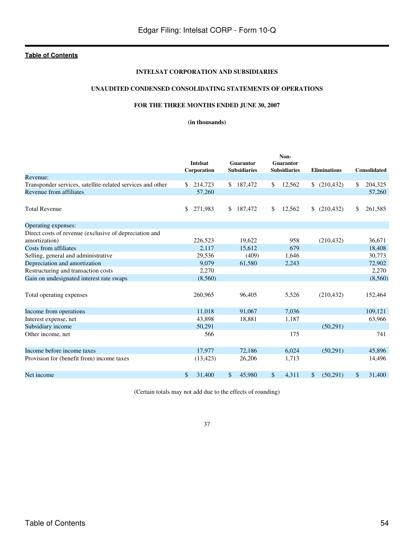### **INTELSAT CORPORATION AND SUBSIDIARIES**

## **UNAUDITED CONDENSED CONSOLIDATING STATEMENTS OF OPERATIONS**

# **FOR THE THREE MONTHS ENDED JUNE 30, 2007**

## **(in thousands)**

|                                                            | <b>Intelsat</b><br>Guarantor<br>Corporation<br><b>Subsidiaries</b> |                        | Non-<br>Guarantor<br><b>Subsidiaries</b> | <b>Eliminations</b> | <b>Consolidated</b> |  |
|------------------------------------------------------------|--------------------------------------------------------------------|------------------------|------------------------------------------|---------------------|---------------------|--|
| Revenue:                                                   |                                                                    |                        |                                          |                     |                     |  |
| Transponder services, satellite-related services and other | 214,723<br>\$                                                      | \$187,472              | 12,562<br>\$                             | (210, 432)<br>\$    | \$<br>204,325       |  |
| Revenue from affiliates                                    | 57,260                                                             |                        |                                          |                     | 57,260              |  |
| <b>Total Revenue</b>                                       | \$<br>271,983                                                      | \$187,472              | 12,562<br>\$                             | (210, 432)<br>\$    | 261,585<br>\$       |  |
| Operating expenses:                                        |                                                                    |                        |                                          |                     |                     |  |
| Direct costs of revenue (exclusive of depreciation and     |                                                                    |                        |                                          |                     |                     |  |
| amortization)                                              | 226,523                                                            | 19,622                 | 958                                      | (210, 432)          | 36,671              |  |
| Costs from affiliates                                      | 2,117                                                              | 15,612                 | 679                                      |                     | 18,408              |  |
| Selling, general and administrative                        | 29,536                                                             | (409)                  | 1,646                                    |                     | 30,773              |  |
| Depreciation and amortization                              | 9.079                                                              | 61,580                 | 2,243                                    |                     | 72,902              |  |
| Restructuring and transaction costs                        | 2,270                                                              |                        |                                          |                     | 2,270               |  |
| Gain on undesignated interest rate swaps                   | (8,560)                                                            |                        |                                          |                     | (8,560)             |  |
| Total operating expenses                                   | 260,965                                                            | 96,405                 | 5,526                                    | (210, 432)          | 152,464             |  |
| Income from operations                                     | 11,018                                                             | 91,067                 | 7,036                                    |                     | 109,121             |  |
| Interest expense, net                                      | 43,898                                                             | 18,881                 | 1,187                                    |                     | 63,966              |  |
| Subsidiary income                                          | 50,291                                                             |                        |                                          | (50,291)            |                     |  |
| Other income, net                                          | 566                                                                |                        | 175                                      |                     | 741                 |  |
| Income before income taxes                                 | 17,977                                                             | 72,186                 | 6,024                                    | (50,291)            | 45,896              |  |
| Provision for (benefit from) income taxes                  | (13, 423)                                                          | 26,206                 | 1,713                                    |                     | 14,496              |  |
| Net income                                                 | 31,400<br>$\mathbb{S}$                                             | $\mathbb{S}$<br>45,980 | \$<br>4,311                              | (50,291)<br>\$      | \$<br>31,400        |  |

(Certain totals may not add due to the effects of rounding)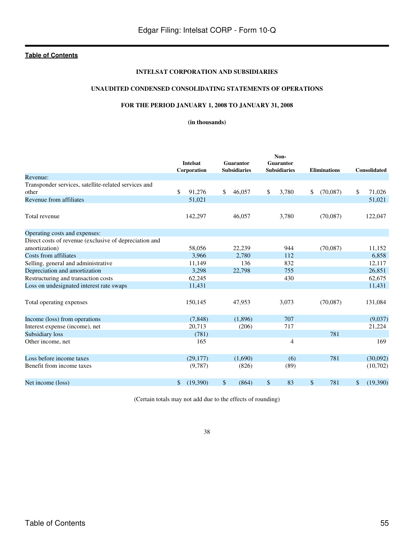# **INTELSAT CORPORATION AND SUBSIDIARIES**

### **UNAUDITED CONDENSED CONSOLIDATING STATEMENTS OF OPERATIONS**

## **FOR THE PERIOD JANUARY 1, 2008 TO JANUARY 31, 2008**

## **(in thousands)**

|                                                               | <b>Intelsat</b><br>Corporation | <b>Guarantor</b><br><b>Subsidiaries</b> |         | Non-<br><b>Guarantor</b><br><b>Subsidiaries</b> | <b>Eliminations</b> |          | <b>Consolidated</b> |
|---------------------------------------------------------------|--------------------------------|-----------------------------------------|---------|-------------------------------------------------|---------------------|----------|---------------------|
| Revenue:                                                      |                                |                                         |         |                                                 |                     |          |                     |
| Transponder services, satellite-related services and<br>other | \$<br>91,276                   | \$                                      | 46,057  | \$<br>3,780                                     | \$                  | (70,087) | \$<br>71,026        |
| Revenue from affiliates                                       | 51,021                         |                                         |         |                                                 |                     |          | 51,021              |
| Total revenue                                                 | 142,297                        |                                         | 46,057  | 3,780                                           |                     | (70,087) | 122,047             |
| Operating costs and expenses:                                 |                                |                                         |         |                                                 |                     |          |                     |
| Direct costs of revenue (exclusive of depreciation and        |                                |                                         |         |                                                 |                     |          |                     |
| amortization)                                                 | 58,056                         |                                         | 22,239  | 944                                             |                     | (70,087) | 11,152              |
| Costs from affiliates                                         | 3,966                          |                                         | 2,780   | 112                                             |                     |          | 6,858               |
| Selling, general and administrative                           | 11,149                         |                                         | 136     | 832                                             |                     |          | 12,117              |
| Depreciation and amortization                                 | 3,298                          |                                         | 22,798  | 755                                             |                     |          | 26,851              |
| Restructuring and transaction costs                           | 62,245                         |                                         |         | 430                                             |                     |          | 62,675              |
| Loss on undesignated interest rate swaps                      | 11,431                         |                                         |         |                                                 |                     |          | 11,431              |
| Total operating expenses                                      | 150,145                        |                                         | 47,953  | 3,073                                           |                     | (70.087) | 131,084             |
| Income (loss) from operations                                 | (7, 848)                       |                                         | (1,896) | 707                                             |                     |          | (9,037)             |
| Interest expense (income), net                                | 20,713                         |                                         | (206)   | 717                                             |                     |          | 21,224              |
| Subsidiary loss                                               | (781)                          |                                         |         |                                                 |                     | 781      |                     |
| Other income, net                                             | 165                            |                                         |         | 4                                               |                     |          | 169                 |
| Loss before income taxes                                      | (29,177)                       |                                         | (1,690) | (6)                                             |                     | 781      | (30,092)            |
| Benefit from income taxes                                     | (9,787)                        |                                         | (826)   | (89)                                            |                     |          | (10,702)            |
| Net income (loss)                                             | \$<br>(19,390)                 | $\mathbb{S}$                            | (864)   | \$<br>83                                        | \$                  | 781      | \$<br>(19,390)      |

(Certain totals may not add due to the effects of rounding)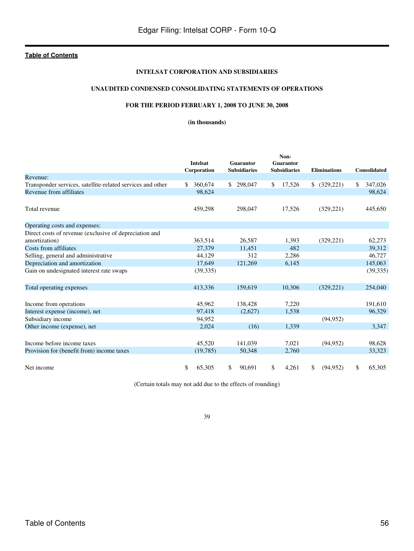#### **INTELSAT CORPORATION AND SUBSIDIARIES**

### **UNAUDITED CONDENSED CONSOLIDATING STATEMENTS OF OPERATIONS**

## **FOR THE PERIOD FEBRUARY 1, 2008 TO JUNE 30, 2008**

## **(in thousands)**

|                                                            | Non-                           |    |                                         |    |                                         |    |                     |                     |           |
|------------------------------------------------------------|--------------------------------|----|-----------------------------------------|----|-----------------------------------------|----|---------------------|---------------------|-----------|
|                                                            | <b>Intelsat</b><br>Corporation |    | <b>Guarantor</b><br><b>Subsidiaries</b> |    | <b>Guarantor</b><br><b>Subsidiaries</b> |    | <b>Eliminations</b> | <b>Consolidated</b> |           |
| Revenue:                                                   |                                |    |                                         |    |                                         |    |                     |                     |           |
| Transponder services, satellite-related services and other | \$<br>360,674                  |    | \$ 298,047                              | \$ | 17,526                                  |    | \$ (329,221)        | \$                  | 347,026   |
| Revenue from affiliates                                    | 98,624                         |    |                                         |    |                                         |    |                     |                     | 98,624    |
|                                                            |                                |    |                                         |    |                                         |    |                     |                     |           |
| Total revenue                                              | 459,298                        |    | 298,047                                 |    | 17,526                                  |    | (329, 221)          |                     | 445,650   |
| Operating costs and expenses:                              |                                |    |                                         |    |                                         |    |                     |                     |           |
| Direct costs of revenue (exclusive of depreciation and     |                                |    |                                         |    |                                         |    |                     |                     |           |
| amortization)                                              | 363,514                        |    | 26,587                                  |    | 1,393                                   |    | (329, 221)          |                     | 62,273    |
| <b>Costs from affiliates</b>                               | 27,379                         |    | 11,451                                  |    | 482                                     |    |                     |                     | 39,312    |
| Selling, general and administrative                        | 44,129                         |    | 312                                     |    | 2,286                                   |    |                     |                     | 46,727    |
| Depreciation and amortization                              | 17,649                         |    | 121,269                                 |    | 6,145                                   |    |                     |                     | 145,063   |
| Gain on undesignated interest rate swaps                   | (39, 335)                      |    |                                         |    |                                         |    |                     |                     | (39, 335) |
|                                                            |                                |    |                                         |    |                                         |    |                     |                     |           |
| Total operating expenses                                   | 413,336                        |    | 159,619                                 |    | 10,306                                  |    | (329, 221)          |                     | 254,040   |
|                                                            |                                |    |                                         |    |                                         |    |                     |                     |           |
| Income from operations                                     | 45,962                         |    | 138,428                                 |    | 7,220                                   |    |                     |                     | 191,610   |
| Interest expense (income), net                             | 97.418                         |    | (2,627)                                 |    | 1,538                                   |    |                     |                     | 96.329    |
| Subsidiary income                                          | 94,952                         |    |                                         |    |                                         |    | (94, 952)           |                     |           |
| Other income (expense), net                                | 2,024                          |    | (16)                                    |    | 1,339                                   |    |                     |                     | 3,347     |
|                                                            |                                |    |                                         |    |                                         |    |                     |                     |           |
| Income before income taxes                                 | 45.520                         |    | 141.039                                 |    | 7,021                                   |    | (94, 952)           |                     | 98,628    |
| Provision for (benefit from) income taxes                  | (19, 785)                      |    | 50,348                                  |    | 2,760                                   |    |                     |                     | 33,323    |
|                                                            |                                |    |                                         |    |                                         |    |                     |                     |           |
| Net income                                                 | \$<br>65,305                   | \$ | 90.691                                  | \$ | 4,261                                   | \$ | (94, 952)           | \$                  | 65,305    |

(Certain totals may not add due to the effects of rounding)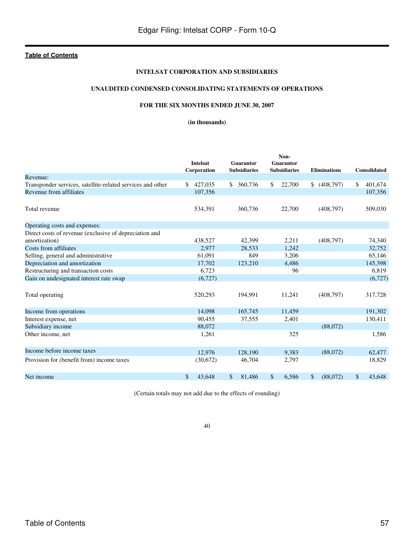### **INTELSAT CORPORATION AND SUBSIDIARIES**

## **UNAUDITED CONDENSED CONSOLIDATING STATEMENTS OF OPERATIONS**

## **FOR THE SIX MONTHS ENDED JUNE 30, 2007**

## **(in thousands)**

|                                                            |     | <b>Intelsat</b><br>Corporation |              | <b>Guarantor</b><br><b>Subsidiaries</b> |              | Non-<br>Guarantor<br><b>Subsidiaries</b> | <b>Eliminations</b> |              | <b>Consolidated</b> |
|------------------------------------------------------------|-----|--------------------------------|--------------|-----------------------------------------|--------------|------------------------------------------|---------------------|--------------|---------------------|
| Revenue:                                                   |     |                                |              |                                         |              |                                          |                     |              |                     |
| Transponder services, satellite-related services and other | \$. | 427,035                        |              | \$ 360,736                              | \$           | 22,700                                   | \$<br>(408,797)     | \$           | 401,674             |
| Revenue from affiliates                                    |     | 107,356                        |              |                                         |              |                                          |                     |              | 107,356             |
| Total revenue                                              |     | 534,391                        |              | 360,736                                 |              | 22,700                                   | (408,797)           |              | 509,030             |
| Operating costs and expenses:                              |     |                                |              |                                         |              |                                          |                     |              |                     |
| Direct costs of revenue (exclusive of depreciation and     |     |                                |              |                                         |              |                                          |                     |              |                     |
| amortization)                                              |     | 438,527                        |              | 42,399                                  |              | 2,211                                    | (408,797)           |              | 74,340              |
| Costs from affiliates                                      |     | 2,977                          |              | 28,533                                  |              | 1,242                                    |                     |              | 32,752              |
| Selling, general and administrative                        |     | 61,091                         |              | 849                                     |              | 3,206                                    |                     |              | 65,146              |
| Depreciation and amortization                              |     | 17,702                         |              | 123,210                                 |              | 4,486                                    |                     |              | 145,398             |
| Restructuring and transaction costs                        |     | 6.723                          |              |                                         |              | 96                                       |                     |              | 6,819               |
| Gain on undesignated interest rate swap                    |     | (6,727)                        |              |                                         |              |                                          |                     |              | (6,727)             |
| Total operating                                            |     | 520,293                        |              | 194.991                                 |              | 11,241                                   | (408,797)           |              | 317,728             |
| Income from operations                                     |     | 14,098                         |              | 165,745                                 |              | 11,459                                   |                     |              | 191,302             |
| Interest expense, net                                      |     | 90,455                         |              | 37,555                                  |              | 2,401                                    |                     |              | 130,411             |
| Subsidiary income                                          |     | 88,072                         |              |                                         |              |                                          | (88,072)            |              |                     |
| Other income, net                                          |     | 1,261                          |              |                                         |              | 325                                      |                     |              | 1,586               |
| Income before income taxes                                 |     | 12,976                         |              | 128,190                                 |              | 9,383                                    | (88,072)            |              | 62,477              |
| Provision for (benefit from) income taxes                  |     | (30,672)                       |              | 46,704                                  |              | 2,797                                    |                     |              | 18,829              |
| Net income                                                 | \$  | 43.648                         | $\mathbb{S}$ | 81,486                                  | $\mathbb{S}$ | 6,586                                    | \$<br>(88,072)      | $\mathbb{S}$ | 43.648              |

(Certain totals may not add due to the effects of rounding)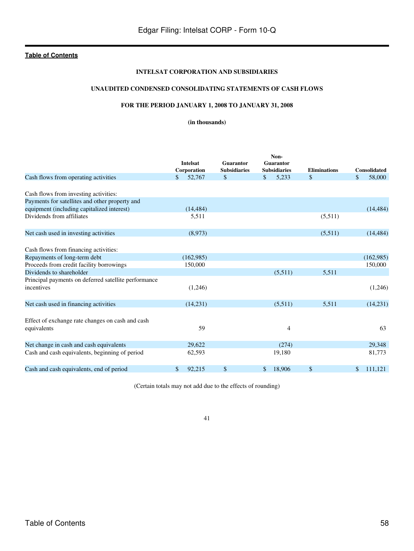### **INTELSAT CORPORATION AND SUBSIDIARIES**

### **UNAUDITED CONDENSED CONSOLIDATING STATEMENTS OF CASH FLOWS**

## **FOR THE PERIOD JANUARY 1, 2008 TO JANUARY 31, 2008**

## **(in thousands)**

|                                                      | Non-<br><b>Intelsat</b><br><b>Guarantor</b><br><b>Guarantor</b> |             |                     |              |                     |                     |              |                     |
|------------------------------------------------------|-----------------------------------------------------------------|-------------|---------------------|--------------|---------------------|---------------------|--------------|---------------------|
|                                                      |                                                                 | Corporation | <b>Subsidiaries</b> |              | <b>Subsidiaries</b> | <b>Eliminations</b> |              | <b>Consolidated</b> |
| Cash flows from operating activities                 | \$.                                                             | 52,767      | \$                  | $\mathbb{S}$ | 5,233               | $\mathbb{S}$        | $\mathbb{S}$ | 58,000              |
| Cash flows from investing activities:                |                                                                 |             |                     |              |                     |                     |              |                     |
| Payments for satellites and other property and       |                                                                 |             |                     |              |                     |                     |              |                     |
| equipment (including capitalized interest)           |                                                                 | (14, 484)   |                     |              |                     |                     |              | (14, 484)           |
| Dividends from affiliates                            |                                                                 | 5,511       |                     |              |                     | (5,511)             |              |                     |
|                                                      |                                                                 |             |                     |              |                     |                     |              |                     |
| Net cash used in investing activities                |                                                                 | (8,973)     |                     |              |                     | (5,511)             |              | (14, 484)           |
|                                                      |                                                                 |             |                     |              |                     |                     |              |                     |
| Cash flows from financing activities:                |                                                                 |             |                     |              |                     |                     |              |                     |
| Repayments of long-term debt                         |                                                                 | (162,985)   |                     |              |                     |                     |              | (162,985)           |
| Proceeds from credit facility borrowings             |                                                                 | 150,000     |                     |              |                     |                     |              | 150,000             |
| Dividends to shareholder                             |                                                                 |             |                     |              | (5,511)             | 5,511               |              |                     |
| Principal payments on deferred satellite performance |                                                                 |             |                     |              |                     |                     |              |                     |
| incentives                                           |                                                                 | (1,246)     |                     |              |                     |                     |              | (1,246)             |
|                                                      |                                                                 |             |                     |              |                     |                     |              |                     |
| Net cash used in financing activities                |                                                                 | (14,231)    |                     |              | (5,511)             | 5,511               |              | (14,231)            |
|                                                      |                                                                 |             |                     |              |                     |                     |              |                     |
| Effect of exchange rate changes on cash and cash     |                                                                 |             |                     |              |                     |                     |              |                     |
| equivalents                                          |                                                                 | 59          |                     |              | 4                   |                     |              | 63                  |
|                                                      |                                                                 |             |                     |              |                     |                     |              |                     |
| Net change in cash and cash equivalents              |                                                                 | 29,622      |                     |              | (274)               |                     |              | 29,348              |
| Cash and cash equivalents, beginning of period       |                                                                 | 62,593      |                     |              | 19,180              |                     |              | 81,773              |
|                                                      |                                                                 |             |                     |              |                     |                     |              |                     |
| Cash and cash equivalents, end of period             | $\mathbb{S}$                                                    | 92,215      | \$                  | $\mathbb{S}$ | 18,906              | \$                  | \$           | 111,121             |
|                                                      |                                                                 |             |                     |              |                     |                     |              |                     |

(Certain totals may not add due to the effects of rounding)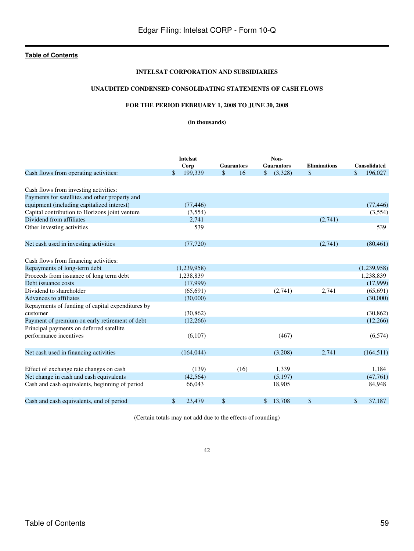### **INTELSAT CORPORATION AND SUBSIDIARIES**

# **UNAUDITED CONDENSED CONSOLIDATING STATEMENTS OF CASH FLOWS**

# **FOR THE PERIOD FEBRUARY 1, 2008 TO JUNE 30, 2008**

## **(in thousands)**

|                                                  | <b>Intelsat</b> | Non- |                   |    |                   |    |                     |                     |
|--------------------------------------------------|-----------------|------|-------------------|----|-------------------|----|---------------------|---------------------|
|                                                  | Corp            |      | <b>Guarantors</b> |    | <b>Guarantors</b> |    | <b>Eliminations</b> | <b>Consolidated</b> |
| Cash flows from operating activities:            | \$<br>199.339   | \$   | 16                | \$ | (3,328)           | \$ |                     | 196,027             |
|                                                  |                 |      |                   |    |                   |    |                     |                     |
| Cash flows from investing activities:            |                 |      |                   |    |                   |    |                     |                     |
| Payments for satellites and other property and   |                 |      |                   |    |                   |    |                     |                     |
| equipment (including capitalized interest)       | (77, 446)       |      |                   |    |                   |    |                     | (77, 446)           |
| Capital contribution to Horizons joint venture   | (3,554)         |      |                   |    |                   |    |                     | (3,554)             |
| Dividend from affiliates                         | 2,741           |      |                   |    |                   |    | (2,741)             |                     |
| Other investing activities                       | 539             |      |                   |    |                   |    |                     | 539                 |
|                                                  |                 |      |                   |    |                   |    |                     |                     |
| Net cash used in investing activities            | (77, 720)       |      |                   |    |                   |    | (2,741)             | (80, 461)           |
|                                                  |                 |      |                   |    |                   |    |                     |                     |
| Cash flows from financing activities:            |                 |      |                   |    |                   |    |                     |                     |
| Repayments of long-term debt                     | (1,239,958)     |      |                   |    |                   |    |                     | (1,239,958)         |
| Proceeds from issuance of long term debt         | 1,238,839       |      |                   |    |                   |    |                     | 1,238,839           |
| Debt issuance costs                              | (17,999)        |      |                   |    |                   |    |                     | (17,999)            |
| Dividend to shareholder                          | (65, 691)       |      |                   |    | (2,741)           |    | 2,741               | (65, 691)           |
| Advances to affiliates                           | (30,000)        |      |                   |    |                   |    |                     | (30,000)            |
| Repayments of funding of capital expenditures by |                 |      |                   |    |                   |    |                     |                     |
| customer                                         | (30, 862)       |      |                   |    |                   |    |                     | (30, 862)           |
| Payment of premium on early retirement of debt   | (12,266)        |      |                   |    |                   |    |                     | (12,266)            |
| Principal payments on deferred satellite         |                 |      |                   |    |                   |    |                     |                     |
| performance incentives                           | (6,107)         |      |                   |    | (467)             |    |                     | (6,574)             |
|                                                  |                 |      |                   |    |                   |    |                     |                     |
| Net cash used in financing activities            | (164, 044)      |      |                   |    | (3,208)           |    | 2,741               | (164, 511)          |
|                                                  |                 |      |                   |    |                   |    |                     |                     |
| Effect of exchange rate changes on cash          | (139)           |      | (16)              |    | 1,339             |    |                     | 1,184               |
| Net change in cash and cash equivalents          | (42, 564)       |      |                   |    | (5,197)           |    |                     | (47,761)            |
| Cash and cash equivalents, beginning of period   | 66,043          |      |                   |    | 18,905            |    |                     | 84,948              |
|                                                  |                 |      |                   |    |                   |    |                     |                     |
| Cash and cash equivalents, end of period         | \$<br>23,479    | \$   |                   | \$ | 13,708            | \$ |                     | \$<br>37,187        |
|                                                  |                 |      |                   |    |                   |    |                     |                     |

(Certain totals may not add due to the effects of rounding)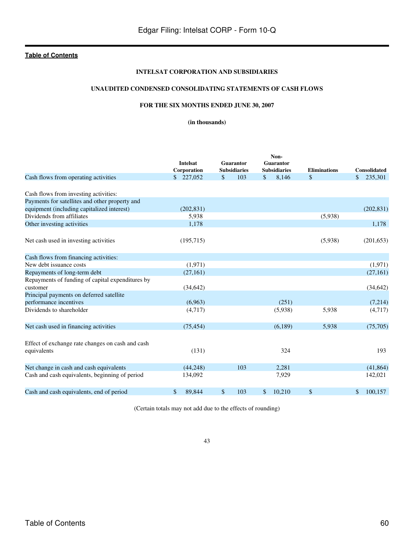### **INTELSAT CORPORATION AND SUBSIDIARIES**

## **UNAUDITED CONDENSED CONSOLIDATING STATEMENTS OF CASH FLOWS**

## **FOR THE SIX MONTHS ENDED JUNE 30, 2007**

## **(in thousands)**

|                                                  | <b>Intelsat</b><br>Corporation |              | Non-<br><b>Guarantor</b><br><b>Guarantor</b><br><b>Subsidiaries</b><br><b>Subsidiaries</b> |              |         | <b>Eliminations</b> |         | <b>Consolidated</b> |
|--------------------------------------------------|--------------------------------|--------------|--------------------------------------------------------------------------------------------|--------------|---------|---------------------|---------|---------------------|
| Cash flows from operating activities             | \$227,052                      | $\mathbb{S}$ | 103                                                                                        | $\mathbb{S}$ | 8,146   | $\mathbb{S}$        |         | \$<br>235,301       |
|                                                  |                                |              |                                                                                            |              |         |                     |         |                     |
| Cash flows from investing activities:            |                                |              |                                                                                            |              |         |                     |         |                     |
| Payments for satellites and other property and   |                                |              |                                                                                            |              |         |                     |         |                     |
| equipment (including capitalized interest)       | (202, 831)                     |              |                                                                                            |              |         |                     |         | (202, 831)          |
| Dividends from affiliates                        | 5,938                          |              |                                                                                            |              |         |                     | (5,938) |                     |
| Other investing activities                       | 1,178                          |              |                                                                                            |              |         |                     |         | 1,178               |
| Net cash used in investing activities            | (195,715)                      |              |                                                                                            |              |         |                     | (5,938) | (201, 653)          |
| Cash flows from financing activities:            |                                |              |                                                                                            |              |         |                     |         |                     |
| New debt issuance costs                          | (1,971)                        |              |                                                                                            |              |         |                     |         | (1,971)             |
| Repayments of long-term debt                     | (27, 161)                      |              |                                                                                            |              |         |                     |         | (27, 161)           |
| Repayments of funding of capital expenditures by |                                |              |                                                                                            |              |         |                     |         |                     |
| customer                                         | (34, 642)                      |              |                                                                                            |              |         |                     |         | (34, 642)           |
| Principal payments on deferred satellite         |                                |              |                                                                                            |              |         |                     |         |                     |
| performance incentives                           | (6,963)                        |              |                                                                                            |              | (251)   |                     |         | (7,214)             |
| Dividends to shareholder                         | (4,717)                        |              |                                                                                            |              | (5,938) |                     | 5,938   | (4,717)             |
| Net cash used in financing activities            | (75, 454)                      |              |                                                                                            |              | (6,189) |                     | 5,938   | (75,705)            |
| Effect of exchange rate changes on cash and cash |                                |              |                                                                                            |              |         |                     |         |                     |
| equivalents                                      | (131)                          |              |                                                                                            |              | 324     |                     |         | 193                 |
| Net change in cash and cash equivalents          | (44, 248)                      |              | 103                                                                                        |              | 2,281   |                     |         | (41, 864)           |
| Cash and cash equivalents, beginning of period   | 134,092                        |              |                                                                                            |              | 7,929   |                     |         | 142,021             |
| Cash and cash equivalents, end of period         | \$<br>89,844                   | \$           | 103                                                                                        | \$           | 10,210  | \$                  |         | \$<br>100,157       |

(Certain totals may not add due to the effects of rounding)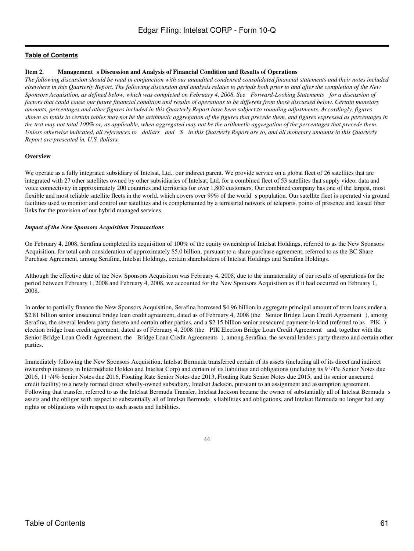#### **Item 2. Management s Discussion and Analysis of Financial Condition and Results of Operations**

*The following discussion should be read in conjunction with our unaudited condensed consolidated financial statements and their notes included elsewhere in this Quarterly Report. The following discussion and analysis relates to periods both prior to and after the completion of the New Sponsors Acquisition, as defined below, which was completed on February 4, 2008. See Forward-Looking Statements for a discussion of factors that could cause our future financial condition and results of operations to be different from those discussed below. Certain monetary amounts, percentages and other figures included in this Quarterly Report have been subject to rounding adjustments. Accordingly, figures shown as totals in certain tables may not be the arithmetic aggregation of the figures that precede them, and figures expressed as percentages in the text may not total 100% or, as applicable, when aggregated may not be the arithmetic aggregation of the percentages that precede them. Unless otherwise indicated, all references to dollars and \$ in this Quarterly Report are to, and all monetary amounts in this Quarterly Report are presented in, U.S. dollars.*

#### **Overview**

We operate as a fully integrated subsidiary of Intelsat, Ltd., our indirect parent. We provide service on a global fleet of 26 satellites that are integrated with 27 other satellites owned by other subsidiaries of Intelsat, Ltd. for a combined fleet of 53 satellites that supply video, data and voice connectivity in approximately 200 countries and territories for over 1,800 customers. Our combined company has one of the largest, most flexible and most reliable satellite fleets in the world, which covers over 99% of the world s population. Our satellite fleet is operated via ground facilities used to monitor and control our satellites and is complemented by a terrestrial network of teleports, points of presence and leased fiber links for the provision of our hybrid managed services.

#### *Impact of the New Sponsors Acquisition Transactions*

On February 4, 2008, Serafina completed its acquisition of 100% of the equity ownership of Intelsat Holdings, referred to as the New Sponsors Acquisition, for total cash consideration of approximately \$5.0 billion, pursuant to a share purchase agreement, referred to as the BC Share Purchase Agreement, among Serafina, Intelsat Holdings, certain shareholders of Intelsat Holdings and Serafina Holdings.

Although the effective date of the New Sponsors Acquisition was February 4, 2008, due to the immateriality of our results of operations for the period between February 1, 2008 and February 4, 2008, we accounted for the New Sponsors Acquisition as if it had occurred on February 1, 2008.

In order to partially finance the New Sponsors Acquisition, Serafina borrowed \$4.96 billion in aggregate principal amount of term loans under a \$2.81 billion senior unsecured bridge loan credit agreement, dated as of February 4, 2008 (the Senior Bridge Loan Credit Agreement), among Serafina, the several lenders party thereto and certain other parties, and a \$2.15 billion senior unsecured payment-in-kind (referred to as PIK) election bridge loan credit agreement, dated as of February 4, 2008 (the PIK Election Bridge Loan Credit Agreement and, together with the Senior Bridge Loan Credit Agreement, the Bridge Loan Credit Agreements), among Serafina, the several lenders party thereto and certain other parties.

Immediately following the New Sponsors Acquisition, Intelsat Bermuda transferred certain of its assets (including all of its direct and indirect ownership interests in Intermediate Holdco and Intelsat Corp) and certain of its liabilities and obligations (including its 9<sup>1</sup>/4% Senior Notes due 2016, 11<sup>1</sup>/4% Senior Notes due 2016, Floating Rate Senior Notes due 2013, Floating Rate Senior Notes due 2015, and its senior unsecured credit facility) to a newly formed direct wholly-owned subsidiary, Intelsat Jackson, pursuant to an assignment and assumption agreement. Following that transfer, referred to as the Intelsat Bermuda Transfer, Intelsat Jackson became the owner of substantially all of Intelsat Bermuda s assets and the obligor with respect to substantially all of Intelsat Bermuda s liabilities and obligations, and Intelsat Bermuda no longer had any rights or obligations with respect to such assets and liabilities.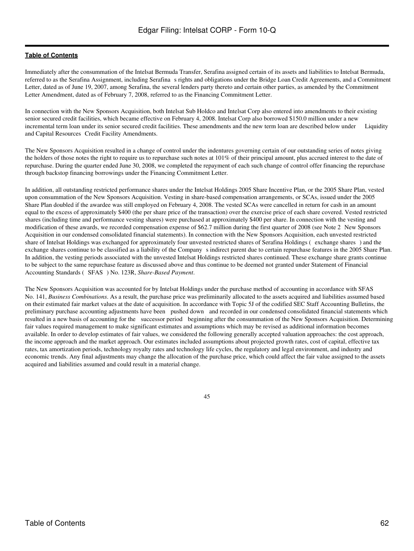Immediately after the consummation of the Intelsat Bermuda Transfer, Serafina assigned certain of its assets and liabilities to Intelsat Bermuda, referred to as the Serafina Assignment, including Serafina s rights and obligations under the Bridge Loan Credit Agreements, and a Commitment Letter, dated as of June 19, 2007, among Serafina, the several lenders party thereto and certain other parties, as amended by the Commitment Letter Amendment, dated as of February 7, 2008, referred to as the Financing Commitment Letter.

In connection with the New Sponsors Acquisition, both Intelsat Sub Holdco and Intelsat Corp also entered into amendments to their existing senior secured credit facilities, which became effective on February 4, 2008. Intelsat Corp also borrowed \$150.0 million under a new incremental term loan under its senior secured credit facilities. These amendments and the new term loan are described below under Liquidity and Capital Resources Credit Facility Amendments.

The New Sponsors Acquisition resulted in a change of control under the indentures governing certain of our outstanding series of notes giving the holders of those notes the right to require us to repurchase such notes at 101% of their principal amount, plus accrued interest to the date of repurchase. During the quarter ended June 30, 2008, we completed the repayment of each such change of control offer financing the repurchase through backstop financing borrowings under the Financing Commitment Letter.

In addition, all outstanding restricted performance shares under the Intelsat Holdings 2005 Share Incentive Plan, or the 2005 Share Plan, vested upon consummation of the New Sponsors Acquisition. Vesting in share-based compensation arrangements, or SCAs, issued under the 2005 Share Plan doubled if the awardee was still employed on February 4, 2008. The vested SCAs were cancelled in return for cash in an amount equal to the excess of approximately \$400 (the per share price of the transaction) over the exercise price of each share covered. Vested restricted shares (including time and performance vesting shares) were purchased at approximately \$400 per share. In connection with the vesting and modification of these awards, we recorded compensation expense of \$62.7 million during the first quarter of 2008 (see Note 2 New Sponsors Acquisition in our condensed consolidated financial statements). In connection with the New Sponsors Acquisition, each unvested restricted share of Intelsat Holdings was exchanged for approximately four unvested restricted shares of Serafina Holdings (exchange shares) and the exchange shares continue to be classified as a liability of the Companys indirect parent due to certain repurchase features in the 2005 Share Plan. In addition, the vesting periods associated with the unvested Intelsat Holdings restricted shares continued. These exchange share grants continue to be subject to the same repurchase feature as discussed above and thus continue to be deemed not granted under Statement of Financial Accounting Standards (SFAS) No. 123R, *Share-Based Payment*.

The New Sponsors Acquisition was accounted for by Intelsat Holdings under the purchase method of accounting in accordance with SFAS No. 141, *Business Combinations*. As a result, the purchase price was preliminarily allocated to the assets acquired and liabilities assumed based on their estimated fair market values at the date of acquisition. In accordance with Topic 5J of the codified SEC Staff Accounting Bulletins, the preliminary purchase accounting adjustments have been pushed down and recorded in our condensed consolidated financial statements which resulted in a new basis of accounting for the successor period beginning after the consummation of the New Sponsors Acquisition. Determining fair values required management to make significant estimates and assumptions which may be revised as additional information becomes available. In order to develop estimates of fair values, we considered the following generally accepted valuation approaches: the cost approach, the income approach and the market approach. Our estimates included assumptions about projected growth rates, cost of capital, effective tax rates, tax amortization periods, technology royalty rates and technology life cycles, the regulatory and legal environment, and industry and economic trends. Any final adjustments may change the allocation of the purchase price, which could affect the fair value assigned to the assets acquired and liabilities assumed and could result in a material change.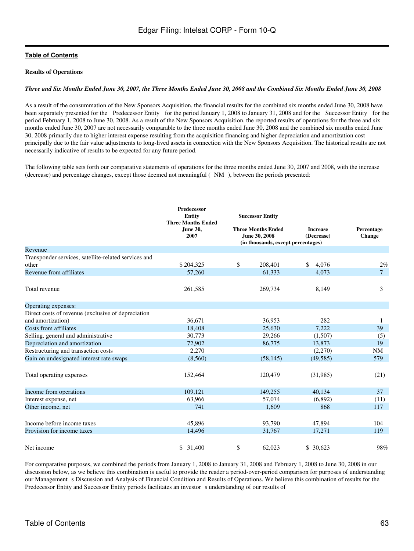#### **Results of Operations**

#### *Three and Six Months Ended June 30, 2007, the Three Months Ended June 30, 2008 and the Combined Six Months Ended June 30, 2008*

As a result of the consummation of the New Sponsors Acquisition, the financial results for the combined six months ended June 30, 2008 have been separately presented for the Predecessor Entity for the period January 1, 2008 to January 31, 2008 and for the Successor Entity for the period February 1, 2008 to June 30, 2008. As a result of the New Sponsors Acquisition, the reported results of operations for the three and six months ended June 30, 2007 are not necessarily comparable to the three months ended June 30, 2008 and the combined six months ended June 30, 2008 primarily due to higher interest expense resulting from the acquisition financing and higher depreciation and amortization cost principally due to the fair value adjustments to long-lived assets in connection with the New Sponsors Acquisition. The historical results are not necessarily indicative of results to be expected for any future period.

The following table sets forth our comparative statements of operations for the three months ended June 30, 2007 and 2008, with the increase (decrease) and percentage changes, except those deemed not meaningful (NM), between the periods presented:

|                                                      | Predecessor<br><b>Entity</b><br><b>Three Months Ended</b> | <b>Successor Entity</b>                                                          |                               |                             |
|------------------------------------------------------|-----------------------------------------------------------|----------------------------------------------------------------------------------|-------------------------------|-----------------------------|
|                                                      | June 30,<br>2007                                          | <b>Three Months Ended</b><br>June 30, 2008<br>(in thousands, except percentages) | <b>Increase</b><br>(Decrease) | Percentage<br><b>Change</b> |
| Revenue                                              |                                                           |                                                                                  |                               |                             |
| Transponder services, satellite-related services and |                                                           |                                                                                  |                               |                             |
| other                                                | \$204,325                                                 | \$<br>208.401                                                                    | \$<br>4.076                   | 2%                          |
| Revenue from affiliates                              | 57,260                                                    | 61,333                                                                           | 4,073                         | $\overline{7}$              |
| Total revenue                                        | 261,585                                                   | 269,734                                                                          | 8,149                         | 3                           |
| Operating expenses:                                  |                                                           |                                                                                  |                               |                             |
| Direct costs of revenue (exclusive of depreciation   |                                                           |                                                                                  |                               |                             |
| and amortization)                                    | 36,671                                                    | 36,953                                                                           | 282                           | 1                           |
| Costs from affiliates                                | 18,408                                                    | 25,630                                                                           | 7,222                         | 39                          |
| Selling, general and administrative                  | 30,773                                                    | 29,266                                                                           | (1,507)                       | (5)                         |
| Depreciation and amortization                        | 72,902                                                    | 86,775                                                                           | 13,873                        | 19                          |
| Restructuring and transaction costs                  | 2,270                                                     |                                                                                  | (2,270)                       | NM                          |
| Gain on undesignated interest rate swaps             | (8,560)                                                   | (58, 145)                                                                        | (49, 585)                     | 579                         |
| Total operating expenses                             | 152,464                                                   | 120,479                                                                          | (31,985)                      | (21)                        |
| Income from operations                               | 109,121                                                   | 149,255                                                                          | 40,134                        | 37                          |
| Interest expense, net                                | 63,966                                                    | 57,074                                                                           | (6,892)                       | (11)                        |
| Other income, net                                    | 741                                                       | 1,609                                                                            | 868                           | 117                         |
| Income before income taxes                           | 45,896                                                    | 93,790                                                                           | 47,894                        | 104                         |
| Provision for income taxes                           | 14,496                                                    | 31,767                                                                           | 17,271                        | 119                         |
| Net income                                           | \$31,400                                                  | \$<br>62,023                                                                     | \$30,623                      | 98%                         |

For comparative purposes, we combined the periods from January 1, 2008 to January 31, 2008 and February 1, 2008 to June 30, 2008 in our discussion below, as we believe this combination is useful to provide the reader a period-over-period comparison for purposes of understanding our Management s Discussion and Analysis of Financial Condition and Results of Operations. We believe this combination of results for the Predecessor Entity and Successor Entity periods facilitates an investor sunderstanding of our results of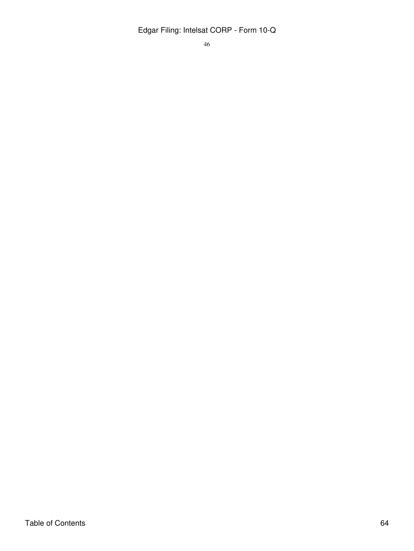# Edgar Filing: Intelsat CORP - Form 10-Q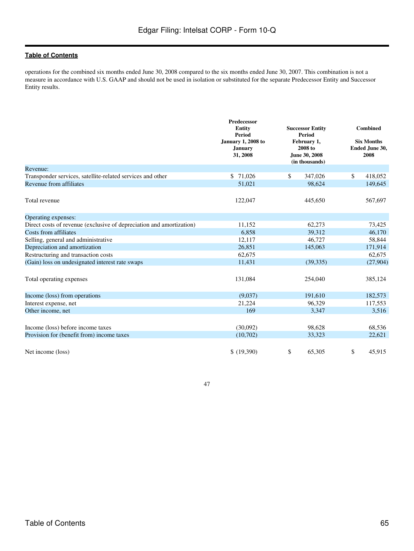operations for the combined six months ended June 30, 2008 compared to the six months ended June 30, 2007. This combination is not a measure in accordance with U.S. GAAP and should not be used in isolation or substituted for the separate Predecessor Entity and Successor Entity results.

|                                                                      | Predecessor<br><b>Entity</b><br><b>Period</b><br>January 1, 2008 to<br><b>January</b><br>31, 2008 | <b>Successor Entity</b><br><b>Period</b><br>February 1,<br>2008 to<br>June 30, 2008<br>(in thousands) | <b>Combined</b><br><b>Six Months</b><br>Ended June 30,<br>2008 |
|----------------------------------------------------------------------|---------------------------------------------------------------------------------------------------|-------------------------------------------------------------------------------------------------------|----------------------------------------------------------------|
| Revenue:                                                             |                                                                                                   |                                                                                                       |                                                                |
| Transponder services, satellite-related services and other           | \$71,026                                                                                          | \$<br>347,026                                                                                         | \$<br>418,052                                                  |
| Revenue from affiliates                                              | 51,021                                                                                            | 98,624                                                                                                | 149,645                                                        |
| Total revenue                                                        | 122,047                                                                                           | 445,650                                                                                               | 567,697                                                        |
| Operating expenses:                                                  |                                                                                                   |                                                                                                       |                                                                |
| Direct costs of revenue (exclusive of depreciation and amortization) | 11,152                                                                                            | 62,273                                                                                                | 73,425                                                         |
| Costs from affiliates                                                | 6,858                                                                                             | 39,312                                                                                                | 46,170                                                         |
| Selling, general and administrative                                  | 12,117                                                                                            | 46,727                                                                                                | 58,844                                                         |
| Depreciation and amortization                                        | 26,851                                                                                            | 145,063                                                                                               | 171,914                                                        |
| Restructuring and transaction costs                                  | 62,675                                                                                            |                                                                                                       | 62,675                                                         |
| (Gain) loss on undesignated interest rate swaps                      | 11,431                                                                                            | (39, 335)                                                                                             | (27,904)                                                       |
| Total operating expenses                                             | 131,084                                                                                           | 254,040                                                                                               | 385,124                                                        |
| Income (loss) from operations                                        | (9,037)                                                                                           | 191,610                                                                                               | 182,573                                                        |
| Interest expense, net                                                | 21,224                                                                                            | 96,329                                                                                                | 117,553                                                        |
| Other income, net                                                    | 169                                                                                               | 3,347                                                                                                 | 3,516                                                          |
| Income (loss) before income taxes                                    | (30,092)                                                                                          | 98,628                                                                                                | 68,536                                                         |
| Provision for (benefit from) income taxes                            | (10,702)                                                                                          | 33,323                                                                                                | 22,621                                                         |
| Net income (loss)                                                    | \$(19,390)                                                                                        | \$<br>65,305                                                                                          | \$<br>45,915                                                   |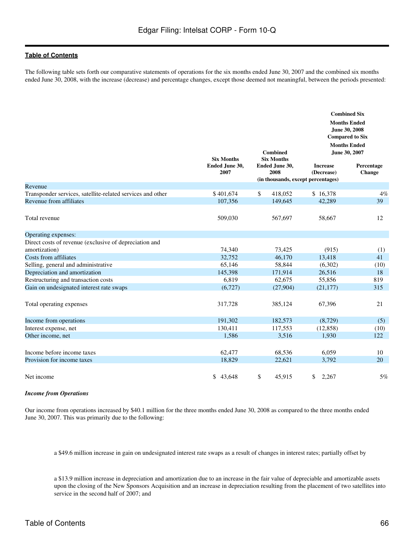The following table sets forth our comparative statements of operations for the six months ended June 30, 2007 and the combined six months ended June 30, 2008, with the increase (decrease) and percentage changes, except those deemed not meaningful, between the periods presented:

|                                                            |                        |                                                              | <b>Combined Six</b>           |                                                                |  |  |  |
|------------------------------------------------------------|------------------------|--------------------------------------------------------------|-------------------------------|----------------------------------------------------------------|--|--|--|
|                                                            |                        |                                                              |                               | <b>Months Ended</b><br>June 30, 2008<br><b>Compared to Six</b> |  |  |  |
|                                                            | <b>Six Months</b>      | <b>Combined</b><br><b>Six Months</b>                         |                               | <b>Months Ended</b><br>June 30, 2007                           |  |  |  |
|                                                            | Ended June 30,<br>2007 | Ended June 30,<br>2008<br>(in thousands, except percentages) | <b>Increase</b><br>(Decrease) | Percentage<br>Change                                           |  |  |  |
| Revenue                                                    |                        |                                                              |                               |                                                                |  |  |  |
| Transponder services, satellite-related services and other | \$401,674              | $\mathbb{S}$<br>418,052                                      | \$16,378                      | 4%                                                             |  |  |  |
| Revenue from affiliates                                    | 107,356                | 149,645                                                      | 42,289                        | 39                                                             |  |  |  |
| Total revenue                                              | 509,030                | 567,697                                                      | 58,667                        | 12                                                             |  |  |  |
| Operating expenses:                                        |                        |                                                              |                               |                                                                |  |  |  |
| Direct costs of revenue (exclusive of depreciation and     |                        |                                                              |                               |                                                                |  |  |  |
| amortization)                                              | 74,340                 | 73,425                                                       | (915)                         | (1)                                                            |  |  |  |
| Costs from affiliates                                      | 32,752                 | 46,170                                                       | 13,418                        | 41                                                             |  |  |  |
| Selling, general and administrative                        | 65,146                 | 58,844                                                       | (6,302)                       | (10)                                                           |  |  |  |
| Depreciation and amortization                              | 145,398                | 171,914                                                      | 26,516                        | 18                                                             |  |  |  |
| Restructuring and transaction costs                        | 6,819                  | 62,675                                                       | 55,856                        | 819                                                            |  |  |  |
| Gain on undesignated interest rate swaps                   | (6,727)                | (27,904)                                                     | (21, 177)                     | 315                                                            |  |  |  |
| Total operating expenses                                   | 317,728                | 385,124                                                      | 67,396                        | 21                                                             |  |  |  |
| Income from operations                                     | 191,302                | 182,573                                                      | (8,729)                       | (5)                                                            |  |  |  |
| Interest expense, net                                      | 130,411                | 117,553                                                      | (12, 858)                     | (10)                                                           |  |  |  |
| Other income, net                                          | 1,586                  | 3,516                                                        | 1,930                         | 122                                                            |  |  |  |
| Income before income taxes                                 | 62,477                 | 68,536                                                       | 6,059                         | 10                                                             |  |  |  |
| Provision for income taxes                                 | 18,829                 | 22,621                                                       | 3,792                         | 20                                                             |  |  |  |
| Net income                                                 | \$43,648               | \$<br>45,915                                                 | 2,267<br>\$                   | 5%                                                             |  |  |  |

#### *Income from Operations*

Our income from operations increased by \$40.1 million for the three months ended June 30, 2008 as compared to the three months ended June 30, 2007. This was primarily due to the following:

a \$49.6 million increase in gain on undesignated interest rate swaps as a result of changes in interest rates; partially offset by

a \$13.9 million increase in depreciation and amortization due to an increase in the fair value of depreciable and amortizable assets upon the closing of the New Sponsors Acquisition and an increase in depreciation resulting from the placement of two satellites into service in the second half of 2007; and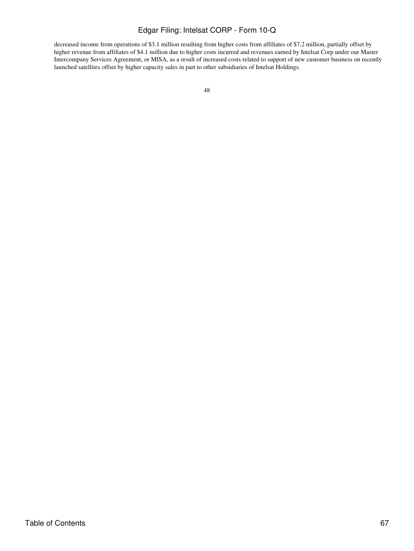# Edgar Filing: Intelsat CORP - Form 10-Q

decreased income from operations of \$3.1 million resulting from higher costs from affiliates of \$7.2 million, partially offset by higher revenue from affiliates of \$4.1 million due to higher costs incurred and revenues earned by Intelsat Corp under our Master Intercompany Services Agreement, or MISA, as a result of increased costs related to support of new customer business on recently launched satellites offset by higher capacity sales in part to other subsidiaries of Intelsat Holdings.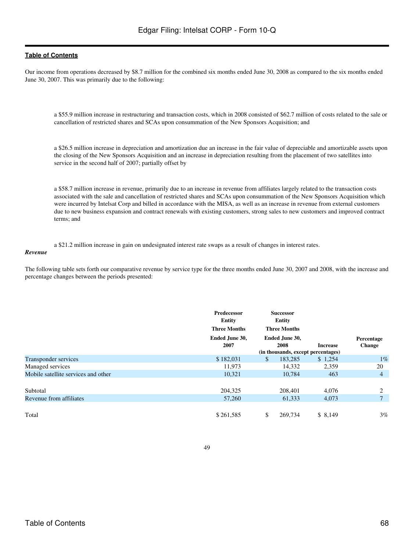Our income from operations decreased by \$8.7 million for the combined six months ended June 30, 2008 as compared to the six months ended June 30, 2007. This was primarily due to the following:

a \$55.9 million increase in restructuring and transaction costs, which in 2008 consisted of \$62.7 million of costs related to the sale or cancellation of restricted shares and SCAs upon consummation of the New Sponsors Acquisition; and

a \$26.5 million increase in depreciation and amortization due an increase in the fair value of depreciable and amortizable assets upon the closing of the New Sponsors Acquisition and an increase in depreciation resulting from the placement of two satellites into service in the second half of 2007; partially offset by

a \$58.7 million increase in revenue, primarily due to an increase in revenue from affiliates largely related to the transaction costs associated with the sale and cancellation of restricted shares and SCAs upon consummation of the New Sponsors Acquisition which were incurred by Intelsat Corp and billed in accordance with the MISA, as well as an increase in revenue from external customers due to new business expansion and contract renewals with existing customers, strong sales to new customers and improved contract terms; and

a \$21.2 million increase in gain on undesignated interest rate swaps as a result of changes in interest rates.

#### *Revenue*

The following table sets forth our comparative revenue by service type for the three months ended June 30, 2007 and 2008, with the increase and percentage changes between the periods presented:

|                                     | <b>Predecessor</b><br>Entity |                                                              | <b>Successor</b><br><b>Entity</b> |          |                             |
|-------------------------------------|------------------------------|--------------------------------------------------------------|-----------------------------------|----------|-----------------------------|
|                                     | <b>Three Months</b>          |                                                              | <b>Three Months</b>               |          |                             |
|                                     | Ended June 30,<br>2007       | Ended June 30,<br>2008<br>(in thousands, except percentages) |                                   | Increase | Percentage<br><b>Change</b> |
| Transponder services                | \$182,031                    | $\mathbb{S}$                                                 | 183,285                           | \$1,254  | $1\%$                       |
| Managed services                    | 11.973                       |                                                              | 14,332                            | 2,359    | 20                          |
| Mobile satellite services and other | 10,321                       |                                                              | 10,784                            | 463      | 4                           |
|                                     |                              |                                                              |                                   |          |                             |
| Subtotal                            | 204,325                      |                                                              | 208,401                           | 4.076    | $\overline{c}$              |
| Revenue from affiliates             | 57,260                       |                                                              | 61,333                            | 4,073    |                             |
| Total                               | \$261,585                    | \$                                                           | 269,734                           | \$8,149  | 3%                          |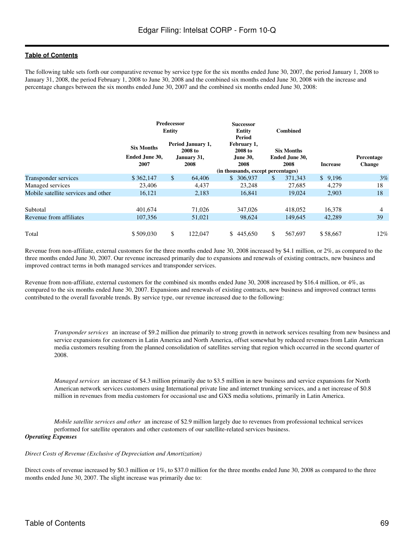The following table sets forth our comparative revenue by service type for the six months ended June 30, 2007, the period January 1, 2008 to January 31, 2008, the period February 1, 2008 to June 30, 2008 and the combined six months ended June 30, 2008 with the increase and percentage changes between the six months ended June 30, 2007 and the combined six months ended June 30, 2008:

|                                     | Predecessor<br>Entity                       |               |                                                     | <b>Successor</b><br>Entity<br>Period              |     | <b>Combined</b>                             |                  |                             |  |
|-------------------------------------|---------------------------------------------|---------------|-----------------------------------------------------|---------------------------------------------------|-----|---------------------------------------------|------------------|-----------------------------|--|
|                                     | <b>Six Months</b><br>Ended June 30,<br>2007 |               | Period January 1,<br>2008 to<br>January 31,<br>2008 | February 1,<br>2008 to<br><b>June 30,</b><br>2008 |     | <b>Six Months</b><br>Ended June 30,<br>2008 | <b>Increase</b>  | Percentage<br><b>Change</b> |  |
| Transponder services                | \$362,147                                   | $\mathsf{\$}$ | 64,406                                              | (in thousands, except percentages)<br>\$ 306,937  | \$  | 371,343                                     | \$9,196          | 3%                          |  |
| Managed services                    | 23,406                                      |               | 4.437                                               | 23.248                                            |     | 27.685                                      | 4,279            | 18                          |  |
| Mobile satellite services and other | 16,121                                      |               | 2,183                                               | 16.841                                            |     | 19.024                                      | 2,903            | 18                          |  |
| Subtotal<br>Revenue from affiliates | 401,674<br>107.356                          |               | 71,026<br>51,021                                    | 347,026<br>98.624                                 |     | 418,052<br>149,645                          | 16,378<br>42,289 | 4<br>39                     |  |
| Total                               | \$509,030                                   | \$            | 122,047                                             | 445.650<br>S.                                     | \$. | 567,697                                     | \$58,667         | 12%                         |  |

Revenue from non-affiliate, external customers for the three months ended June 30, 2008 increased by \$4.1 million, or 2%, as compared to the three months ended June 30, 2007. Our revenue increased primarily due to expansions and renewals of existing contracts, new business and improved contract terms in both managed services and transponder services.

Revenue from non-affiliate, external customers for the combined six months ended June 30, 2008 increased by \$16.4 million, or 4%, as compared to the six months ended June 30, 2007. Expansions and renewals of existing contracts, new business and improved contract terms contributed to the overall favorable trends. By service type, our revenue increased due to the following:

*Transponder services* an increase of \$9.2 million due primarily to strong growth in network services resulting from new business and service expansions for customers in Latin America and North America, offset somewhat by reduced revenues from Latin American media customers resulting from the planned consolidation of satellites serving that region which occurred in the second quarter of 2008.

*Managed services*an increase of \$4.3 million primarily due to \$3.5 million in new business and service expansions for North American network services customers using International private line and internet trunking services, and a net increase of \$0.8 million in revenues from media customers for occasional use and GXS media solutions, primarily in Latin America.

*Mobile satellite services and other*an increase of \$2.9 million largely due to revenues from professional technical services performed for satellite operators and other customers of our satellite-related services business. *Operating Expenses*

*Direct Costs of Revenue (Exclusive of Depreciation and Amortization)*

Direct costs of revenue increased by \$0.3 million or 1%, to \$37.0 million for the three months ended June 30, 2008 as compared to the three months ended June 30, 2007. The slight increase was primarily due to: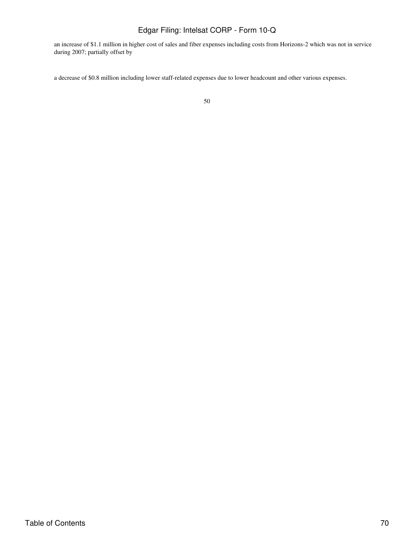# Edgar Filing: Intelsat CORP - Form 10-Q

an increase of \$1.1 million in higher cost of sales and fiber expenses including costs from Horizons-2 which was not in service during 2007; partially offset by

a decrease of \$0.8 million including lower staff-related expenses due to lower headcount and other various expenses.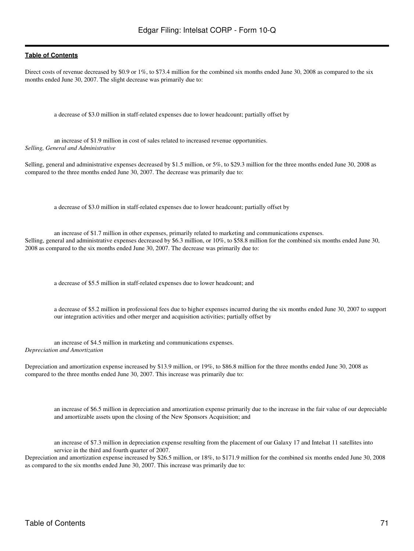Direct costs of revenue decreased by \$0.9 or 1%, to \$73.4 million for the combined six months ended June 30, 2008 as compared to the six months ended June 30, 2007. The slight decrease was primarily due to:

a decrease of \$3.0 million in staff-related expenses due to lower headcount; partially offset by

an increase of \$1.9 million in cost of sales related to increased revenue opportunities. *Selling, General and Administrative*

Selling, general and administrative expenses decreased by \$1.5 million, or 5%, to \$29.3 million for the three months ended June 30, 2008 as compared to the three months ended June 30, 2007. The decrease was primarily due to:

a decrease of \$3.0 million in staff-related expenses due to lower headcount; partially offset by

an increase of \$1.7 million in other expenses, primarily related to marketing and communications expenses. Selling, general and administrative expenses decreased by \$6.3 million, or 10%, to \$58.8 million for the combined six months ended June 30, 2008 as compared to the six months ended June 30, 2007. The decrease was primarily due to:

a decrease of \$5.5 million in staff-related expenses due to lower headcount; and

a decrease of \$5.2 million in professional fees due to higher expenses incurred during the six months ended June 30, 2007 to support our integration activities and other merger and acquisition activities; partially offset by

an increase of \$4.5 million in marketing and communications expenses. *Depreciation and Amortization*

Depreciation and amortization expense increased by \$13.9 million, or 19%, to \$86.8 million for the three months ended June 30, 2008 as compared to the three months ended June 30, 2007. This increase was primarily due to:

an increase of \$6.5 million in depreciation and amortization expense primarily due to the increase in the fair value of our depreciable and amortizable assets upon the closing of the New Sponsors Acquisition; and

an increase of \$7.3 million in depreciation expense resulting from the placement of our Galaxy 17 and Intelsat 11 satellites into service in the third and fourth quarter of 2007.

Depreciation and amortization expense increased by \$26.5 million, or 18%, to \$171.9 million for the combined six months ended June 30, 2008 as compared to the six months ended June 30, 2007. This increase was primarily due to: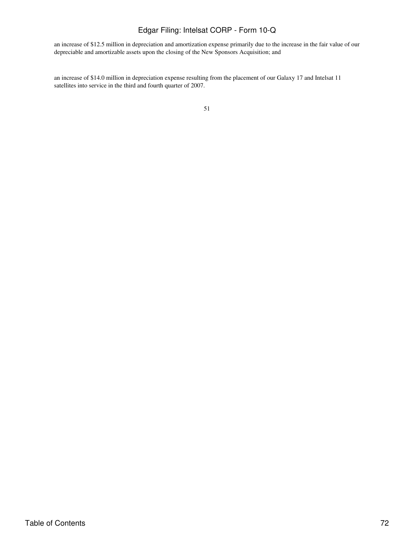# Edgar Filing: Intelsat CORP - Form 10-Q

an increase of \$12.5 million in depreciation and amortization expense primarily due to the increase in the fair value of our depreciable and amortizable assets upon the closing of the New Sponsors Acquisition; and

an increase of \$14.0 million in depreciation expense resulting from the placement of our Galaxy 17 and Intelsat 11 satellites into service in the third and fourth quarter of 2007.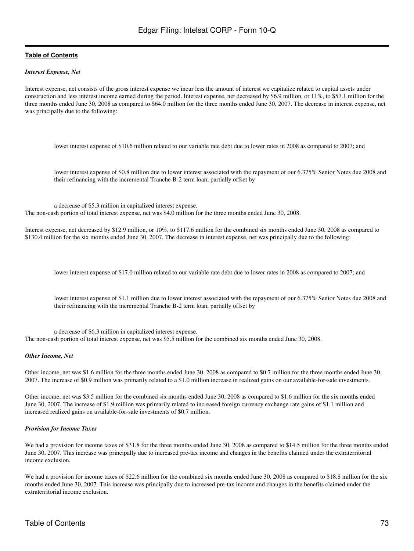#### *Interest Expense, Net*

Interest expense, net consists of the gross interest expense we incur less the amount of interest we capitalize related to capital assets under construction and less interest income earned during the period. Interest expense, net decreased by \$6.9 million, or 11%, to \$57.1 million for the three months ended June 30, 2008 as compared to \$64.0 million for the three months ended June 30, 2007. The decrease in interest expense, net was principally due to the following:

lower interest expense of \$10.6 million related to our variable rate debt due to lower rates in 2008 as compared to 2007; and

lower interest expense of \$0.8 million due to lower interest associated with the repayment of our 6.375% Senior Notes due 2008 and their refinancing with the incremental Tranche B-2 term loan; partially offset by

a decrease of \$5.3 million in capitalized interest expense. The non-cash portion of total interest expense, net was \$4.0 million for the three months ended June 30, 2008.

Interest expense, net decreased by \$12.9 million, or 10%, to \$117.6 million for the combined six months ended June 30, 2008 as compared to \$130.4 million for the six months ended June 30, 2007. The decrease in interest expense, net was principally due to the following:

lower interest expense of \$17.0 million related to our variable rate debt due to lower rates in 2008 as compared to 2007; and

lower interest expense of \$1.1 million due to lower interest associated with the repayment of our 6.375% Senior Notes due 2008 and their refinancing with the incremental Tranche B-2 term loan; partially offset by

a decrease of \$6.3 million in capitalized interest expense. The non-cash portion of total interest expense, net was \$5.5 million for the combined six months ended June 30, 2008.

#### *Other Income, Net*

Other income, net was \$1.6 million for the three months ended June 30, 2008 as compared to \$0.7 million for the three months ended June 30, 2007. The increase of \$0.9 million was primarily related to a \$1.0 million increase in realized gains on our available-for-sale investments.

Other income, net was \$3.5 million for the combined six months ended June 30, 2008 as compared to \$1.6 million for the six months ended June 30, 2007. The increase of \$1.9 million was primarily related to increased foreign currency exchange rate gains of \$1.1 million and increased realized gains on available-for-sale investments of \$0.7 million.

#### *Provision for Income Taxes*

We had a provision for income taxes of \$31.8 for the three months ended June 30, 2008 as compared to \$14.5 million for the three months ended June 30, 2007. This increase was principally due to increased pre-tax income and changes in the benefits claimed under the extraterritorial income exclusion.

We had a provision for income taxes of \$22.6 million for the combined six months ended June 30, 2008 as compared to \$18.8 million for the six months ended June 30, 2007. This increase was principally due to increased pre-tax income and changes in the benefits claimed under the extraterritorial income exclusion.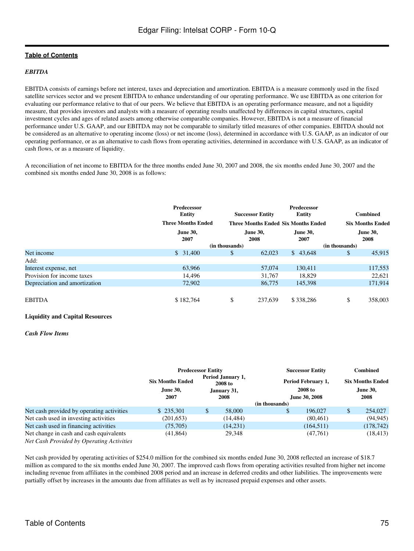# *EBITDA*

EBITDA consists of earnings before net interest, taxes and depreciation and amortization. EBITDA is a measure commonly used in the fixed satellite services sector and we present EBITDA to enhance understanding of our operating performance. We use EBITDA as one criterion for evaluating our performance relative to that of our peers. We believe that EBITDA is an operating performance measure, and not a liquidity measure, that provides investors and analysts with a measure of operating results unaffected by differences in capital structures, capital investment cycles and ages of related assets among otherwise comparable companies. However, EBITDA is not a measure of financial performance under U.S. GAAP, and our EBITDA may not be comparable to similarly titled measures of other companies. EBITDA should not be considered as an alternative to operating income (loss) or net income (loss), determined in accordance with U.S. GAAP, as an indicator of our operating performance, or as an alternative to cash flows from operating activities, determined in accordance with U.S. GAAP, as an indicator of cash flows, or as a measure of liquidity.

A reconciliation of net income to EBITDA for the three months ended June 30, 2007 and 2008, the six months ended June 30, 2007 and the combined six months ended June 30, 2008 is as follows:

|                               | <b>Predecessor</b><br>Entity | <b>Predecessor</b><br>Entity<br><b>Successor Entity</b><br><b>Three Months Ended Six Months Ended</b><br><b>June 30,</b><br><b>June 30,</b><br>2008<br>2007 |         |                         |                         | <b>Combined</b> |  |
|-------------------------------|------------------------------|-------------------------------------------------------------------------------------------------------------------------------------------------------------|---------|-------------------------|-------------------------|-----------------|--|
|                               | <b>Three Months Ended</b>    |                                                                                                                                                             |         |                         | <b>Six Months Ended</b> |                 |  |
|                               | <b>June 30,</b><br>2007      |                                                                                                                                                             |         | <b>June 30,</b><br>2008 |                         |                 |  |
|                               |                              | (in thousands)<br>(in thousands)                                                                                                                            |         |                         |                         |                 |  |
| Net income                    | \$31,400                     | \$                                                                                                                                                          | 62,023  | \$43,648                | $\mathbb{S}$            | 45,915          |  |
| Add:                          |                              |                                                                                                                                                             |         |                         |                         |                 |  |
| Interest expense, net         | 63,966                       |                                                                                                                                                             | 57,074  | 130,411                 |                         | 117,553         |  |
| Provision for income taxes    | 14.496                       |                                                                                                                                                             | 31,767  | 18.829                  |                         | 22,621          |  |
| Depreciation and amortization | 72,902                       |                                                                                                                                                             | 86,775  | 145,398                 |                         | 171,914         |  |
| <b>EBITDA</b>                 | \$182,764                    | \$                                                                                                                                                          | 237,639 | \$338,286               | \$                      | 358,003         |  |

### **Liquidity and Capital Resources**

#### *Cash Flow Items*

|                                                                                      | <b>Predecessor Entity</b>                          |                                                            |           | <b>Successor Entity</b>                               |            | <b>Combined</b>                                    |            |
|--------------------------------------------------------------------------------------|----------------------------------------------------|------------------------------------------------------------|-----------|-------------------------------------------------------|------------|----------------------------------------------------|------------|
|                                                                                      | <b>Six Months Ended</b><br><b>June 30,</b><br>2007 | Period January 1,<br><b>2008 to</b><br>January 31,<br>2008 |           | Period February 1,<br><b>2008 to</b><br>June 30, 2008 |            | <b>Six Months Ended</b><br><b>June 30,</b><br>2008 |            |
|                                                                                      |                                                    |                                                            |           | (in thousands)                                        |            |                                                    |            |
| Net cash provided by operating activities                                            | \$235,301                                          | \$                                                         | 58,000    | \$                                                    | 196,027    | \$                                                 | 254,027    |
| Net cash used in investing activities                                                | (201, 653)                                         |                                                            | (14, 484) |                                                       | (80, 461)  |                                                    | (94, 945)  |
| Net cash used in financing activities                                                | (75,705)                                           |                                                            | (14,231)  |                                                       | (164, 511) |                                                    | (178, 742) |
| Net change in cash and cash equivalents<br>Not Cash Provided by Operating Activities | (41, 864)                                          |                                                            | 29,348    |                                                       | (47,761)   |                                                    | (18, 413)  |

*Net Cash Provided by Operating Activities*

Net cash provided by operating activities of \$254.0 million for the combined six months ended June 30, 2008 reflected an increase of \$18.7 million as compared to the six months ended June 30, 2007. The improved cash flows from operating activities resulted from higher net income including revenue from affiliates in the combined 2008 period and an increase in deferred credits and other liabilities. The improvements were partially offset by increases in the amounts due from affiliates as well as by increased prepaid expenses and other assets.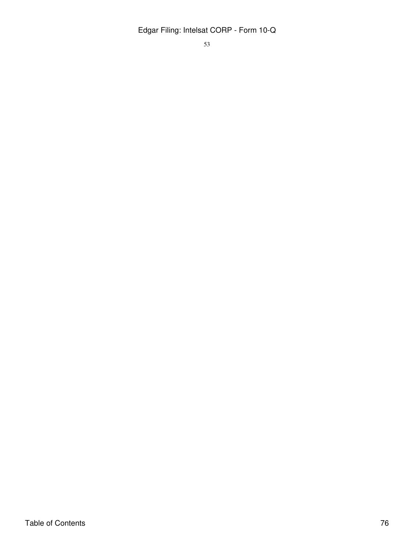# Edgar Filing: Intelsat CORP - Form 10-Q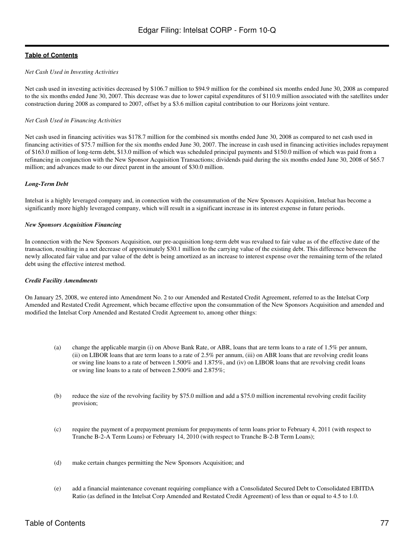# *Net Cash Used in Investing Activities*

Net cash used in investing activities decreased by \$106.7 million to \$94.9 million for the combined six months ended June 30, 2008 as compared to the six months ended June 30, 2007. This decrease was due to lower capital expenditures of \$110.9 million associated with the satellites under construction during 2008 as compared to 2007, offset by a \$3.6 million capital contribution to our Horizons joint venture.

#### *Net Cash Used in Financing Activities*

Net cash used in financing activities was \$178.7 million for the combined six months ended June 30, 2008 as compared to net cash used in financing activities of \$75.7 million for the six months ended June 30, 2007. The increase in cash used in financing activities includes repayment of \$163.0 million of long-term debt, \$13.0 million of which was scheduled principal payments and \$150.0 million of which was paid from a refinancing in conjunction with the New Sponsor Acquisition Transactions; dividends paid during the six months ended June 30, 2008 of \$65.7 million; and advances made to our direct parent in the amount of \$30.0 million.

#### *Long-Term Debt*

Intelsat is a highly leveraged company and, in connection with the consummation of the New Sponsors Acquisition, Intelsat has become a significantly more highly leveraged company, which will result in a significant increase in its interest expense in future periods.

#### *New Sponsors Acquisition Financing*

In connection with the New Sponsors Acquisition, our pre-acquisition long-term debt was revalued to fair value as of the effective date of the transaction, resulting in a net decrease of approximately \$30.1 million to the carrying value of the existing debt. This difference between the newly allocated fair value and par value of the debt is being amortized as an increase to interest expense over the remaining term of the related debt using the effective interest method.

#### *Credit Facility Amendments*

On January 25, 2008, we entered into Amendment No. 2 to our Amended and Restated Credit Agreement, referred to as the Intelsat Corp Amended and Restated Credit Agreement, which became effective upon the consummation of the New Sponsors Acquisition and amended and modified the Intelsat Corp Amended and Restated Credit Agreement to, among other things:

- (a) change the applicable margin (i) on Above Bank Rate, or ABR, loans that are term loans to a rate of 1.5% per annum, (ii) on LIBOR loans that are term loans to a rate of 2.5% per annum, (iii) on ABR loans that are revolving credit loans or swing line loans to a rate of between 1.500% and 1.875%, and (iv) on LIBOR loans that are revolving credit loans or swing line loans to a rate of between 2.500% and 2.875%;
- (b) reduce the size of the revolving facility by \$75.0 million and add a \$75.0 million incremental revolving credit facility provision;
- (c) require the payment of a prepayment premium for prepayments of term loans prior to February 4, 2011 (with respect to Tranche B-2-A Term Loans) or February 14, 2010 (with respect to Tranche B-2-B Term Loans);
- (d) make certain changes permitting the New Sponsors Acquisition; and
- (e) add a financial maintenance covenant requiring compliance with a Consolidated Secured Debt to Consolidated EBITDA Ratio (as defined in the Intelsat Corp Amended and Restated Credit Agreement) of less than or equal to 4.5 to 1.0.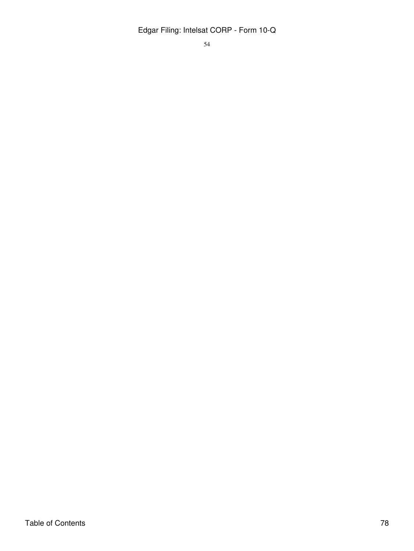# Edgar Filing: Intelsat CORP - Form 10-Q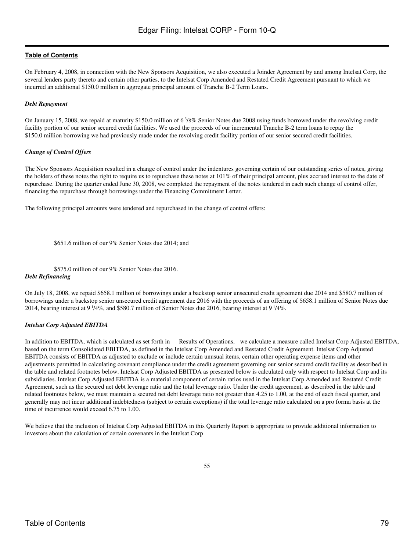On February 4, 2008, in connection with the New Sponsors Acquisition, we also executed a Joinder Agreement by and among Intelsat Corp, the several lenders party thereto and certain other parties, to the Intelsat Corp Amended and Restated Credit Agreement pursuant to which we incurred an additional \$150.0 million in aggregate principal amount of Tranche B-2 Term Loans.

#### *Debt Repayment*

On January 15, 2008, we repaid at maturity \$150.0 million of 6<sup>3</sup>/8% Senior Notes due 2008 using funds borrowed under the revolving credit facility portion of our senior secured credit facilities. We used the proceeds of our incremental Tranche B-2 term loans to repay the \$150.0 million borrowing we had previously made under the revolving credit facility portion of our senior secured credit facilities.

#### *Change of Control Offers*

The New Sponsors Acquisition resulted in a change of control under the indentures governing certain of our outstanding series of notes, giving the holders of these notes the right to require us to repurchase these notes at 101% of their principal amount, plus accrued interest to the date of repurchase. During the quarter ended June 30, 2008, we completed the repayment of the notes tendered in each such change of control offer, financing the repurchase through borrowings under the Financing Commitment Letter.

The following principal amounts were tendered and repurchased in the change of control offers:

```
$651.6 million of our 9% Senior Notes due 2014; and
```
\$575.0 million of our 9% Senior Notes due 2016.

#### *Debt Refinancing*

On July 18, 2008, we repaid \$658.1 million of borrowings under a backstop senior unsecured credit agreement due 2014 and \$580.7 million of borrowings under a backstop senior unsecured credit agreement due 2016 with the proceeds of an offering of \$658.1 million of Senior Notes due 2014, bearing interest at  $9\frac{1}{4}\%$ , and \$580.7 million of Senior Notes due 2016, bearing interest at  $9\frac{1}{4}\%$ .

#### *Intelsat Corp Adjusted EBITDA*

In addition to EBITDA, which is calculated as set forth in Results of Operations, we calculate a measure called Intelsat Corp Adjusted EBITDA, based on the term Consolidated EBITDA, as defined in the Intelsat Corp Amended and Restated Credit Agreement. Intelsat Corp Adjusted EBITDA consists of EBITDA as adjusted to exclude or include certain unusual items, certain other operating expense items and other adjustments permitted in calculating covenant compliance under the credit agreement governing our senior secured credit facility as described in the table and related footnotes below. Intelsat Corp Adjusted EBITDA as presented below is calculated only with respect to Intelsat Corp and its subsidiaries. Intelsat Corp Adjusted EBITDA is a material component of certain ratios used in the Intelsat Corp Amended and Restated Credit Agreement, such as the secured net debt leverage ratio and the total leverage ratio. Under the credit agreement, as described in the table and related footnotes below, we must maintain a secured net debt leverage ratio not greater than 4.25 to 1.00, at the end of each fiscal quarter, and generally may not incur additional indebtedness (subject to certain exceptions) if the total leverage ratio calculated on a pro forma basis at the time of incurrence would exceed 6.75 to 1.00.

We believe that the inclusion of Intelsat Corp Adjusted EBITDA in this Quarterly Report is appropriate to provide additional information to investors about the calculation of certain covenants in the Intelsat Corp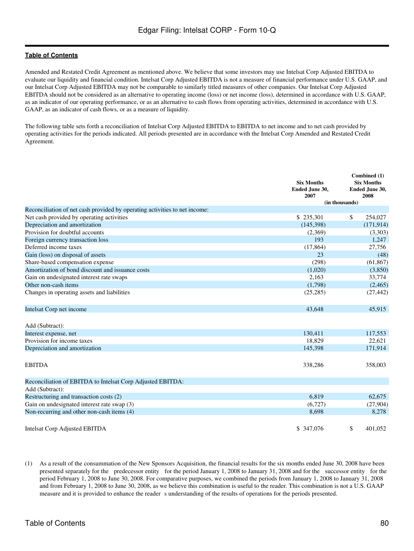Amended and Restated Credit Agreement as mentioned above. We believe that some investors may use Intelsat Corp Adjusted EBITDA to evaluate our liquidity and financial condition. Intelsat Corp Adjusted EBITDA is not a measure of financial performance under U.S. GAAP, and our Intelsat Corp Adjusted EBITDA may not be comparable to similarly titled measures of other companies. Our Intelsat Corp Adjusted EBITDA should not be considered as an alternative to operating income (loss) or net income (loss), determined in accordance with U.S. GAAP, as an indicator of our operating performance, or as an alternative to cash flows from operating activities, determined in accordance with U.S. GAAP, as an indicator of cash flows, or as a measure of liquidity.

The following table sets forth a reconciliation of Intelsat Corp Adjusted EBITDA to EBITDA to net income and to net cash provided by operating activities for the periods indicated. All periods presented are in accordance with the Intelsat Corp Amended and Restated Credit Agreement.

|                                                                            | <b>Six Months</b><br>Ended June 30,<br>2007 | Combined (1)<br><b>Six Months</b><br>Ended June 30,<br>2008<br>(in thousands) |            |
|----------------------------------------------------------------------------|---------------------------------------------|-------------------------------------------------------------------------------|------------|
|                                                                            |                                             |                                                                               |            |
| Reconciliation of net cash provided by operating activities to net income: |                                             |                                                                               |            |
| Net cash provided by operating activities                                  | \$235,301                                   | \$                                                                            | 254,027    |
| Depreciation and amortization                                              | (145, 398)                                  |                                                                               | (171, 914) |
| Provision for doubtful accounts                                            | (2,369)                                     |                                                                               | (3,303)    |
| Foreign currency transaction loss                                          | 193                                         |                                                                               | 1,247      |
| Deferred income taxes                                                      | (17, 864)                                   |                                                                               | 27,756     |
| Gain (loss) on disposal of assets                                          | 23                                          |                                                                               | (48)       |
| Share-based compensation expense                                           | (298)                                       |                                                                               | (61, 867)  |
| Amortization of bond discount and issuance costs                           | (1,020)                                     |                                                                               | (3,850)    |
| Gain on undesignated interest rate swaps                                   | 2,163                                       |                                                                               | 33,774     |
| Other non-cash items                                                       | (1,798)                                     |                                                                               | (2,465)    |
| Changes in operating assets and liabilities                                | (25, 285)                                   |                                                                               | (27, 442)  |
| Intelsat Corp net income                                                   | 43,648                                      |                                                                               | 45,915     |
| Add (Subtract):                                                            |                                             |                                                                               |            |
| Interest expense, net                                                      | 130,411                                     |                                                                               | 117,553    |
| Provision for income taxes                                                 | 18,829                                      |                                                                               | 22,621     |
| Depreciation and amortization                                              | 145,398                                     |                                                                               | 171,914    |
| <b>EBITDA</b>                                                              | 338,286                                     |                                                                               | 358,003    |
| Reconciliation of EBITDA to Intelsat Corp Adjusted EBITDA:                 |                                             |                                                                               |            |
| Add (Subtract):                                                            |                                             |                                                                               |            |
| Restructuring and transaction costs (2)                                    | 6,819                                       |                                                                               | 62,675     |
| Gain on undesignated interest rate swap (3)                                | (6,727)                                     |                                                                               | (27,904)   |
| Non-recurring and other non-cash items (4)                                 | 8,698                                       |                                                                               | 8,278      |
| <b>Intelsat Corp Adjusted EBITDA</b>                                       | \$ 347,076                                  | \$                                                                            | 401.052    |

(1) As a result of the consummation of the New Sponsors Acquisition, the financial results for the six months ended June 30, 2008 have been presented separately for the predecessor entity for the period January 1, 2008 to January 31, 2008 and for the successor entity for the period February 1, 2008 to June 30, 2008. For comparative purposes, we combined the periods from January 1, 2008 to January 31, 2008 and from February 1, 2008 to June 30, 2008, as we believe this combination is useful to the reader. This combination is not a U.S. GAAP measure and it is provided to enhance the reader sunderstanding of the results of operations for the periods presented.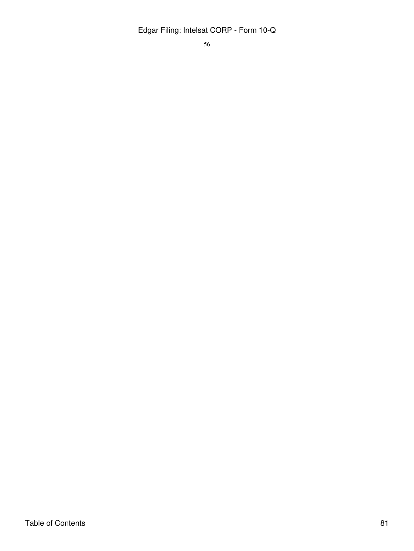# Edgar Filing: Intelsat CORP - Form 10-Q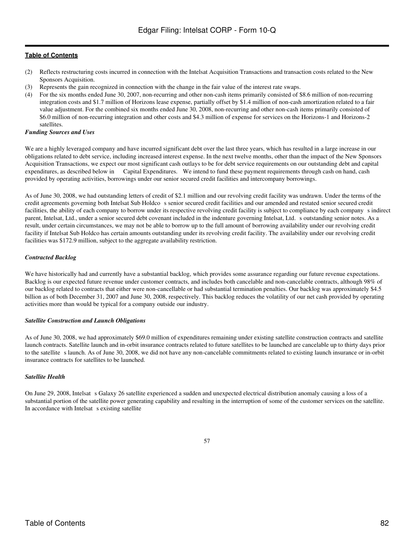- (2) Reflects restructuring costs incurred in connection with the Intelsat Acquisition Transactions and transaction costs related to the New Sponsors Acquisition.
- (3) Represents the gain recognized in connection with the change in the fair value of the interest rate swaps.
- (4) For the six months ended June 30, 2007, non-recurring and other non-cash items primarily consisted of \$8.6 million of non-recurring integration costs and \$1.7 million of Horizons lease expense, partially offset by \$1.4 million of non-cash amortization related to a fair value adjustment. For the combined six months ended June 30, 2008, non-recurring and other non-cash items primarily consisted of \$6.0 million of non-recurring integration and other costs and \$4.3 million of expense for services on the Horizons-1 and Horizons-2 satellites.

#### *Funding Sources and Uses*

We are a highly leveraged company and have incurred significant debt over the last three years, which has resulted in a large increase in our obligations related to debt service, including increased interest expense. In the next twelve months, other than the impact of the New Sponsors Acquisition Transactions, we expect our most significant cash outlays to be for debt service requirements on our outstanding debt and capital expenditures, as described below inCapital Expenditures. We intend to fund these payment requirements through cash on hand, cash provided by operating activities, borrowings under our senior secured credit facilities and intercompany borrowings.

As of June 30, 2008, we had outstanding letters of credit of \$2.1 million and our revolving credit facility was undrawn. Under the terms of the credit agreements governing both Intelsat Sub Holdco s senior secured credit facilities and our amended and restated senior secured credit facilities, the ability of each company to borrow under its respective revolving credit facility is subject to compliance by each company sindirect parent, Intelsat, Ltd., under a senior secured debt covenant included in the indenture governing Intelsat, Ltd. s outstanding senior notes. As a result, under certain circumstances, we may not be able to borrow up to the full amount of borrowing availability under our revolving credit facility if Intelsat Sub Holdco has certain amounts outstanding under its revolving credit facility. The availability under our revolving credit facilities was \$172.9 million, subject to the aggregate availability restriction.

#### *Contracted Backlog*

We have historically had and currently have a substantial backlog, which provides some assurance regarding our future revenue expectations. Backlog is our expected future revenue under customer contracts, and includes both cancelable and non-cancelable contracts, although 98% of our backlog related to contracts that either were non-cancellable or had substantial termination penalties. Our backlog was approximately \$4.5 billion as of both December 31, 2007 and June 30, 2008, respectively. This backlog reduces the volatility of our net cash provided by operating activities more than would be typical for a company outside our industry.

#### *Satellite Construction and Launch Obligations*

As of June 30, 2008, we had approximately \$69.0 million of expenditures remaining under existing satellite construction contracts and satellite launch contracts. Satellite launch and in-orbit insurance contracts related to future satellites to be launched are cancelable up to thirty days prior to the satellite s launch. As of June 30, 2008, we did not have any non-cancelable commitments related to existing launch insurance or in-orbit insurance contracts for satellites to be launched.

#### *Satellite Health*

On June 29, 2008, Intelsat s Galaxy 26 satellite experienced a sudden and unexpected electrical distribution anomaly causing a loss of a substantial portion of the satellite power generating capability and resulting in the interruption of some of the customer services on the satellite. In accordance with Intelsat s existing satellite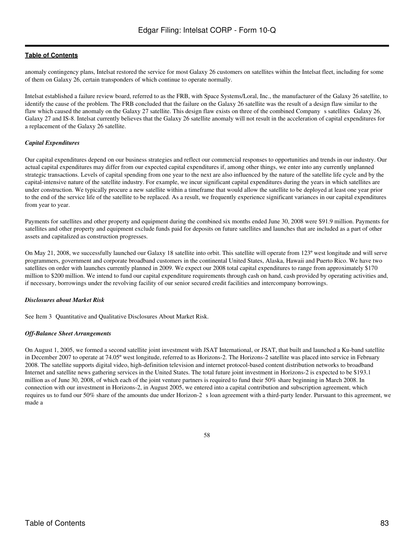anomaly contingency plans, Intelsat restored the service for most Galaxy 26 customers on satellites within the Intelsat fleet, including for some of them on Galaxy 26, certain transponders of which continue to operate normally.

Intelsat established a failure review board, referred to as the FRB, with Space Systems/Loral, Inc., the manufacturer of the Galaxy 26 satellite, to identify the cause of the problem. The FRB concluded that the failure on the Galaxy 26 satellite was the result of a design flaw similar to the flaw which caused the anomaly on the Galaxy 27 satellite. This design flaw exists on three of the combined Company s satellites Galaxy 26, Galaxy 27 and IS-8. Intelsat currently believes that the Galaxy 26 satellite anomaly will not result in the acceleration of capital expenditures for a replacement of the Galaxy 26 satellite.

#### *Capital Expenditures*

Our capital expenditures depend on our business strategies and reflect our commercial responses to opportunities and trends in our industry. Our actual capital expenditures may differ from our expected capital expenditures if, among other things, we enter into any currently unplanned strategic transactions. Levels of capital spending from one year to the next are also influenced by the nature of the satellite life cycle and by the capital-intensive nature of the satellite industry. For example, we incur significant capital expenditures during the years in which satellites are under construction. We typically procure a new satellite within a timeframe that would allow the satellite to be deployed at least one year prior to the end of the service life of the satellite to be replaced. As a result, we frequently experience significant variances in our capital expenditures from year to year.

Payments for satellites and other property and equipment during the combined six months ended June 30, 2008 were \$91.9 million. Payments for satellites and other property and equipment exclude funds paid for deposits on future satellites and launches that are included as a part of other assets and capitalized as construction progresses.

On May 21, 2008, we successfully launched our Galaxy 18 satellite into orbit. This satellite will operate from 123º west longitude and will serve programmers, government and corporate broadband customers in the continental United States, Alaska, Hawaii and Puerto Rico. We have two satellites on order with launches currently planned in 2009. We expect our 2008 total capital expenditures to range from approximately \$170 million to \$200 million. We intend to fund our capital expenditure requirements through cash on hand, cash provided by operating activities and, if necessary, borrowings under the revolving facility of our senior secured credit facilities and intercompany borrowings.

#### *Disclosures about Market Risk*

See Item 3 Quantitative and Qualitative Disclosures About Market Risk.

#### *Off-Balance Sheet Arrangements*

On August 1, 2005, we formed a second satellite joint investment with JSAT International, or JSAT, that built and launched a Ku-band satellite in December 2007 to operate at 74.05º west longitude, referred to as Horizons-2. The Horizons-2 satellite was placed into service in February 2008. The satellite supports digital video, high-definition television and internet protocol-based content distribution networks to broadband Internet and satellite news gathering services in the United States. The total future joint investment in Horizons-2 is expected to be \$193.1 million as of June 30, 2008, of which each of the joint venture partners is required to fund their 50% share beginning in March 2008. In connection with our investment in Horizons-2, in August 2005, we entered into a capital contribution and subscription agreement, which requires us to fund our 50% share of the amounts due under Horizon-2s loan agreement with a third-party lender. Pursuant to this agreement, we made a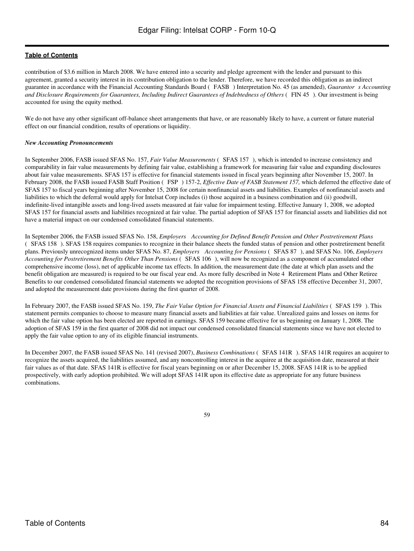contribution of \$3.6 million in March 2008. We have entered into a security and pledge agreement with the lender and pursuant to this agreement, granted a security interest in its contribution obligation to the lender. Therefore, we have recorded this obligation as an indirect guarantee in accordance with the Financial Accounting Standards Board (FASB) Interpretation No. 45 (as amended), *Guarantors Accounting and Disclosure Requirements for Guarantees, Including Indirect Guarantees of Indebtedness of Others* (FIN 45). Our investment is being accounted for using the equity method.

We do not have any other significant off-balance sheet arrangements that have, or are reasonably likely to have, a current or future material effect on our financial condition, results of operations or liquidity.

#### *New Accounting Pronouncements*

In September 2006, FASB issued SFAS No. 157, *Fair Value Measurements* (SFAS 157), which is intended to increase consistency and comparability in fair value measurements by defining fair value, establishing a framework for measuring fair value and expanding disclosures about fair value measurements. SFAS 157 is effective for financial statements issued in fiscal years beginning after November 15, 2007. In February 2008, the FASB issued FASB Staff Position (FSP) 157-2, *Effective Date of FASB Statement 157*, which deferred the effective date of SFAS 157 to fiscal years beginning after November 15, 2008 for certain nonfinancial assets and liabilities. Examples of nonfinancial assets and liabilities to which the deferral would apply for Intelsat Corp includes (i) those acquired in a business combination and (ii) goodwill, indefinite-lived intangible assets and long-lived assets measured at fair value for impairment testing. Effective January 1, 2008, we adopted SFAS 157 for financial assets and liabilities recognized at fair value. The partial adoption of SFAS 157 for financial assets and liabilities did not have a material impact on our condensed consolidated financial statements.

In September 2006, the FASB issued SFAS No. 158, *Employers Accounting for Defined Benefit Pension and Other Postretirement Plans* (SFAS 158). SFAS 158 requires companies to recognize in their balance sheets the funded status of pension and other postretirement benefit plans. Previously unrecognized items under SFAS No. 87, *Employers Accounting for Pensions* (SFAS 87), and SFAS No. 106, *Employers Accounting for Postretirement Benefits Other Than Pensions* (SFAS 106), will now be recognized as a component of accumulated other comprehensive income (loss), net of applicable income tax effects. In addition, the measurement date (the date at which plan assets and the benefit obligation are measured) is required to be our fiscal year end. As more fully described in Note 4 Retirement Plans and Other Retiree Benefits to our condensed consolidated financial statements we adopted the recognition provisions of SFAS 158 effective December 31, 2007, and adopted the measurement date provisions during the first quarter of 2008.

In February 2007, the FASB issued SFAS No. 159, *The Fair Value Option for Financial Assets and Financial Liabilities* (SFAS 159). This statement permits companies to choose to measure many financial assets and liabilities at fair value. Unrealized gains and losses on items for which the fair value option has been elected are reported in earnings. SFAS 159 became effective for us beginning on January 1, 2008. The adoption of SFAS 159 in the first quarter of 2008 did not impact our condensed consolidated financial statements since we have not elected to apply the fair value option to any of its eligible financial instruments.

In December 2007, the FASB issued SFAS No. 141 (revised 2007), *Business Combinations* (SFAS 141R). SFAS 141R requires an acquirer to recognize the assets acquired, the liabilities assumed, and any noncontrolling interest in the acquiree at the acquisition date, measured at their fair values as of that date. SFAS 141R is effective for fiscal years beginning on or after December 15, 2008. SFAS 141R is to be applied prospectively, with early adoption prohibited. We will adopt SFAS 141R upon its effective date as appropriate for any future business combinations.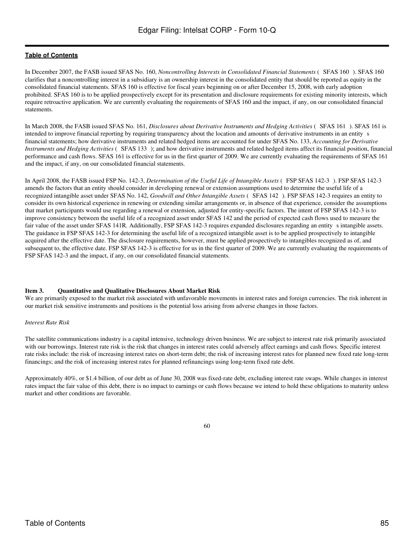In December 2007, the FASB issued SFAS No. 160, *Noncontrolling Interests in Consolidated Financial Statements* (SFAS 160). SFAS 160 clarifies that a noncontrolling interest in a subsidiary is an ownership interest in the consolidated entity that should be reported as equity in the consolidated financial statements. SFAS 160 is effective for fiscal years beginning on or after December 15, 2008, with early adoption prohibited. SFAS 160 is to be applied prospectively except for its presentation and disclosure requirements for existing minority interests, which require retroactive application. We are currently evaluating the requirements of SFAS 160 and the impact, if any, on our consolidated financial statements.

In March 2008, the FASB issued SFAS No. 161, *Disclosures about Derivative Instruments and Hedging Activities* (SFAS 161). SFAS 161 is intended to improve financial reporting by requiring transparency about the location and amounts of derivative instruments in an entity s financial statements; how derivative instruments and related hedged items are accounted for under SFAS No. 133, *Accounting for Derivative Instruments and Hedging Activities* (SFAS 133); and how derivative instruments and related hedged items affect its financial position, financial performance and cash flows. SFAS 161 is effective for us in the first quarter of 2009. We are currently evaluating the requirements of SFAS 161 and the impact, if any, on our consolidated financial statements.

In April 2008, the FASB issued FSP No. 142-3, *Determination of the Useful Life of Intangible Assets* (FSP SFAS 142-3). FSP SFAS 142-3 amends the factors that an entity should consider in developing renewal or extension assumptions used to determine the useful life of a recognized intangible asset under SFAS No. 142, *Goodwill and Other Intangible Assets* (SFAS 142). FSP SFAS 142-3 requires an entity to consider its own historical experience in renewing or extending similar arrangements or, in absence of that experience, consider the assumptions that market participants would use regarding a renewal or extension, adjusted for entity-specific factors. The intent of FSP SFAS 142-3 is to improve consistency between the useful life of a recognized asset under SFAS 142 and the period of expected cash flows used to measure the fair value of the asset under SFAS 141R. Additionally, FSP SFAS 142-3 requires expanded disclosures regarding an entity s intangible assets. The guidance in FSP SFAS 142-3 for determining the useful life of a recognized intangible asset is to be applied prospectively to intangible acquired after the effective date. The disclosure requirements, however, must be applied prospectively to intangibles recognized as of, and subsequent to, the effective date. FSP SFAS 142-3 is effective for us in the first quarter of 2009. We are currently evaluating the requirements of FSP SFAS 142-3 and the impact, if any, on our consolidated financial statements.

#### **Item 3. Quantitative and Qualitative Disclosures About Market Risk**

We are primarily exposed to the market risk associated with unfavorable movements in interest rates and foreign currencies. The risk inherent in our market risk sensitive instruments and positions is the potential loss arising from adverse changes in those factors.

#### *Interest Rate Risk*

The satellite communications industry is a capital intensive, technology driven business. We are subject to interest rate risk primarily associated with our borrowings. Interest rate risk is the risk that changes in interest rates could adversely affect earnings and cash flows. Specific interest rate risks include: the risk of increasing interest rates on short-term debt; the risk of increasing interest rates for planned new fixed rate long-term financings; and the risk of increasing interest rates for planned refinancings using long-term fixed rate debt.

Approximately 40%, or \$1.4 billion, of our debt as of June 30, 2008 was fixed-rate debt, excluding interest rate swaps. While changes in interest rates impact the fair value of this debt, there is no impact to earnings or cash flows because we intend to hold these obligations to maturity unless market and other conditions are favorable.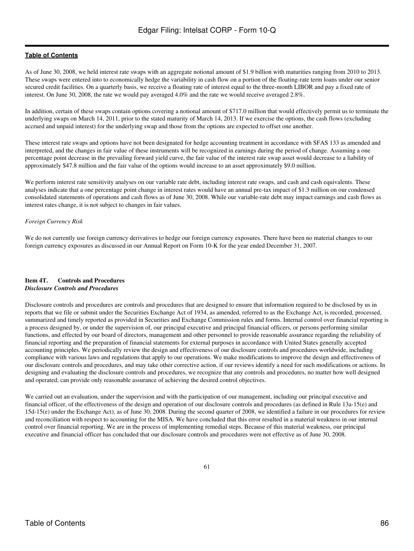As of June 30, 2008, we held interest rate swaps with an aggregate notional amount of \$1.9 billion with maturities ranging from 2010 to 2013. These swaps were entered into to economically hedge the variability in cash flow on a portion of the floating-rate term loans under our senior secured credit facilities. On a quarterly basis, we receive a floating rate of interest equal to the three-month LIBOR and pay a fixed rate of interest. On June 30, 2008, the rate we would pay averaged 4.0% and the rate we would receive averaged 2.8%.

In addition, certain of these swaps contain options covering a notional amount of \$717.0 million that would effectively permit us to terminate the underlying swaps on March 14, 2011, prior to the stated maturity of March 14, 2013. If we exercise the options, the cash flows (excluding accrued and unpaid interest) for the underlying swap and those from the options are expected to offset one another.

These interest rate swaps and options have not been designated for hedge accounting treatment in accordance with SFAS 133 as amended and interpreted, and the changes in fair value of these instruments will be recognized in earnings during the period of change. Assuming a one percentage point decrease in the prevailing forward yield curve, the fair value of the interest rate swap asset would decrease to a liability of approximately \$47.8 million and the fair value of the options would increase to an asset approximately \$9.0 million.

We perform interest rate sensitivity analyses on our variable rate debt, including interest rate swaps, and cash and cash equivalents. These analyses indicate that a one percentage point change in interest rates would have an annual pre-tax impact of \$1.3 million on our condensed consolidated statements of operations and cash flows as of June 30, 2008. While our variable-rate debt may impact earnings and cash flows as interest rates change, it is not subject to changes in fair values.

#### *Foreign Currency Risk*

We do not currently use foreign currency derivatives to hedge our foreign currency exposures. There have been no material changes to our foreign currency exposures as discussed in our Annual Report on Form 10-K for the year ended December 31, 2007.

#### **Item 4T. Controls and Procedures** *Disclosure Controls and Procedures*

Disclosure controls and procedures are controls and procedures that are designed to ensure that information required to be disclosed by us in reports that we file or submit under the Securities Exchange Act of 1934, as amended, referred to as the Exchange Act, is recorded, processed, summarized and timely reported as provided in Securities and Exchange Commission rules and forms. Internal control over financial reporting is a process designed by, or under the supervision of, our principal executive and principal financial officers, or persons performing similar functions, and effected by our board of directors, management and other personnel to provide reasonable assurance regarding the reliability of financial reporting and the preparation of financial statements for external purposes in accordance with United States generally accepted accounting principles. We periodically review the design and effectiveness of our disclosure controls and procedures worldwide, including compliance with various laws and regulations that apply to our operations. We make modifications to improve the design and effectiveness of our disclosure controls and procedures, and may take other corrective action, if our reviews identify a need for such modifications or actions. In designing and evaluating the disclosure controls and procedures, we recognize that any controls and procedures, no matter how well designed and operated, can provide only reasonable assurance of achieving the desired control objectives.

We carried out an evaluation, under the supervision and with the participation of our management, including our principal executive and financial officer, of the effectiveness of the design and operation of our disclosure controls and procedures (as defined in Rule 13a-15(e) and 15d-15(e) under the Exchange Act), as of June 30, 2008. During the second quarter of 2008, we identified a failure in our procedures for review and reconciliation with respect to accounting for the MISA. We have concluded that this error resulted in a material weakness in our internal control over financial reporting. We are in the process of implementing remedial steps. Because of this material weakness, our principal executive and financial officer has concluded that our disclosure controls and procedures were not effective as of June 30, 2008.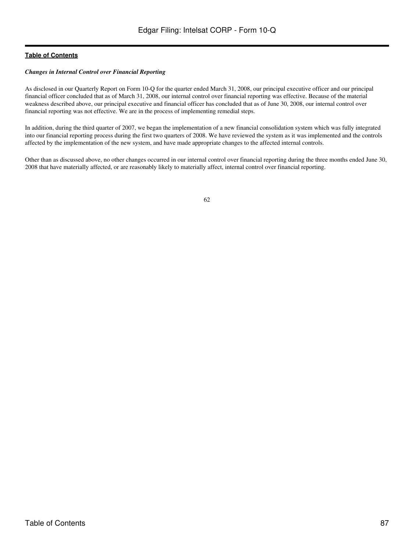#### *Changes in Internal Control over Financial Reporting*

As disclosed in our Quarterly Report on Form 10-Q for the quarter ended March 31, 2008, our principal executive officer and our principal financial officer concluded that as of March 31, 2008, our internal control over financial reporting was effective. Because of the material weakness described above, our principal executive and financial officer has concluded that as of June 30, 2008, our internal control over financial reporting was not effective. We are in the process of implementing remedial steps.

In addition, during the third quarter of 2007, we began the implementation of a new financial consolidation system which was fully integrated into our financial reporting process during the first two quarters of 2008. We have reviewed the system as it was implemented and the controls affected by the implementation of the new system, and have made appropriate changes to the affected internal controls.

Other than as discussed above, no other changes occurred in our internal control over financial reporting during the three months ended June 30, 2008 that have materially affected, or are reasonably likely to materially affect, internal control over financial reporting.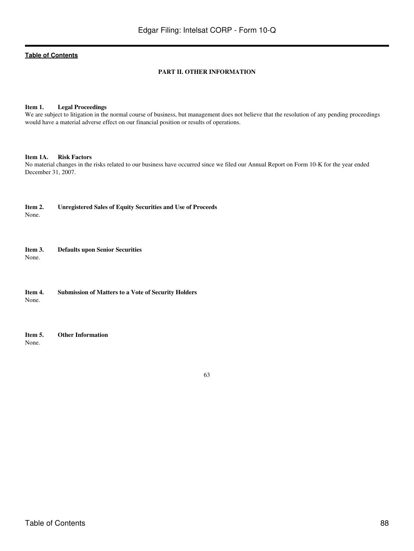# **PART II. OTHER INFORMATION**

# **Item 1. Legal Proceedings**

We are subject to litigation in the normal course of business, but management does not believe that the resolution of any pending proceedings would have a material adverse effect on our financial position or results of operations.

#### **Item 1A. Risk Factors**

No material changes in the risks related to our business have occurred since we filed our Annual Report on Form 10-K for the year ended December 31, 2007.

**Item 2. Unregistered Sales of Equity Securities and Use of Proceeds** None.

**Item 3. Defaults upon Senior Securities** None.

**Item 4. Submission of Matters to a Vote of Security Holders** None.

**Item 5. Other Information** None.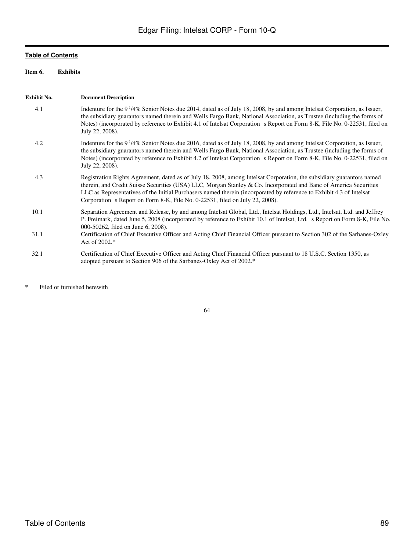# **Item 6. Exhibits**

# **Exhibit No. Document Description**

- 4.1 Indenture for the 9<sup>1</sup>/4% Senior Notes due 2014, dated as of July 18, 2008, by and among Intelsat Corporation, as Issuer, the subsidiary guarantors named therein and Wells Fargo Bank, National Association, as Trustee (including the forms of Notes) (incorporated by reference to Exhibit 4.1 of Intelsat Corporation s Report on Form 8-K, File No. 0-22531, filed on July 22, 2008). 4.2 Indenture for the 9<sup>1</sup>/4% Senior Notes due 2016, dated as of July 18, 2008, by and among Intelsat Corporation, as Issuer, the subsidiary guarantors named therein and Wells Fargo Bank, National Association, as Trustee (including the forms of Notes) (incorporated by reference to Exhibit 4.2 of Intelsat Corporation s Report on Form 8-K, File No. 0-22531, filed on July 22, 2008). 4.3 Registration Rights Agreement, dated as of July 18, 2008, among Intelsat Corporation, the subsidiary guarantors named therein, and Credit Suisse Securities (USA) LLC, Morgan Stanley & Co. Incorporated and Banc of America Securities LLC as Representatives of the Initial Purchasers named therein (incorporated by reference to Exhibit 4.3 of Intelsat Corporation s Report on Form 8-K, File No. 0-22531, filed on July 22, 2008). 10.1 Separation Agreement and Release, by and among Intelsat Global, Ltd., Intelsat Holdings, Ltd., Intelsat, Ltd. and Jeffrey P. Freimark, dated June 5, 2008 (incorporated by reference to Exhibit 10.1 of Intelsat, Ltd. s Report on Form 8-K, File No. 000-50262, filed on June 6, 2008). 31.1 Certification of Chief Executive Officer and Acting Chief Financial Officer pursuant to Section 302 of the Sarbanes-Oxley Act of 2002.\* 32.1 Certification of Chief Executive Officer and Acting Chief Financial Officer pursuant to 18 U.S.C. Section 1350, as adopted pursuant to Section 906 of the Sarbanes-Oxley Act of 2002.\*
- Filed or furnished herewith